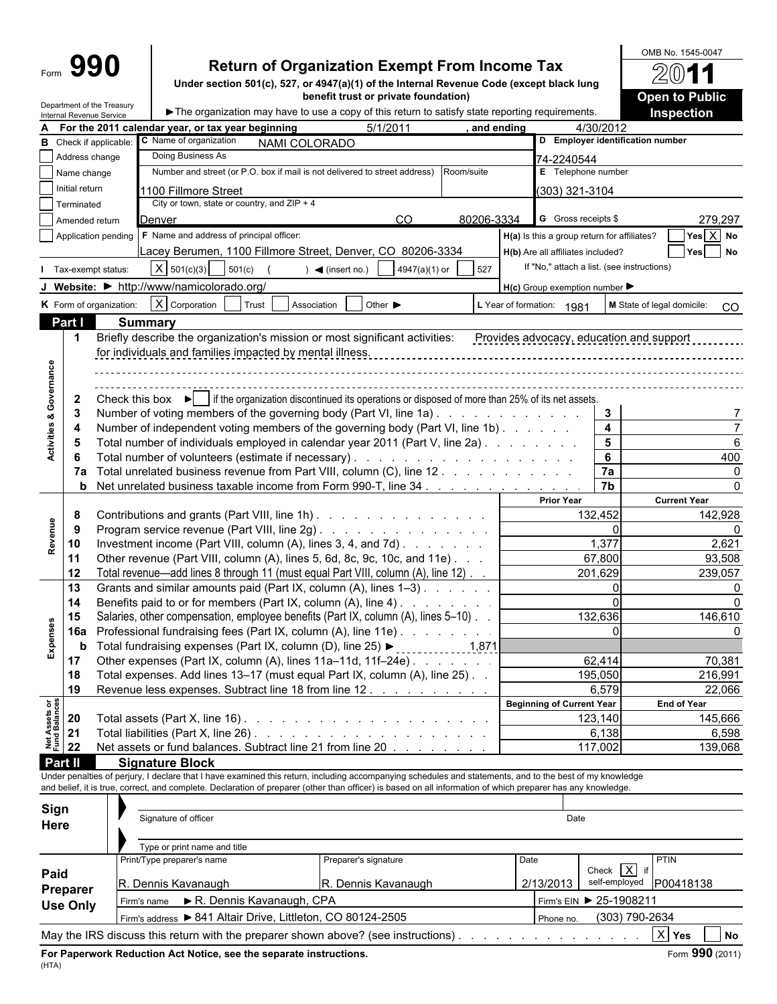Department of the Treasury

# **Return of Organization Exempt From Income Tax**

**Under section 501(c), 527, or 4947(a)(1) of the Internal Revenue Code (except black lung benefit trust or private foundation)**

 $\blacktriangleright$  The organization may have to use a copy of this return to satisfy state reporting requirements.

| 4/30/2012<br>For the 2011 calendar year, or tax year beginning<br>and ending<br>D Employer identification number<br>C Name of organization<br>Check if applicable<br>NAMI COLORADO<br>Doing Business As<br>Address change<br>74-2240544<br>Number and street (or P.O. box if mail is not delivered to street address)<br>E Telephone number<br>Room/suite<br>Name change<br>Initial return<br>1100 Fillmore Street<br>303) 321-3104<br>City or town, state or country, and $ZIP + 4$<br>Terminated<br>G Gross receipts \$<br>CO.<br>80206-3334<br>279,297<br>Denver<br>Amended return<br>$Yes$ $\overline{X}$ No<br>F Name and address of principal officer:<br>H(a) Is this a group return for affiliates?<br>Application pending<br>Lacey Berumen, 1100 Fillmore Street, Denver, CO 80206-3334<br>Yes No<br>H(b) Are all affiliates included?<br>If "No," attach a list. (see instructions)<br>$X$ 501(c)(3)<br>501(c)<br>$\blacktriangleleft$ (insert no.)<br>4947(a)(1) or<br>527<br>Tax-exempt status:<br>J Website: • http://www/namicolorado.org/<br>$H(c)$ Group exemption number $\blacktriangleright$<br>$X$ Corporation<br>K Form of organization:<br>Other $\blacktriangleright$<br>Trust<br>Association<br>L Year of formation: 1981<br>M State of legal domicile:<br><sub>CO</sub><br>Part I<br><b>Summary</b><br>Briefly describe the organization's mission or most significant activities: Provides advocacy, education and support<br>$\mathbf{1}$<br>for individuals and families impacted by mental illness.<br><b>Activities &amp; Governance</b><br>Check this box $\blacktriangleright$   if the organization discontinued its operations or disposed of more than 25% of its net assets.<br>$\mathbf{2}$<br>Number of voting members of the governing body (Part VI, line 1a).<br>3<br>3<br>$\overline{\mathbf{4}}$<br>Number of independent voting members of the governing body (Part VI, line 1b).<br>4<br>$5\phantom{1}$<br>Total number of individuals employed in calendar year 2011 (Part V, line 2a).<br>6<br>5<br>$6\phantom{1}$<br>400<br>6<br>7a<br>Total unrelated business revenue from Part VIII, column (C), line 12<br>7a<br>0<br>7b<br><b>b</b> Net unrelated business taxable income from Form 990-T, line 34<br>∩<br><b>Current Year</b><br><b>Prior Year</b><br>132,452<br>Contributions and grants (Part VIII, line 1h)<br>142,928<br>8<br>Program service revenue (Part VIII, line 2g)<br>$\Omega$<br>9<br>1,377<br>Investment income (Part VIII, column (A), lines 3, 4, and 7d)<br>2,621<br>10<br>67,800<br>Other revenue (Part VIII, column (A), lines 5, 6d, 8c, 9c, 10c, and 11e).<br>93,508<br>11<br>12<br>Total revenue—add lines 8 through 11 (must equal Part VIII, column (A), line 12)<br>201,629<br>239,057<br>13<br>Grants and similar amounts paid (Part IX, column (A), lines 1-3)<br>$\Omega$<br>Benefits paid to or for members (Part IX, column (A), line 4)<br>14<br>132,636<br>Salaries, other compensation, employee benefits (Part IX, column (A), lines 5-10)<br>15<br>146,610<br>Expenses<br>Professional fundraising fees (Part IX, column (A), line 11e)<br>$\Omega$<br>16a<br>ŋ<br>b<br>Other expenses (Part IX, column (A), lines 11a-11d, 11f-24e)<br>62,414<br>70,381<br>17<br>Total expenses. Add lines 13-17 (must equal Part IX, column (A), line 25). .<br>195,050<br>216,991<br>18<br>Revenue less expenses. Subtract line 18 from line 12.<br>6,579<br>22,066<br>19<br><b>Net Assets or<br/>Fund Balances</b><br><b>Beginning of Current Year</b><br><b>End of Year</b><br>20<br>Total assets (Part X, line 16) $\ldots$ $\ldots$ $\ldots$ $\ldots$ $\ldots$ $\ldots$ $\ldots$ $\ldots$ $\ldots$<br>123,140<br>145,666<br>21<br>6,138<br>6,598<br>Net assets or fund balances. Subtract line 21 from line 20<br>22<br>117,002<br>139,068<br>Part II<br><b>Signature Block</b><br>Under penalties of perjury, I declare that I have examined this return, including accompanying schedules and statements, and to the best of my knowledge<br>and belief, it is true, correct, and complete. Declaration of preparer (other than officer) is based on all information of which preparer has any knowledge.<br>Sign<br>Signature of officer<br>Date<br>Here<br>Type or print name and title<br>PTIN<br>Print/Type preparer's name<br>Preparer's signature<br>Date<br>Check $\overline{X}$ if<br>Paid<br>self-employed<br>R. Dennis Kavanaugh<br>R. Dennis Kavanaugh<br>P00418138<br>2/13/2013<br>Preparer<br>R. Dennis Kavanaugh, CPA<br>Firm's EIN > 25-1908211<br>Firm's name<br><b>Use Only</b><br>Firm's address > 841 Altair Drive, Littleton, CO 80124-2505<br>(303) 790-2634<br>Phone no.<br>$X$ Yes<br>May the IRS discuss this return with the preparer shown above? (see instructions).<br><b>No</b><br>Form 990 (2011)<br>For Paperwork Reduction Act Notice, see the separate instructions. | A       | סטוויסו ומכיכוועס טכו יוטכ |  |          |  |  |
|-----------------------------------------------------------------------------------------------------------------------------------------------------------------------------------------------------------------------------------------------------------------------------------------------------------------------------------------------------------------------------------------------------------------------------------------------------------------------------------------------------------------------------------------------------------------------------------------------------------------------------------------------------------------------------------------------------------------------------------------------------------------------------------------------------------------------------------------------------------------------------------------------------------------------------------------------------------------------------------------------------------------------------------------------------------------------------------------------------------------------------------------------------------------------------------------------------------------------------------------------------------------------------------------------------------------------------------------------------------------------------------------------------------------------------------------------------------------------------------------------------------------------------------------------------------------------------------------------------------------------------------------------------------------------------------------------------------------------------------------------------------------------------------------------------------------------------------------------------------------------------------------------------------------------------------------------------------------------------------------------------------------------------------------------------------------------------------------------------------------------------------------------------------------------------------------------------------------------------------------------------------------------------------------------------------------------------------------------------------------------------------------------------------------------------------------------------------------------------------------------------------------------------------------------------------------------------------------------------------------------------------------------------------------------------------------------------------------------------------------------------------------------------------------------------------------------------------------------------------------------------------------------------------------------------------------------------------------------------------------------------------------------------------------------------------------------------------------------------------------------------------------------------------------------------------------------------------------------------------------------------------------------------------------------------------------------------------------------------------------------------------------------------------------------------------------------------------------------------------------------------------------------------------------------------------------------------------------------------------------------------------------------------------------------------------------------------------------------------------------------------------------------------------------------------------------------------------------------------------------------------------------------------------------------------------------------------------------------------------------------------------------------------------------------------------------------------------------------------------------------------------------------------------------------------------------------------------------------------------------------------------------------------------------------------------------------------------------------------------------------------------------------------------------------------------------------------------------------------------------------------------------------------------------------------------------------------------------------------------------------------------------------------------------------------------------------------------------------------------------------------------------------------------------------------------------------------------------------------------------------------------------|---------|----------------------------|--|----------|--|--|
|                                                                                                                                                                                                                                                                                                                                                                                                                                                                                                                                                                                                                                                                                                                                                                                                                                                                                                                                                                                                                                                                                                                                                                                                                                                                                                                                                                                                                                                                                                                                                                                                                                                                                                                                                                                                                                                                                                                                                                                                                                                                                                                                                                                                                                                                                                                                                                                                                                                                                                                                                                                                                                                                                                                                                                                                                                                                                                                                                                                                                                                                                                                                                                                                                                                                                                                                                                                                                                                                                                                                                                                                                                                                                                                                                                                                                                                                                                                                                                                                                                                                                                                                                                                                                                                                                                                                                                                                                                                                                                                                                                                                                                                                                                                                                                                                                                                                                         |         |                            |  | 5/1/2011 |  |  |
|                                                                                                                                                                                                                                                                                                                                                                                                                                                                                                                                                                                                                                                                                                                                                                                                                                                                                                                                                                                                                                                                                                                                                                                                                                                                                                                                                                                                                                                                                                                                                                                                                                                                                                                                                                                                                                                                                                                                                                                                                                                                                                                                                                                                                                                                                                                                                                                                                                                                                                                                                                                                                                                                                                                                                                                                                                                                                                                                                                                                                                                                                                                                                                                                                                                                                                                                                                                                                                                                                                                                                                                                                                                                                                                                                                                                                                                                                                                                                                                                                                                                                                                                                                                                                                                                                                                                                                                                                                                                                                                                                                                                                                                                                                                                                                                                                                                                                         | в       |                            |  |          |  |  |
|                                                                                                                                                                                                                                                                                                                                                                                                                                                                                                                                                                                                                                                                                                                                                                                                                                                                                                                                                                                                                                                                                                                                                                                                                                                                                                                                                                                                                                                                                                                                                                                                                                                                                                                                                                                                                                                                                                                                                                                                                                                                                                                                                                                                                                                                                                                                                                                                                                                                                                                                                                                                                                                                                                                                                                                                                                                                                                                                                                                                                                                                                                                                                                                                                                                                                                                                                                                                                                                                                                                                                                                                                                                                                                                                                                                                                                                                                                                                                                                                                                                                                                                                                                                                                                                                                                                                                                                                                                                                                                                                                                                                                                                                                                                                                                                                                                                                                         |         |                            |  |          |  |  |
|                                                                                                                                                                                                                                                                                                                                                                                                                                                                                                                                                                                                                                                                                                                                                                                                                                                                                                                                                                                                                                                                                                                                                                                                                                                                                                                                                                                                                                                                                                                                                                                                                                                                                                                                                                                                                                                                                                                                                                                                                                                                                                                                                                                                                                                                                                                                                                                                                                                                                                                                                                                                                                                                                                                                                                                                                                                                                                                                                                                                                                                                                                                                                                                                                                                                                                                                                                                                                                                                                                                                                                                                                                                                                                                                                                                                                                                                                                                                                                                                                                                                                                                                                                                                                                                                                                                                                                                                                                                                                                                                                                                                                                                                                                                                                                                                                                                                                         |         |                            |  |          |  |  |
|                                                                                                                                                                                                                                                                                                                                                                                                                                                                                                                                                                                                                                                                                                                                                                                                                                                                                                                                                                                                                                                                                                                                                                                                                                                                                                                                                                                                                                                                                                                                                                                                                                                                                                                                                                                                                                                                                                                                                                                                                                                                                                                                                                                                                                                                                                                                                                                                                                                                                                                                                                                                                                                                                                                                                                                                                                                                                                                                                                                                                                                                                                                                                                                                                                                                                                                                                                                                                                                                                                                                                                                                                                                                                                                                                                                                                                                                                                                                                                                                                                                                                                                                                                                                                                                                                                                                                                                                                                                                                                                                                                                                                                                                                                                                                                                                                                                                                         |         |                            |  |          |  |  |
|                                                                                                                                                                                                                                                                                                                                                                                                                                                                                                                                                                                                                                                                                                                                                                                                                                                                                                                                                                                                                                                                                                                                                                                                                                                                                                                                                                                                                                                                                                                                                                                                                                                                                                                                                                                                                                                                                                                                                                                                                                                                                                                                                                                                                                                                                                                                                                                                                                                                                                                                                                                                                                                                                                                                                                                                                                                                                                                                                                                                                                                                                                                                                                                                                                                                                                                                                                                                                                                                                                                                                                                                                                                                                                                                                                                                                                                                                                                                                                                                                                                                                                                                                                                                                                                                                                                                                                                                                                                                                                                                                                                                                                                                                                                                                                                                                                                                                         |         |                            |  |          |  |  |
|                                                                                                                                                                                                                                                                                                                                                                                                                                                                                                                                                                                                                                                                                                                                                                                                                                                                                                                                                                                                                                                                                                                                                                                                                                                                                                                                                                                                                                                                                                                                                                                                                                                                                                                                                                                                                                                                                                                                                                                                                                                                                                                                                                                                                                                                                                                                                                                                                                                                                                                                                                                                                                                                                                                                                                                                                                                                                                                                                                                                                                                                                                                                                                                                                                                                                                                                                                                                                                                                                                                                                                                                                                                                                                                                                                                                                                                                                                                                                                                                                                                                                                                                                                                                                                                                                                                                                                                                                                                                                                                                                                                                                                                                                                                                                                                                                                                                                         |         |                            |  |          |  |  |
|                                                                                                                                                                                                                                                                                                                                                                                                                                                                                                                                                                                                                                                                                                                                                                                                                                                                                                                                                                                                                                                                                                                                                                                                                                                                                                                                                                                                                                                                                                                                                                                                                                                                                                                                                                                                                                                                                                                                                                                                                                                                                                                                                                                                                                                                                                                                                                                                                                                                                                                                                                                                                                                                                                                                                                                                                                                                                                                                                                                                                                                                                                                                                                                                                                                                                                                                                                                                                                                                                                                                                                                                                                                                                                                                                                                                                                                                                                                                                                                                                                                                                                                                                                                                                                                                                                                                                                                                                                                                                                                                                                                                                                                                                                                                                                                                                                                                                         |         |                            |  |          |  |  |
|                                                                                                                                                                                                                                                                                                                                                                                                                                                                                                                                                                                                                                                                                                                                                                                                                                                                                                                                                                                                                                                                                                                                                                                                                                                                                                                                                                                                                                                                                                                                                                                                                                                                                                                                                                                                                                                                                                                                                                                                                                                                                                                                                                                                                                                                                                                                                                                                                                                                                                                                                                                                                                                                                                                                                                                                                                                                                                                                                                                                                                                                                                                                                                                                                                                                                                                                                                                                                                                                                                                                                                                                                                                                                                                                                                                                                                                                                                                                                                                                                                                                                                                                                                                                                                                                                                                                                                                                                                                                                                                                                                                                                                                                                                                                                                                                                                                                                         |         |                            |  |          |  |  |
|                                                                                                                                                                                                                                                                                                                                                                                                                                                                                                                                                                                                                                                                                                                                                                                                                                                                                                                                                                                                                                                                                                                                                                                                                                                                                                                                                                                                                                                                                                                                                                                                                                                                                                                                                                                                                                                                                                                                                                                                                                                                                                                                                                                                                                                                                                                                                                                                                                                                                                                                                                                                                                                                                                                                                                                                                                                                                                                                                                                                                                                                                                                                                                                                                                                                                                                                                                                                                                                                                                                                                                                                                                                                                                                                                                                                                                                                                                                                                                                                                                                                                                                                                                                                                                                                                                                                                                                                                                                                                                                                                                                                                                                                                                                                                                                                                                                                                         |         |                            |  |          |  |  |
|                                                                                                                                                                                                                                                                                                                                                                                                                                                                                                                                                                                                                                                                                                                                                                                                                                                                                                                                                                                                                                                                                                                                                                                                                                                                                                                                                                                                                                                                                                                                                                                                                                                                                                                                                                                                                                                                                                                                                                                                                                                                                                                                                                                                                                                                                                                                                                                                                                                                                                                                                                                                                                                                                                                                                                                                                                                                                                                                                                                                                                                                                                                                                                                                                                                                                                                                                                                                                                                                                                                                                                                                                                                                                                                                                                                                                                                                                                                                                                                                                                                                                                                                                                                                                                                                                                                                                                                                                                                                                                                                                                                                                                                                                                                                                                                                                                                                                         |         |                            |  |          |  |  |
|                                                                                                                                                                                                                                                                                                                                                                                                                                                                                                                                                                                                                                                                                                                                                                                                                                                                                                                                                                                                                                                                                                                                                                                                                                                                                                                                                                                                                                                                                                                                                                                                                                                                                                                                                                                                                                                                                                                                                                                                                                                                                                                                                                                                                                                                                                                                                                                                                                                                                                                                                                                                                                                                                                                                                                                                                                                                                                                                                                                                                                                                                                                                                                                                                                                                                                                                                                                                                                                                                                                                                                                                                                                                                                                                                                                                                                                                                                                                                                                                                                                                                                                                                                                                                                                                                                                                                                                                                                                                                                                                                                                                                                                                                                                                                                                                                                                                                         |         |                            |  |          |  |  |
|                                                                                                                                                                                                                                                                                                                                                                                                                                                                                                                                                                                                                                                                                                                                                                                                                                                                                                                                                                                                                                                                                                                                                                                                                                                                                                                                                                                                                                                                                                                                                                                                                                                                                                                                                                                                                                                                                                                                                                                                                                                                                                                                                                                                                                                                                                                                                                                                                                                                                                                                                                                                                                                                                                                                                                                                                                                                                                                                                                                                                                                                                                                                                                                                                                                                                                                                                                                                                                                                                                                                                                                                                                                                                                                                                                                                                                                                                                                                                                                                                                                                                                                                                                                                                                                                                                                                                                                                                                                                                                                                                                                                                                                                                                                                                                                                                                                                                         |         |                            |  |          |  |  |
|                                                                                                                                                                                                                                                                                                                                                                                                                                                                                                                                                                                                                                                                                                                                                                                                                                                                                                                                                                                                                                                                                                                                                                                                                                                                                                                                                                                                                                                                                                                                                                                                                                                                                                                                                                                                                                                                                                                                                                                                                                                                                                                                                                                                                                                                                                                                                                                                                                                                                                                                                                                                                                                                                                                                                                                                                                                                                                                                                                                                                                                                                                                                                                                                                                                                                                                                                                                                                                                                                                                                                                                                                                                                                                                                                                                                                                                                                                                                                                                                                                                                                                                                                                                                                                                                                                                                                                                                                                                                                                                                                                                                                                                                                                                                                                                                                                                                                         |         |                            |  |          |  |  |
|                                                                                                                                                                                                                                                                                                                                                                                                                                                                                                                                                                                                                                                                                                                                                                                                                                                                                                                                                                                                                                                                                                                                                                                                                                                                                                                                                                                                                                                                                                                                                                                                                                                                                                                                                                                                                                                                                                                                                                                                                                                                                                                                                                                                                                                                                                                                                                                                                                                                                                                                                                                                                                                                                                                                                                                                                                                                                                                                                                                                                                                                                                                                                                                                                                                                                                                                                                                                                                                                                                                                                                                                                                                                                                                                                                                                                                                                                                                                                                                                                                                                                                                                                                                                                                                                                                                                                                                                                                                                                                                                                                                                                                                                                                                                                                                                                                                                                         |         |                            |  |          |  |  |
|                                                                                                                                                                                                                                                                                                                                                                                                                                                                                                                                                                                                                                                                                                                                                                                                                                                                                                                                                                                                                                                                                                                                                                                                                                                                                                                                                                                                                                                                                                                                                                                                                                                                                                                                                                                                                                                                                                                                                                                                                                                                                                                                                                                                                                                                                                                                                                                                                                                                                                                                                                                                                                                                                                                                                                                                                                                                                                                                                                                                                                                                                                                                                                                                                                                                                                                                                                                                                                                                                                                                                                                                                                                                                                                                                                                                                                                                                                                                                                                                                                                                                                                                                                                                                                                                                                                                                                                                                                                                                                                                                                                                                                                                                                                                                                                                                                                                                         |         |                            |  |          |  |  |
|                                                                                                                                                                                                                                                                                                                                                                                                                                                                                                                                                                                                                                                                                                                                                                                                                                                                                                                                                                                                                                                                                                                                                                                                                                                                                                                                                                                                                                                                                                                                                                                                                                                                                                                                                                                                                                                                                                                                                                                                                                                                                                                                                                                                                                                                                                                                                                                                                                                                                                                                                                                                                                                                                                                                                                                                                                                                                                                                                                                                                                                                                                                                                                                                                                                                                                                                                                                                                                                                                                                                                                                                                                                                                                                                                                                                                                                                                                                                                                                                                                                                                                                                                                                                                                                                                                                                                                                                                                                                                                                                                                                                                                                                                                                                                                                                                                                                                         |         |                            |  |          |  |  |
|                                                                                                                                                                                                                                                                                                                                                                                                                                                                                                                                                                                                                                                                                                                                                                                                                                                                                                                                                                                                                                                                                                                                                                                                                                                                                                                                                                                                                                                                                                                                                                                                                                                                                                                                                                                                                                                                                                                                                                                                                                                                                                                                                                                                                                                                                                                                                                                                                                                                                                                                                                                                                                                                                                                                                                                                                                                                                                                                                                                                                                                                                                                                                                                                                                                                                                                                                                                                                                                                                                                                                                                                                                                                                                                                                                                                                                                                                                                                                                                                                                                                                                                                                                                                                                                                                                                                                                                                                                                                                                                                                                                                                                                                                                                                                                                                                                                                                         |         |                            |  |          |  |  |
|                                                                                                                                                                                                                                                                                                                                                                                                                                                                                                                                                                                                                                                                                                                                                                                                                                                                                                                                                                                                                                                                                                                                                                                                                                                                                                                                                                                                                                                                                                                                                                                                                                                                                                                                                                                                                                                                                                                                                                                                                                                                                                                                                                                                                                                                                                                                                                                                                                                                                                                                                                                                                                                                                                                                                                                                                                                                                                                                                                                                                                                                                                                                                                                                                                                                                                                                                                                                                                                                                                                                                                                                                                                                                                                                                                                                                                                                                                                                                                                                                                                                                                                                                                                                                                                                                                                                                                                                                                                                                                                                                                                                                                                                                                                                                                                                                                                                                         |         |                            |  |          |  |  |
|                                                                                                                                                                                                                                                                                                                                                                                                                                                                                                                                                                                                                                                                                                                                                                                                                                                                                                                                                                                                                                                                                                                                                                                                                                                                                                                                                                                                                                                                                                                                                                                                                                                                                                                                                                                                                                                                                                                                                                                                                                                                                                                                                                                                                                                                                                                                                                                                                                                                                                                                                                                                                                                                                                                                                                                                                                                                                                                                                                                                                                                                                                                                                                                                                                                                                                                                                                                                                                                                                                                                                                                                                                                                                                                                                                                                                                                                                                                                                                                                                                                                                                                                                                                                                                                                                                                                                                                                                                                                                                                                                                                                                                                                                                                                                                                                                                                                                         |         |                            |  |          |  |  |
|                                                                                                                                                                                                                                                                                                                                                                                                                                                                                                                                                                                                                                                                                                                                                                                                                                                                                                                                                                                                                                                                                                                                                                                                                                                                                                                                                                                                                                                                                                                                                                                                                                                                                                                                                                                                                                                                                                                                                                                                                                                                                                                                                                                                                                                                                                                                                                                                                                                                                                                                                                                                                                                                                                                                                                                                                                                                                                                                                                                                                                                                                                                                                                                                                                                                                                                                                                                                                                                                                                                                                                                                                                                                                                                                                                                                                                                                                                                                                                                                                                                                                                                                                                                                                                                                                                                                                                                                                                                                                                                                                                                                                                                                                                                                                                                                                                                                                         |         |                            |  |          |  |  |
|                                                                                                                                                                                                                                                                                                                                                                                                                                                                                                                                                                                                                                                                                                                                                                                                                                                                                                                                                                                                                                                                                                                                                                                                                                                                                                                                                                                                                                                                                                                                                                                                                                                                                                                                                                                                                                                                                                                                                                                                                                                                                                                                                                                                                                                                                                                                                                                                                                                                                                                                                                                                                                                                                                                                                                                                                                                                                                                                                                                                                                                                                                                                                                                                                                                                                                                                                                                                                                                                                                                                                                                                                                                                                                                                                                                                                                                                                                                                                                                                                                                                                                                                                                                                                                                                                                                                                                                                                                                                                                                                                                                                                                                                                                                                                                                                                                                                                         |         |                            |  |          |  |  |
|                                                                                                                                                                                                                                                                                                                                                                                                                                                                                                                                                                                                                                                                                                                                                                                                                                                                                                                                                                                                                                                                                                                                                                                                                                                                                                                                                                                                                                                                                                                                                                                                                                                                                                                                                                                                                                                                                                                                                                                                                                                                                                                                                                                                                                                                                                                                                                                                                                                                                                                                                                                                                                                                                                                                                                                                                                                                                                                                                                                                                                                                                                                                                                                                                                                                                                                                                                                                                                                                                                                                                                                                                                                                                                                                                                                                                                                                                                                                                                                                                                                                                                                                                                                                                                                                                                                                                                                                                                                                                                                                                                                                                                                                                                                                                                                                                                                                                         |         |                            |  |          |  |  |
|                                                                                                                                                                                                                                                                                                                                                                                                                                                                                                                                                                                                                                                                                                                                                                                                                                                                                                                                                                                                                                                                                                                                                                                                                                                                                                                                                                                                                                                                                                                                                                                                                                                                                                                                                                                                                                                                                                                                                                                                                                                                                                                                                                                                                                                                                                                                                                                                                                                                                                                                                                                                                                                                                                                                                                                                                                                                                                                                                                                                                                                                                                                                                                                                                                                                                                                                                                                                                                                                                                                                                                                                                                                                                                                                                                                                                                                                                                                                                                                                                                                                                                                                                                                                                                                                                                                                                                                                                                                                                                                                                                                                                                                                                                                                                                                                                                                                                         |         |                            |  |          |  |  |
|                                                                                                                                                                                                                                                                                                                                                                                                                                                                                                                                                                                                                                                                                                                                                                                                                                                                                                                                                                                                                                                                                                                                                                                                                                                                                                                                                                                                                                                                                                                                                                                                                                                                                                                                                                                                                                                                                                                                                                                                                                                                                                                                                                                                                                                                                                                                                                                                                                                                                                                                                                                                                                                                                                                                                                                                                                                                                                                                                                                                                                                                                                                                                                                                                                                                                                                                                                                                                                                                                                                                                                                                                                                                                                                                                                                                                                                                                                                                                                                                                                                                                                                                                                                                                                                                                                                                                                                                                                                                                                                                                                                                                                                                                                                                                                                                                                                                                         |         |                            |  |          |  |  |
|                                                                                                                                                                                                                                                                                                                                                                                                                                                                                                                                                                                                                                                                                                                                                                                                                                                                                                                                                                                                                                                                                                                                                                                                                                                                                                                                                                                                                                                                                                                                                                                                                                                                                                                                                                                                                                                                                                                                                                                                                                                                                                                                                                                                                                                                                                                                                                                                                                                                                                                                                                                                                                                                                                                                                                                                                                                                                                                                                                                                                                                                                                                                                                                                                                                                                                                                                                                                                                                                                                                                                                                                                                                                                                                                                                                                                                                                                                                                                                                                                                                                                                                                                                                                                                                                                                                                                                                                                                                                                                                                                                                                                                                                                                                                                                                                                                                                                         | Revenue |                            |  |          |  |  |
|                                                                                                                                                                                                                                                                                                                                                                                                                                                                                                                                                                                                                                                                                                                                                                                                                                                                                                                                                                                                                                                                                                                                                                                                                                                                                                                                                                                                                                                                                                                                                                                                                                                                                                                                                                                                                                                                                                                                                                                                                                                                                                                                                                                                                                                                                                                                                                                                                                                                                                                                                                                                                                                                                                                                                                                                                                                                                                                                                                                                                                                                                                                                                                                                                                                                                                                                                                                                                                                                                                                                                                                                                                                                                                                                                                                                                                                                                                                                                                                                                                                                                                                                                                                                                                                                                                                                                                                                                                                                                                                                                                                                                                                                                                                                                                                                                                                                                         |         |                            |  |          |  |  |
|                                                                                                                                                                                                                                                                                                                                                                                                                                                                                                                                                                                                                                                                                                                                                                                                                                                                                                                                                                                                                                                                                                                                                                                                                                                                                                                                                                                                                                                                                                                                                                                                                                                                                                                                                                                                                                                                                                                                                                                                                                                                                                                                                                                                                                                                                                                                                                                                                                                                                                                                                                                                                                                                                                                                                                                                                                                                                                                                                                                                                                                                                                                                                                                                                                                                                                                                                                                                                                                                                                                                                                                                                                                                                                                                                                                                                                                                                                                                                                                                                                                                                                                                                                                                                                                                                                                                                                                                                                                                                                                                                                                                                                                                                                                                                                                                                                                                                         |         |                            |  |          |  |  |
|                                                                                                                                                                                                                                                                                                                                                                                                                                                                                                                                                                                                                                                                                                                                                                                                                                                                                                                                                                                                                                                                                                                                                                                                                                                                                                                                                                                                                                                                                                                                                                                                                                                                                                                                                                                                                                                                                                                                                                                                                                                                                                                                                                                                                                                                                                                                                                                                                                                                                                                                                                                                                                                                                                                                                                                                                                                                                                                                                                                                                                                                                                                                                                                                                                                                                                                                                                                                                                                                                                                                                                                                                                                                                                                                                                                                                                                                                                                                                                                                                                                                                                                                                                                                                                                                                                                                                                                                                                                                                                                                                                                                                                                                                                                                                                                                                                                                                         |         |                            |  |          |  |  |
|                                                                                                                                                                                                                                                                                                                                                                                                                                                                                                                                                                                                                                                                                                                                                                                                                                                                                                                                                                                                                                                                                                                                                                                                                                                                                                                                                                                                                                                                                                                                                                                                                                                                                                                                                                                                                                                                                                                                                                                                                                                                                                                                                                                                                                                                                                                                                                                                                                                                                                                                                                                                                                                                                                                                                                                                                                                                                                                                                                                                                                                                                                                                                                                                                                                                                                                                                                                                                                                                                                                                                                                                                                                                                                                                                                                                                                                                                                                                                                                                                                                                                                                                                                                                                                                                                                                                                                                                                                                                                                                                                                                                                                                                                                                                                                                                                                                                                         |         |                            |  |          |  |  |
|                                                                                                                                                                                                                                                                                                                                                                                                                                                                                                                                                                                                                                                                                                                                                                                                                                                                                                                                                                                                                                                                                                                                                                                                                                                                                                                                                                                                                                                                                                                                                                                                                                                                                                                                                                                                                                                                                                                                                                                                                                                                                                                                                                                                                                                                                                                                                                                                                                                                                                                                                                                                                                                                                                                                                                                                                                                                                                                                                                                                                                                                                                                                                                                                                                                                                                                                                                                                                                                                                                                                                                                                                                                                                                                                                                                                                                                                                                                                                                                                                                                                                                                                                                                                                                                                                                                                                                                                                                                                                                                                                                                                                                                                                                                                                                                                                                                                                         |         |                            |  |          |  |  |
|                                                                                                                                                                                                                                                                                                                                                                                                                                                                                                                                                                                                                                                                                                                                                                                                                                                                                                                                                                                                                                                                                                                                                                                                                                                                                                                                                                                                                                                                                                                                                                                                                                                                                                                                                                                                                                                                                                                                                                                                                                                                                                                                                                                                                                                                                                                                                                                                                                                                                                                                                                                                                                                                                                                                                                                                                                                                                                                                                                                                                                                                                                                                                                                                                                                                                                                                                                                                                                                                                                                                                                                                                                                                                                                                                                                                                                                                                                                                                                                                                                                                                                                                                                                                                                                                                                                                                                                                                                                                                                                                                                                                                                                                                                                                                                                                                                                                                         |         |                            |  |          |  |  |
|                                                                                                                                                                                                                                                                                                                                                                                                                                                                                                                                                                                                                                                                                                                                                                                                                                                                                                                                                                                                                                                                                                                                                                                                                                                                                                                                                                                                                                                                                                                                                                                                                                                                                                                                                                                                                                                                                                                                                                                                                                                                                                                                                                                                                                                                                                                                                                                                                                                                                                                                                                                                                                                                                                                                                                                                                                                                                                                                                                                                                                                                                                                                                                                                                                                                                                                                                                                                                                                                                                                                                                                                                                                                                                                                                                                                                                                                                                                                                                                                                                                                                                                                                                                                                                                                                                                                                                                                                                                                                                                                                                                                                                                                                                                                                                                                                                                                                         |         |                            |  |          |  |  |
|                                                                                                                                                                                                                                                                                                                                                                                                                                                                                                                                                                                                                                                                                                                                                                                                                                                                                                                                                                                                                                                                                                                                                                                                                                                                                                                                                                                                                                                                                                                                                                                                                                                                                                                                                                                                                                                                                                                                                                                                                                                                                                                                                                                                                                                                                                                                                                                                                                                                                                                                                                                                                                                                                                                                                                                                                                                                                                                                                                                                                                                                                                                                                                                                                                                                                                                                                                                                                                                                                                                                                                                                                                                                                                                                                                                                                                                                                                                                                                                                                                                                                                                                                                                                                                                                                                                                                                                                                                                                                                                                                                                                                                                                                                                                                                                                                                                                                         |         |                            |  |          |  |  |
|                                                                                                                                                                                                                                                                                                                                                                                                                                                                                                                                                                                                                                                                                                                                                                                                                                                                                                                                                                                                                                                                                                                                                                                                                                                                                                                                                                                                                                                                                                                                                                                                                                                                                                                                                                                                                                                                                                                                                                                                                                                                                                                                                                                                                                                                                                                                                                                                                                                                                                                                                                                                                                                                                                                                                                                                                                                                                                                                                                                                                                                                                                                                                                                                                                                                                                                                                                                                                                                                                                                                                                                                                                                                                                                                                                                                                                                                                                                                                                                                                                                                                                                                                                                                                                                                                                                                                                                                                                                                                                                                                                                                                                                                                                                                                                                                                                                                                         |         |                            |  |          |  |  |
|                                                                                                                                                                                                                                                                                                                                                                                                                                                                                                                                                                                                                                                                                                                                                                                                                                                                                                                                                                                                                                                                                                                                                                                                                                                                                                                                                                                                                                                                                                                                                                                                                                                                                                                                                                                                                                                                                                                                                                                                                                                                                                                                                                                                                                                                                                                                                                                                                                                                                                                                                                                                                                                                                                                                                                                                                                                                                                                                                                                                                                                                                                                                                                                                                                                                                                                                                                                                                                                                                                                                                                                                                                                                                                                                                                                                                                                                                                                                                                                                                                                                                                                                                                                                                                                                                                                                                                                                                                                                                                                                                                                                                                                                                                                                                                                                                                                                                         |         |                            |  |          |  |  |
|                                                                                                                                                                                                                                                                                                                                                                                                                                                                                                                                                                                                                                                                                                                                                                                                                                                                                                                                                                                                                                                                                                                                                                                                                                                                                                                                                                                                                                                                                                                                                                                                                                                                                                                                                                                                                                                                                                                                                                                                                                                                                                                                                                                                                                                                                                                                                                                                                                                                                                                                                                                                                                                                                                                                                                                                                                                                                                                                                                                                                                                                                                                                                                                                                                                                                                                                                                                                                                                                                                                                                                                                                                                                                                                                                                                                                                                                                                                                                                                                                                                                                                                                                                                                                                                                                                                                                                                                                                                                                                                                                                                                                                                                                                                                                                                                                                                                                         |         |                            |  |          |  |  |
|                                                                                                                                                                                                                                                                                                                                                                                                                                                                                                                                                                                                                                                                                                                                                                                                                                                                                                                                                                                                                                                                                                                                                                                                                                                                                                                                                                                                                                                                                                                                                                                                                                                                                                                                                                                                                                                                                                                                                                                                                                                                                                                                                                                                                                                                                                                                                                                                                                                                                                                                                                                                                                                                                                                                                                                                                                                                                                                                                                                                                                                                                                                                                                                                                                                                                                                                                                                                                                                                                                                                                                                                                                                                                                                                                                                                                                                                                                                                                                                                                                                                                                                                                                                                                                                                                                                                                                                                                                                                                                                                                                                                                                                                                                                                                                                                                                                                                         |         |                            |  |          |  |  |
|                                                                                                                                                                                                                                                                                                                                                                                                                                                                                                                                                                                                                                                                                                                                                                                                                                                                                                                                                                                                                                                                                                                                                                                                                                                                                                                                                                                                                                                                                                                                                                                                                                                                                                                                                                                                                                                                                                                                                                                                                                                                                                                                                                                                                                                                                                                                                                                                                                                                                                                                                                                                                                                                                                                                                                                                                                                                                                                                                                                                                                                                                                                                                                                                                                                                                                                                                                                                                                                                                                                                                                                                                                                                                                                                                                                                                                                                                                                                                                                                                                                                                                                                                                                                                                                                                                                                                                                                                                                                                                                                                                                                                                                                                                                                                                                                                                                                                         |         |                            |  |          |  |  |
|                                                                                                                                                                                                                                                                                                                                                                                                                                                                                                                                                                                                                                                                                                                                                                                                                                                                                                                                                                                                                                                                                                                                                                                                                                                                                                                                                                                                                                                                                                                                                                                                                                                                                                                                                                                                                                                                                                                                                                                                                                                                                                                                                                                                                                                                                                                                                                                                                                                                                                                                                                                                                                                                                                                                                                                                                                                                                                                                                                                                                                                                                                                                                                                                                                                                                                                                                                                                                                                                                                                                                                                                                                                                                                                                                                                                                                                                                                                                                                                                                                                                                                                                                                                                                                                                                                                                                                                                                                                                                                                                                                                                                                                                                                                                                                                                                                                                                         |         |                            |  |          |  |  |
|                                                                                                                                                                                                                                                                                                                                                                                                                                                                                                                                                                                                                                                                                                                                                                                                                                                                                                                                                                                                                                                                                                                                                                                                                                                                                                                                                                                                                                                                                                                                                                                                                                                                                                                                                                                                                                                                                                                                                                                                                                                                                                                                                                                                                                                                                                                                                                                                                                                                                                                                                                                                                                                                                                                                                                                                                                                                                                                                                                                                                                                                                                                                                                                                                                                                                                                                                                                                                                                                                                                                                                                                                                                                                                                                                                                                                                                                                                                                                                                                                                                                                                                                                                                                                                                                                                                                                                                                                                                                                                                                                                                                                                                                                                                                                                                                                                                                                         |         |                            |  |          |  |  |
|                                                                                                                                                                                                                                                                                                                                                                                                                                                                                                                                                                                                                                                                                                                                                                                                                                                                                                                                                                                                                                                                                                                                                                                                                                                                                                                                                                                                                                                                                                                                                                                                                                                                                                                                                                                                                                                                                                                                                                                                                                                                                                                                                                                                                                                                                                                                                                                                                                                                                                                                                                                                                                                                                                                                                                                                                                                                                                                                                                                                                                                                                                                                                                                                                                                                                                                                                                                                                                                                                                                                                                                                                                                                                                                                                                                                                                                                                                                                                                                                                                                                                                                                                                                                                                                                                                                                                                                                                                                                                                                                                                                                                                                                                                                                                                                                                                                                                         |         |                            |  |          |  |  |
|                                                                                                                                                                                                                                                                                                                                                                                                                                                                                                                                                                                                                                                                                                                                                                                                                                                                                                                                                                                                                                                                                                                                                                                                                                                                                                                                                                                                                                                                                                                                                                                                                                                                                                                                                                                                                                                                                                                                                                                                                                                                                                                                                                                                                                                                                                                                                                                                                                                                                                                                                                                                                                                                                                                                                                                                                                                                                                                                                                                                                                                                                                                                                                                                                                                                                                                                                                                                                                                                                                                                                                                                                                                                                                                                                                                                                                                                                                                                                                                                                                                                                                                                                                                                                                                                                                                                                                                                                                                                                                                                                                                                                                                                                                                                                                                                                                                                                         |         |                            |  |          |  |  |
|                                                                                                                                                                                                                                                                                                                                                                                                                                                                                                                                                                                                                                                                                                                                                                                                                                                                                                                                                                                                                                                                                                                                                                                                                                                                                                                                                                                                                                                                                                                                                                                                                                                                                                                                                                                                                                                                                                                                                                                                                                                                                                                                                                                                                                                                                                                                                                                                                                                                                                                                                                                                                                                                                                                                                                                                                                                                                                                                                                                                                                                                                                                                                                                                                                                                                                                                                                                                                                                                                                                                                                                                                                                                                                                                                                                                                                                                                                                                                                                                                                                                                                                                                                                                                                                                                                                                                                                                                                                                                                                                                                                                                                                                                                                                                                                                                                                                                         |         |                            |  |          |  |  |
|                                                                                                                                                                                                                                                                                                                                                                                                                                                                                                                                                                                                                                                                                                                                                                                                                                                                                                                                                                                                                                                                                                                                                                                                                                                                                                                                                                                                                                                                                                                                                                                                                                                                                                                                                                                                                                                                                                                                                                                                                                                                                                                                                                                                                                                                                                                                                                                                                                                                                                                                                                                                                                                                                                                                                                                                                                                                                                                                                                                                                                                                                                                                                                                                                                                                                                                                                                                                                                                                                                                                                                                                                                                                                                                                                                                                                                                                                                                                                                                                                                                                                                                                                                                                                                                                                                                                                                                                                                                                                                                                                                                                                                                                                                                                                                                                                                                                                         |         |                            |  |          |  |  |
|                                                                                                                                                                                                                                                                                                                                                                                                                                                                                                                                                                                                                                                                                                                                                                                                                                                                                                                                                                                                                                                                                                                                                                                                                                                                                                                                                                                                                                                                                                                                                                                                                                                                                                                                                                                                                                                                                                                                                                                                                                                                                                                                                                                                                                                                                                                                                                                                                                                                                                                                                                                                                                                                                                                                                                                                                                                                                                                                                                                                                                                                                                                                                                                                                                                                                                                                                                                                                                                                                                                                                                                                                                                                                                                                                                                                                                                                                                                                                                                                                                                                                                                                                                                                                                                                                                                                                                                                                                                                                                                                                                                                                                                                                                                                                                                                                                                                                         |         |                            |  |          |  |  |
|                                                                                                                                                                                                                                                                                                                                                                                                                                                                                                                                                                                                                                                                                                                                                                                                                                                                                                                                                                                                                                                                                                                                                                                                                                                                                                                                                                                                                                                                                                                                                                                                                                                                                                                                                                                                                                                                                                                                                                                                                                                                                                                                                                                                                                                                                                                                                                                                                                                                                                                                                                                                                                                                                                                                                                                                                                                                                                                                                                                                                                                                                                                                                                                                                                                                                                                                                                                                                                                                                                                                                                                                                                                                                                                                                                                                                                                                                                                                                                                                                                                                                                                                                                                                                                                                                                                                                                                                                                                                                                                                                                                                                                                                                                                                                                                                                                                                                         |         |                            |  |          |  |  |
|                                                                                                                                                                                                                                                                                                                                                                                                                                                                                                                                                                                                                                                                                                                                                                                                                                                                                                                                                                                                                                                                                                                                                                                                                                                                                                                                                                                                                                                                                                                                                                                                                                                                                                                                                                                                                                                                                                                                                                                                                                                                                                                                                                                                                                                                                                                                                                                                                                                                                                                                                                                                                                                                                                                                                                                                                                                                                                                                                                                                                                                                                                                                                                                                                                                                                                                                                                                                                                                                                                                                                                                                                                                                                                                                                                                                                                                                                                                                                                                                                                                                                                                                                                                                                                                                                                                                                                                                                                                                                                                                                                                                                                                                                                                                                                                                                                                                                         |         |                            |  |          |  |  |
|                                                                                                                                                                                                                                                                                                                                                                                                                                                                                                                                                                                                                                                                                                                                                                                                                                                                                                                                                                                                                                                                                                                                                                                                                                                                                                                                                                                                                                                                                                                                                                                                                                                                                                                                                                                                                                                                                                                                                                                                                                                                                                                                                                                                                                                                                                                                                                                                                                                                                                                                                                                                                                                                                                                                                                                                                                                                                                                                                                                                                                                                                                                                                                                                                                                                                                                                                                                                                                                                                                                                                                                                                                                                                                                                                                                                                                                                                                                                                                                                                                                                                                                                                                                                                                                                                                                                                                                                                                                                                                                                                                                                                                                                                                                                                                                                                                                                                         |         |                            |  |          |  |  |
|                                                                                                                                                                                                                                                                                                                                                                                                                                                                                                                                                                                                                                                                                                                                                                                                                                                                                                                                                                                                                                                                                                                                                                                                                                                                                                                                                                                                                                                                                                                                                                                                                                                                                                                                                                                                                                                                                                                                                                                                                                                                                                                                                                                                                                                                                                                                                                                                                                                                                                                                                                                                                                                                                                                                                                                                                                                                                                                                                                                                                                                                                                                                                                                                                                                                                                                                                                                                                                                                                                                                                                                                                                                                                                                                                                                                                                                                                                                                                                                                                                                                                                                                                                                                                                                                                                                                                                                                                                                                                                                                                                                                                                                                                                                                                                                                                                                                                         |         |                            |  |          |  |  |
|                                                                                                                                                                                                                                                                                                                                                                                                                                                                                                                                                                                                                                                                                                                                                                                                                                                                                                                                                                                                                                                                                                                                                                                                                                                                                                                                                                                                                                                                                                                                                                                                                                                                                                                                                                                                                                                                                                                                                                                                                                                                                                                                                                                                                                                                                                                                                                                                                                                                                                                                                                                                                                                                                                                                                                                                                                                                                                                                                                                                                                                                                                                                                                                                                                                                                                                                                                                                                                                                                                                                                                                                                                                                                                                                                                                                                                                                                                                                                                                                                                                                                                                                                                                                                                                                                                                                                                                                                                                                                                                                                                                                                                                                                                                                                                                                                                                                                         |         |                            |  |          |  |  |
|                                                                                                                                                                                                                                                                                                                                                                                                                                                                                                                                                                                                                                                                                                                                                                                                                                                                                                                                                                                                                                                                                                                                                                                                                                                                                                                                                                                                                                                                                                                                                                                                                                                                                                                                                                                                                                                                                                                                                                                                                                                                                                                                                                                                                                                                                                                                                                                                                                                                                                                                                                                                                                                                                                                                                                                                                                                                                                                                                                                                                                                                                                                                                                                                                                                                                                                                                                                                                                                                                                                                                                                                                                                                                                                                                                                                                                                                                                                                                                                                                                                                                                                                                                                                                                                                                                                                                                                                                                                                                                                                                                                                                                                                                                                                                                                                                                                                                         |         |                            |  |          |  |  |
|                                                                                                                                                                                                                                                                                                                                                                                                                                                                                                                                                                                                                                                                                                                                                                                                                                                                                                                                                                                                                                                                                                                                                                                                                                                                                                                                                                                                                                                                                                                                                                                                                                                                                                                                                                                                                                                                                                                                                                                                                                                                                                                                                                                                                                                                                                                                                                                                                                                                                                                                                                                                                                                                                                                                                                                                                                                                                                                                                                                                                                                                                                                                                                                                                                                                                                                                                                                                                                                                                                                                                                                                                                                                                                                                                                                                                                                                                                                                                                                                                                                                                                                                                                                                                                                                                                                                                                                                                                                                                                                                                                                                                                                                                                                                                                                                                                                                                         |         |                            |  |          |  |  |
|                                                                                                                                                                                                                                                                                                                                                                                                                                                                                                                                                                                                                                                                                                                                                                                                                                                                                                                                                                                                                                                                                                                                                                                                                                                                                                                                                                                                                                                                                                                                                                                                                                                                                                                                                                                                                                                                                                                                                                                                                                                                                                                                                                                                                                                                                                                                                                                                                                                                                                                                                                                                                                                                                                                                                                                                                                                                                                                                                                                                                                                                                                                                                                                                                                                                                                                                                                                                                                                                                                                                                                                                                                                                                                                                                                                                                                                                                                                                                                                                                                                                                                                                                                                                                                                                                                                                                                                                                                                                                                                                                                                                                                                                                                                                                                                                                                                                                         |         |                            |  |          |  |  |
|                                                                                                                                                                                                                                                                                                                                                                                                                                                                                                                                                                                                                                                                                                                                                                                                                                                                                                                                                                                                                                                                                                                                                                                                                                                                                                                                                                                                                                                                                                                                                                                                                                                                                                                                                                                                                                                                                                                                                                                                                                                                                                                                                                                                                                                                                                                                                                                                                                                                                                                                                                                                                                                                                                                                                                                                                                                                                                                                                                                                                                                                                                                                                                                                                                                                                                                                                                                                                                                                                                                                                                                                                                                                                                                                                                                                                                                                                                                                                                                                                                                                                                                                                                                                                                                                                                                                                                                                                                                                                                                                                                                                                                                                                                                                                                                                                                                                                         |         |                            |  |          |  |  |
|                                                                                                                                                                                                                                                                                                                                                                                                                                                                                                                                                                                                                                                                                                                                                                                                                                                                                                                                                                                                                                                                                                                                                                                                                                                                                                                                                                                                                                                                                                                                                                                                                                                                                                                                                                                                                                                                                                                                                                                                                                                                                                                                                                                                                                                                                                                                                                                                                                                                                                                                                                                                                                                                                                                                                                                                                                                                                                                                                                                                                                                                                                                                                                                                                                                                                                                                                                                                                                                                                                                                                                                                                                                                                                                                                                                                                                                                                                                                                                                                                                                                                                                                                                                                                                                                                                                                                                                                                                                                                                                                                                                                                                                                                                                                                                                                                                                                                         | (HTA)   |                            |  |          |  |  |

OMB No. 1545-0047

 $\overline{2}$ 

**Open to Public Inspection**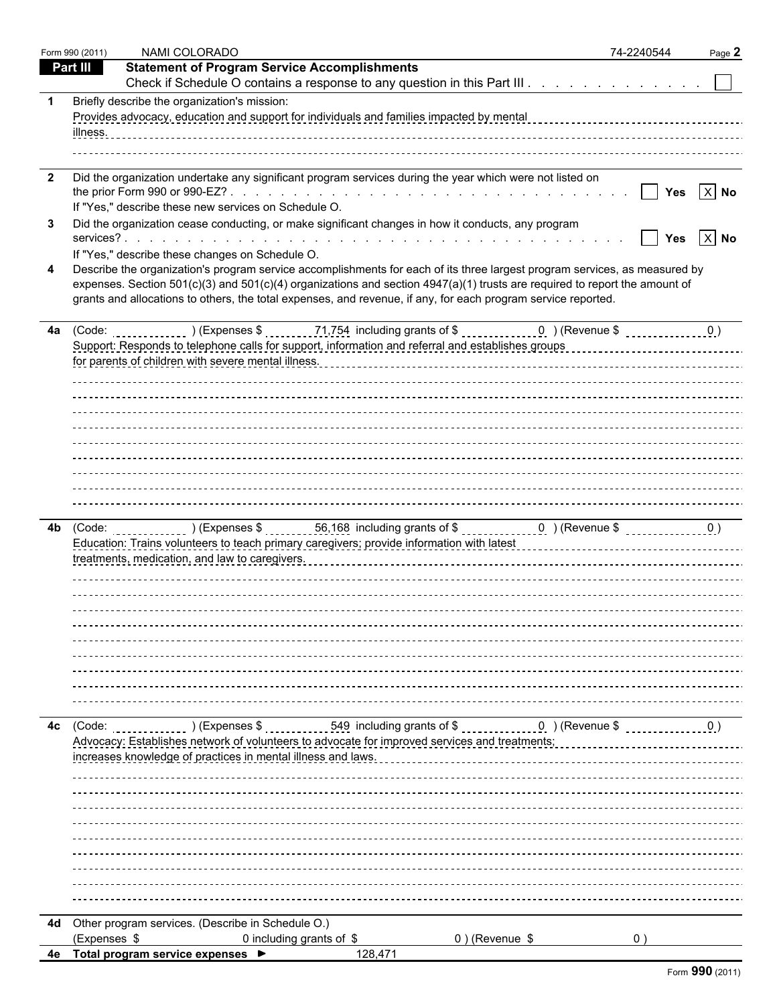|                | Form 990 (2011) | NAMI COLORADO                                                                                                                                                                                                                 | 74-2240544 | Page 2   |
|----------------|-----------------|-------------------------------------------------------------------------------------------------------------------------------------------------------------------------------------------------------------------------------|------------|----------|
|                | <b>Part III</b> | <b>Statement of Program Service Accomplishments</b>                                                                                                                                                                           |            |          |
|                |                 | Check if Schedule O contains a response to any question in this Part III                                                                                                                                                      |            |          |
|                |                 | Briefly describe the organization's mission:                                                                                                                                                                                  |            |          |
|                |                 | Provides advocacy, education and support for individuals and families impacted by mental contrast concentration of the series of the Provides advocacy, education and support for individual family and family mental for the |            |          |
|                | <u>illness.</u> |                                                                                                                                                                                                                               |            |          |
|                |                 |                                                                                                                                                                                                                               |            |          |
| $\overline{2}$ |                 | Did the organization undertake any significant program services during the year which were not listed on                                                                                                                      |            |          |
|                |                 |                                                                                                                                                                                                                               | l lYes     | $ X $ No |
|                |                 | If "Yes," describe these new services on Schedule O.                                                                                                                                                                          |            |          |
| 3              |                 | Did the organization cease conducting, or make significant changes in how it conducts, any program                                                                                                                            |            |          |
|                |                 | If "Yes," describe these changes on Schedule O.                                                                                                                                                                               | Yes        | $ X $ No |
|                |                 | Describe the organization's program service accomplishments for each of its three largest program services, as measured by                                                                                                    |            |          |
|                |                 | expenses. Section 501(c)(3) and 501(c)(4) organizations and section 4947(a)(1) trusts are required to report the amount of                                                                                                    |            |          |
|                |                 | grants and allocations to others, the total expenses, and revenue, if any, for each program service reported.                                                                                                                 |            |          |
|                |                 |                                                                                                                                                                                                                               |            |          |
|                |                 | 4a $(Code:$ $(Code:$ $(Cose: 0))$ $(Cxpenses$ \$ $(1,754)$ including grants of \$ $(0, 0)$ $(Cevenue$ \$ $(0, 0)$                                                                                                             |            |          |
|                |                 |                                                                                                                                                                                                                               |            |          |
|                |                 |                                                                                                                                                                                                                               |            |          |
|                |                 |                                                                                                                                                                                                                               |            |          |
|                |                 |                                                                                                                                                                                                                               |            |          |
|                |                 |                                                                                                                                                                                                                               |            |          |
|                |                 |                                                                                                                                                                                                                               |            |          |
|                |                 |                                                                                                                                                                                                                               |            |          |
|                |                 |                                                                                                                                                                                                                               |            |          |
|                |                 |                                                                                                                                                                                                                               |            |          |
|                |                 |                                                                                                                                                                                                                               |            |          |
|                |                 |                                                                                                                                                                                                                               |            |          |
|                |                 |                                                                                                                                                                                                                               |            |          |
|                |                 |                                                                                                                                                                                                                               |            |          |
|                |                 |                                                                                                                                                                                                                               |            |          |
|                |                 |                                                                                                                                                                                                                               |            |          |
|                |                 |                                                                                                                                                                                                                               |            |          |
|                |                 |                                                                                                                                                                                                                               |            |          |
|                |                 |                                                                                                                                                                                                                               |            |          |
|                |                 |                                                                                                                                                                                                                               |            |          |
|                |                 |                                                                                                                                                                                                                               |            |          |
|                |                 |                                                                                                                                                                                                                               |            |          |
|                |                 |                                                                                                                                                                                                                               |            |          |
| 4с             | (Code:          |                                                                                                                                                                                                                               |            |          |
|                |                 | Advocacy: Establishes network of volunteers to advocate for improved services and treatments:<br>increases knowledge of practices in mental illness and laws.                                                                 |            |          |
|                |                 |                                                                                                                                                                                                                               |            |          |
|                |                 |                                                                                                                                                                                                                               |            |          |
|                |                 |                                                                                                                                                                                                                               |            |          |
|                |                 |                                                                                                                                                                                                                               |            |          |
|                |                 |                                                                                                                                                                                                                               |            |          |
|                |                 |                                                                                                                                                                                                                               |            |          |
|                |                 |                                                                                                                                                                                                                               |            |          |
|                |                 |                                                                                                                                                                                                                               |            |          |
|                |                 |                                                                                                                                                                                                                               |            |          |
|                |                 | 4d Other program services. (Describe in Schedule O.)                                                                                                                                                                          |            |          |
|                | (Expenses \$    | $0$ ) (Revenue \$<br>0 including grants of $$$                                                                                                                                                                                | 0)         |          |
|                |                 | 4e Total program service expenses ▶<br>128,471                                                                                                                                                                                |            |          |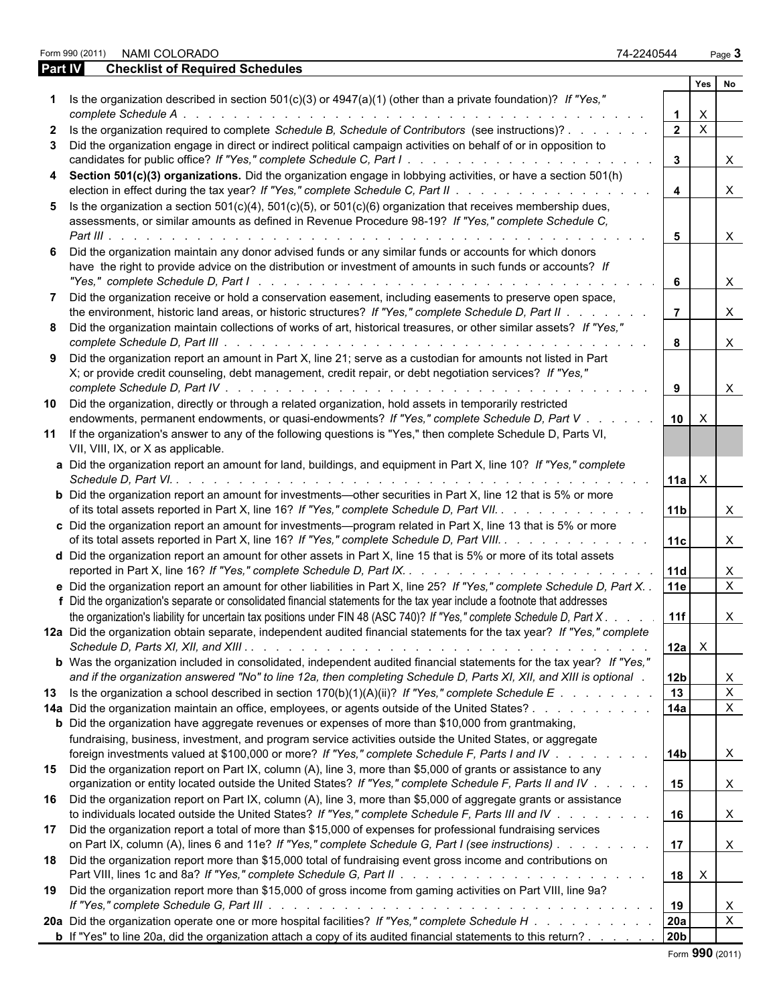Form 990 (2011) NAMI COLORADO 74-2240544 Page **3**

**Part IV Checklist of Required Schedules**

| 74-2240544 | Page 3 |
|------------|--------|
|------------|--------|

|                                                                                                                              |                 | Yes                       | No           |
|------------------------------------------------------------------------------------------------------------------------------|-----------------|---------------------------|--------------|
| Is the organization described in section $501(c)(3)$ or $4947(a)(1)$ (other than a private foundation)? If "Yes,"            |                 |                           |              |
| complete Schedule A.<br>.                                                                                                    | $\mathbf 1$     | X                         |              |
| 2 Is the organization required to complete Schedule B, Schedule of Contributors (see instructions)?                          | $2^{\circ}$     | $\mathsf{X}$              |              |
| 3 Did the organization engage in direct or indirect political campaign activities on behalf of or in opposition to           |                 |                           |              |
|                                                                                                                              | $\mathbf{3}$    |                           | X.           |
| 4 Section 501(c)(3) organizations. Did the organization engage in lobbying activities, or have a section 501(h)              |                 |                           |              |
|                                                                                                                              | $\overline{4}$  |                           | $\mathsf{X}$ |
| 5 Is the organization a section $501(c)(4)$ , $501(c)(5)$ , or $501(c)(6)$ organization that receives membership dues,       |                 |                           |              |
| assessments, or similar amounts as defined in Revenue Procedure 98-19? If "Yes," complete Schedule C,                        |                 |                           |              |
| Part III $\ldots$                                                                                                            | 5               |                           | X            |
| 6 Did the organization maintain any donor advised funds or any similar funds or accounts for which donors                    |                 |                           |              |
| have the right to provide advice on the distribution or investment of amounts in such funds or accounts? If                  |                 |                           |              |
|                                                                                                                              | 6               |                           | $\mathsf{X}$ |
| 7 Did the organization receive or hold a conservation easement, including easements to preserve open space,                  |                 |                           |              |
| the environment, historic land areas, or historic structures? If "Yes," complete Schedule D, Part II                         | $\overline{7}$  |                           | $\mathsf{X}$ |
| 8 Did the organization maintain collections of works of art, historical treasures, or other similar assets? If "Yes,"        |                 |                           |              |
|                                                                                                                              |                 |                           | $\mathsf{X}$ |
| 9 Did the organization report an amount in Part X, line 21; serve as a custodian for amounts not listed in Part              |                 |                           |              |
| X; or provide credit counseling, debt management, credit repair, or debt negotiation services? If "Yes,"                     |                 |                           |              |
|                                                                                                                              | 9               |                           | X.           |
| 10 Did the organization, directly or through a related organization, hold assets in temporarily restricted                   |                 |                           |              |
| endowments, permanent endowments, or quasi-endowments? If "Yes," complete Schedule D, Part V.                                | 10 <sup>1</sup> | $\times$                  |              |
| 11 If the organization's answer to any of the following questions is "Yes," then complete Schedule D, Parts VI,              |                 |                           |              |
| VII, VIII, IX, or X as applicable.                                                                                           |                 |                           |              |
| a Did the organization report an amount for land, buildings, and equipment in Part X, line 10? If "Yes," complete            |                 |                           |              |
| Schedule D, Part VI. .                                                                                                       | 11a             | $\times$                  |              |
| <b>b</b> Did the organization report an amount for investments—other securities in Part X, line 12 that is 5% or more        |                 |                           |              |
| of its total assets reported in Part X, line 16? If "Yes," complete Schedule D, Part VII.                                    | 11 <sub>b</sub> |                           | X.           |
| c Did the organization report an amount for investments-program related in Part X, line 13 that is 5% or more                |                 |                           |              |
| of its total assets reported in Part X, line 16? If "Yes," complete Schedule D, Part VIII.                                   | 11c             |                           | $\mathsf{X}$ |
| d Did the organization report an amount for other assets in Part X, line 15 that is 5% or more of its total assets           |                 |                           |              |
|                                                                                                                              | <b>11d</b>      |                           | $\mathsf{X}$ |
| e Did the organization report an amount for other liabilities in Part X, line 25? If "Yes," complete Schedule D, Part X. .   | 11e             |                           | $\mathsf{X}$ |
| f Did the organization's separate or consolidated financial statements for the tax year include a footnote that addresses    |                 |                           |              |
| the organization's liability for uncertain tax positions under FIN 48 (ASC 740)? If "Yes," complete Schedule D, Part X.      | 11f             |                           |              |
|                                                                                                                              |                 |                           | X            |
| 12a Did the organization obtain separate, independent audited financial statements for the tax year? If "Yes," complete      |                 |                           |              |
|                                                                                                                              | $12a \times$    |                           |              |
| <b>b</b> Was the organization included in consolidated, independent audited financial statements for the tax year? If "Yes," |                 |                           |              |
| and if the organization answered "No" to line 12a, then completing Schedule D, Parts XI, XII, and XIII is optional.          | 12 <sub>b</sub> |                           | X            |
| 13 Is the organization a school described in section 170(b)(1)(A)(ii)? If "Yes," complete Schedule E                         | 13              |                           | $\mathsf{X}$ |
| 14a Did the organization maintain an office, employees, or agents outside of the United States?                              | 14a             |                           | $\mathsf{X}$ |
| <b>b</b> Did the organization have aggregate revenues or expenses of more than \$10,000 from grantmaking,                    |                 |                           |              |
| fundraising, business, investment, and program service activities outside the United States, or aggregate                    |                 |                           |              |
| foreign investments valued at \$100,000 or more? If "Yes," complete Schedule F, Parts I and IV                               | 14 <sub>b</sub> |                           | X            |
| 15 Did the organization report on Part IX, column (A), line 3, more than \$5,000 of grants or assistance to any              |                 |                           |              |
| organization or entity located outside the United States? If "Yes," complete Schedule F, Parts II and IV                     | 15              |                           | $\mathsf{X}$ |
| 16 Did the organization report on Part IX, column (A), line 3, more than \$5,000 of aggregate grants or assistance           |                 |                           |              |
| to individuals located outside the United States? If "Yes," complete Schedule F, Parts III and IV                            | 16              |                           | $\mathsf{X}$ |
| 17 Did the organization report a total of more than \$15,000 of expenses for professional fundraising services               |                 |                           |              |
| on Part IX, column (A), lines 6 and 11e? If "Yes," complete Schedule G, Part I (see instructions)                            | 17              |                           | $\mathsf{X}$ |
| 18 Did the organization report more than \$15,000 total of fundraising event gross income and contributions on               |                 |                           |              |
|                                                                                                                              | 18              | $\boldsymbol{\mathsf{X}}$ |              |
| 19 Did the organization report more than \$15,000 of gross income from gaming activities on Part VIII, line 9a?              |                 |                           |              |
|                                                                                                                              | 19              |                           | X            |
|                                                                                                                              | 20a             |                           | $\mathsf{X}$ |
| 20a Did the organization operate one or more hospital facilities? If "Yes," complete Schedule H                              |                 |                           |              |
| <b>b</b> If "Yes" to line 20a, did the organization attach a copy of its audited financial statements to this return?        | 20 <sub>b</sub> |                           |              |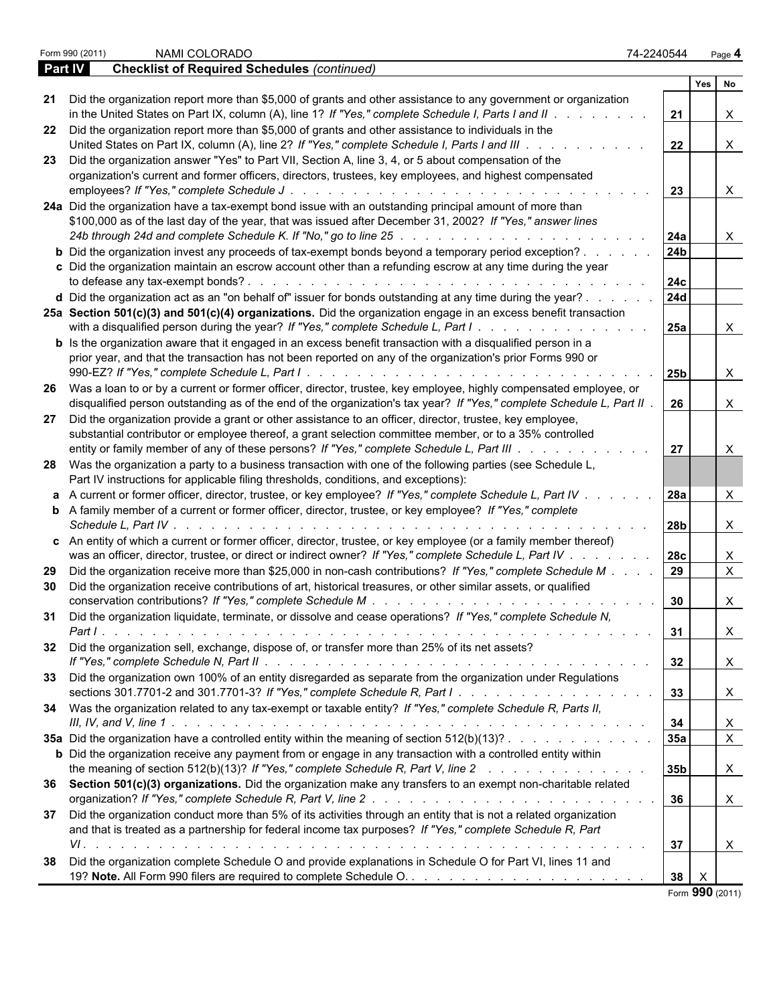|         | NAMI COLORADO<br>Form 990 (2011)                                                                                                     | 74-2240544           | Page 4         |  |
|---------|--------------------------------------------------------------------------------------------------------------------------------------|----------------------|----------------|--|
| Part IV | <b>Checklist of Required Schedules (continued)</b>                                                                                   |                      |                |  |
|         |                                                                                                                                      |                      | Yes<br>No      |  |
|         | 21 Did the organization report more than \$5,000 of grants and other assistance to any government or organization                    |                      |                |  |
|         | in the United States on Part IX, column (A), line 1? If "Yes," complete Schedule I, Parts I and II $\ldots$                          | 21                   | X              |  |
|         | 22 Did the organization report more than \$5,000 of grants and other assistance to individuals in the                                |                      |                |  |
|         | United States on Part IX, column (A), line 2? If "Yes," complete Schedule I, Parts I and III.<br>the contract of the contract of the | 22                   | X              |  |
|         | 23 Did the organization answer "Yes" to Part VII, Section A, line 3, 4, or 5 about compensation of the                               |                      |                |  |
|         | organization's current and former officers, directors, trustees, key employees, and highest compensated                              |                      |                |  |
|         |                                                                                                                                      | 23                   | X              |  |
|         | 24a Did the organization have a tax-exempt bond issue with an outstanding principal amount of more than                              |                      |                |  |
|         | \$100,000 as of the last day of the year, that was issued after December 31, 2002? If "Yes," answer lines                            |                      |                |  |
|         | 24b through 24d and complete Schedule K. If "No," go to line 25 manufacture manufacture manufacture manufactur                       |                      |                |  |
|         |                                                                                                                                      | 24a                  | X              |  |
|         | <b>b</b> Did the organization invest any proceeds of tax-exempt bonds beyond a temporary period exception?                           | 24 <sub>b</sub>      |                |  |
|         | c Did the organization maintain an escrow account other than a refunding escrow at any time during the year                          |                      |                |  |
|         |                                                                                                                                      | 24c                  |                |  |
|         | <b>d</b> Did the organization act as an "on behalf of" issuer for bonds outstanding at any time during the year? $\ldots$            | 24d                  |                |  |
|         | 25a Section 501(c)(3) and 501(c)(4) organizations. Did the organization engage in an excess benefit transaction                      |                      |                |  |
|         | with a disqualified person during the year? If "Yes," complete Schedule L, Part I.                                                   | 25a                  | X              |  |
|         | <b>b</b> Is the organization aware that it engaged in an excess benefit transaction with a disqualified person in a                  |                      |                |  |
|         | prior year, and that the transaction has not been reported on any of the organization's prior Forms 990 or                           |                      |                |  |
|         |                                                                                                                                      | 25b                  | X              |  |
|         | 26 Was a loan to or by a current or former officer, director, trustee, key employee, highly compensated employee, or                 |                      |                |  |
|         | disqualified person outstanding as of the end of the organization's tax year? If "Yes," complete Schedule L, Part II.                | 26                   | X              |  |
|         | 27 Did the organization provide a grant or other assistance to an officer, director, trustee, key employee,                          |                      |                |  |
|         | substantial contributor or employee thereof, a grant selection committee member, or to a 35% controlled                              |                      |                |  |
|         | entity or family member of any of these persons? If "Yes," complete Schedule L, Part III                                             | 27                   | X              |  |
|         | 28 Was the organization a party to a business transaction with one of the following parties (see Schedule L,                         |                      |                |  |
|         | Part IV instructions for applicable filing thresholds, conditions, and exceptions):                                                  |                      |                |  |
|         |                                                                                                                                      |                      |                |  |
|         | a A current or former officer, director, trustee, or key employee? If "Yes," complete Schedule L, Part IV                            | <b>28a</b>           | X              |  |
|         | <b>b</b> A family member of a current or former officer, director, trustee, or key employee? If "Yes," complete                      |                      |                |  |
|         |                                                                                                                                      | 28 <sub>b</sub>      | X              |  |
|         | c An entity of which a current or former officer, director, trustee, or key employee (or a family member thereof)                    |                      |                |  |
|         | was an officer, director, trustee, or direct or indirect owner? If "Yes," complete Schedule L, Part IV                               | 28c                  | X              |  |
|         | 29 Did the organization receive more than \$25,000 in non-cash contributions? If "Yes," complete Schedule M                          | 29                   | $\mathsf X$    |  |
| 30      | Did the organization receive contributions of art, historical treasures, or other similar assets, or qualified                       |                      |                |  |
|         |                                                                                                                                      | 30                   | X              |  |
|         | 31 Did the organization liquidate, terminate, or dissolve and cease operations? If "Yes," complete Schedule N,                       |                      |                |  |
|         |                                                                                                                                      | 31                   | X              |  |
|         | 32 Did the organization sell, exchange, dispose of, or transfer more than 25% of its net assets?                                     |                      |                |  |
|         |                                                                                                                                      | 32                   | X              |  |
|         | 33 Did the organization own 100% of an entity disregarded as separate from the organization under Regulations                        |                      |                |  |
|         |                                                                                                                                      |                      |                |  |
|         |                                                                                                                                      | 33                   | X              |  |
|         | 34 Was the organization related to any tax-exempt or taxable entity? If "Yes," complete Schedule R, Parts II,                        |                      |                |  |
|         |                                                                                                                                      | 34                   | X              |  |
|         | 35a Did the organization have a controlled entity within the meaning of section 512(b)(13)?                                          | 35a                  | $\overline{X}$ |  |
|         | <b>b</b> Did the organization receive any payment from or engage in any transaction with a controlled entity within                  |                      |                |  |
|         | the meaning of section 512(b)(13)? If "Yes," complete Schedule R, Part V, line 2                                                     | 35 <sub>b</sub>      | X              |  |
|         | 36 Section 501(c)(3) organizations. Did the organization make any transfers to an exempt non-charitable related                      |                      |                |  |
|         |                                                                                                                                      | 36                   | X              |  |
|         | 37 Did the organization conduct more than 5% of its activities through an entity that is not a related organization                  |                      |                |  |
|         | and that is treated as a partnership for federal income tax purposes? If "Yes," complete Schedule R, Part                            |                      |                |  |
|         |                                                                                                                                      | 37                   | X.             |  |
|         | 38 Did the organization complete Schedule O and provide explanations in Schedule O for Part VI, lines 11 and                         |                      |                |  |
|         |                                                                                                                                      | 38                   |                |  |
|         |                                                                                                                                      | $F_{2}$ 000 $(0.04)$ |                |  |

Form **990** (2011)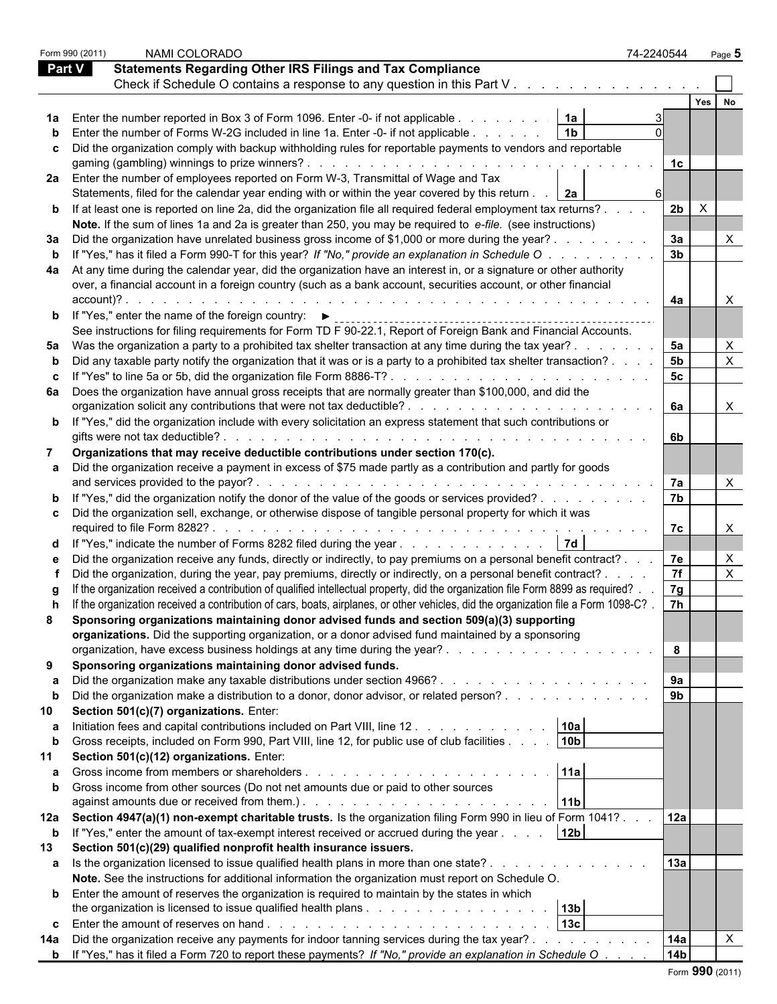|               | Form 990 (2011) | NAMI COLORADO                                                                                                                                                                                                                                                          | 74-2240544      |     | Page 5    |
|---------------|-----------------|------------------------------------------------------------------------------------------------------------------------------------------------------------------------------------------------------------------------------------------------------------------------|-----------------|-----|-----------|
| <b>Part V</b> |                 | <b>Statements Regarding Other IRS Filings and Tax Compliance</b>                                                                                                                                                                                                       |                 |     |           |
|               |                 | Check if Schedule O contains a response to any question in this Part V                                                                                                                                                                                                 |                 |     |           |
|               |                 |                                                                                                                                                                                                                                                                        |                 | Yes | <b>No</b> |
|               |                 | 1a Enter the number reported in Box 3 of Form 1096. Enter -0- if not applicable<br>1a                                                                                                                                                                                  |                 |     |           |
|               |                 | <b>b</b> Enter the number of Forms W-2G included in line 1a. Enter -0- if not applicable<br>1 <sub>b</sub>                                                                                                                                                             |                 |     |           |
|               |                 |                                                                                                                                                                                                                                                                        |                 |     |           |
|               |                 | c Did the organization comply with backup withholding rules for reportable payments to vendors and reportable                                                                                                                                                          |                 |     |           |
|               |                 |                                                                                                                                                                                                                                                                        | 1c              |     |           |
|               |                 | 2a Enter the number of employees reported on Form W-3, Transmittal of Wage and Tax                                                                                                                                                                                     |                 |     |           |
|               |                 | Statements, filed for the calendar year ending with or within the year covered by this return<br><u>2a</u>                                                                                                                                                             |                 |     |           |
|               |                 | <b>b</b> If at least one is reported on line 2a, did the organization file all required federal employment tax returns?                                                                                                                                                | 2 <sub>b</sub>  |     |           |
|               |                 | Note. If the sum of lines 1a and 2a is greater than 250, you may be required to e-file. (see instructions)                                                                                                                                                             |                 |     |           |
|               |                 | 3a Did the organization have unrelated business gross income of \$1,000 or more during the year?                                                                                                                                                                       | 3a              |     |           |
|               |                 | b If "Yes," has it filed a Form 990-T for this year? If "No," provide an explanation in Schedule O.                                                                                                                                                                    | 3 <sub>b</sub>  |     |           |
|               |                 | 4a At any time during the calendar year, did the organization have an interest in, or a signature or other authority                                                                                                                                                   |                 |     |           |
|               |                 | over, a financial account in a foreign country (such as a bank account, securities account, or other financial                                                                                                                                                         |                 |     |           |
|               | $account$ :     |                                                                                                                                                                                                                                                                        | 4a              |     |           |
|               |                 | <b>b</b> If "Yes," enter the name of the foreign country: $\blacktriangleright$                                                                                                                                                                                        |                 |     |           |
|               |                 |                                                                                                                                                                                                                                                                        |                 |     |           |
|               |                 | See instructions for filing requirements for Form TD F 90-22.1, Report of Foreign Bank and Financial Accounts.                                                                                                                                                         |                 |     |           |
|               |                 | 5a Was the organization a party to a prohibited tax shelter transaction at any time during the tax year?.                                                                                                                                                              | 5a              |     |           |
|               |                 | b Did any taxable party notify the organization that it was or is a party to a prohibited tax shelter transaction?.                                                                                                                                                    | 5 <sub>b</sub>  |     | X         |
|               |                 | c If "Yes" to line 5a or 5b, did the organization file Form 8886-T?                                                                                                                                                                                                    | 5 <sub>c</sub>  |     |           |
|               |                 | 6a Does the organization have annual gross receipts that are normally greater than \$100,000, and did the                                                                                                                                                              |                 |     |           |
|               |                 |                                                                                                                                                                                                                                                                        | 6а              |     | X         |
|               |                 | <b>b</b> If "Yes," did the organization include with every solicitation an express statement that such contributions or                                                                                                                                                |                 |     |           |
|               |                 |                                                                                                                                                                                                                                                                        | 6b              |     |           |
| 7             |                 | Organizations that may receive deductible contributions under section 170(c).                                                                                                                                                                                          |                 |     |           |
|               |                 | a Did the organization receive a payment in excess of \$75 made partly as a contribution and partly for goods                                                                                                                                                          |                 |     |           |
|               |                 | and services provided to the payor?.<br>the contract of the contract of the contract of the contract of the contract of the contract of the contract of the contract of the contract of the contract of the contract of the contract of the contract of the contract o | 7a              |     |           |
|               |                 | <b>b</b> If "Yes," did the organization notify the donor of the value of the goods or services provided?                                                                                                                                                               | 7b              |     |           |
|               |                 | c Did the organization sell, exchange, or otherwise dispose of tangible personal property for which it was                                                                                                                                                             |                 |     |           |
|               |                 |                                                                                                                                                                                                                                                                        | 7c              |     |           |
|               |                 | 7d <br>d If "Yes," indicate the number of Forms 8282 filed during the year                                                                                                                                                                                             |                 |     |           |
|               |                 | e Did the organization receive any funds, directly or indirectly, to pay premiums on a personal benefit contract?.                                                                                                                                                     |                 |     | X         |
|               |                 |                                                                                                                                                                                                                                                                        | 7e              |     |           |
|               |                 | Did the organization, during the year, pay premiums, directly or indirectly, on a personal benefit contract? .                                                                                                                                                         | 7f              |     | X         |
|               |                 | If the organization received a contribution of qualified intellectual property, did the organization file Form 8899 as required?.                                                                                                                                      | 7g              |     |           |
|               |                 | If the organization received a contribution of cars, boats, airplanes, or other vehicles, did the organization file a Form 1098-C?                                                                                                                                     | 7h              |     |           |
|               |                 | Sponsoring organizations maintaining donor advised funds and section 509(a)(3) supporting                                                                                                                                                                              |                 |     |           |
|               |                 | organizations. Did the supporting organization, or a donor advised fund maintained by a sponsoring                                                                                                                                                                     |                 |     |           |
|               |                 |                                                                                                                                                                                                                                                                        | 8               |     |           |
| 9             |                 | Sponsoring organizations maintaining donor advised funds.                                                                                                                                                                                                              |                 |     |           |
|               |                 |                                                                                                                                                                                                                                                                        | 9а              |     |           |
| $\mathbf{b}$  |                 | Did the organization make a distribution to a donor, donor advisor, or related person?                                                                                                                                                                                 | 9 <sub>b</sub>  |     |           |
| 10            |                 | Section 501(c)(7) organizations. Enter:                                                                                                                                                                                                                                |                 |     |           |
|               |                 | Initiation fees and capital contributions included on Part VIII, line 12<br>10a                                                                                                                                                                                        |                 |     |           |
| b             |                 | 10 <sub>b</sub>  <br>Gross receipts, included on Form 990, Part VIII, line 12, for public use of club facilities                                                                                                                                                       |                 |     |           |
| 11            |                 | Section 501(c)(12) organizations. Enter:                                                                                                                                                                                                                               |                 |     |           |
|               |                 | 11a<br>Gross income from members or shareholders.                                                                                                                                                                                                                      |                 |     |           |
|               |                 | <b>b</b> Gross income from other sources (Do not net amounts due or paid to other sources                                                                                                                                                                              |                 |     |           |
|               |                 |                                                                                                                                                                                                                                                                        |                 |     |           |
|               |                 | 11b <br>against amounts due or received from them.). The state of the state of the state of the state of the state of t                                                                                                                                                |                 |     |           |
|               |                 | 12a Section 4947(a)(1) non-exempt charitable trusts. Is the organization filing Form 990 in lieu of Form 1041?                                                                                                                                                         | 12a             |     |           |
| b             |                 | If "Yes," enter the amount of tax-exempt interest received or accrued during the year<br>12 <sub>b</sub>                                                                                                                                                               |                 |     |           |
| 13            |                 | Section 501(c)(29) qualified nonprofit health insurance issuers.                                                                                                                                                                                                       |                 |     |           |
|               |                 | a Is the organization licensed to issue qualified health plans in more than one state?                                                                                                                                                                                 | 13a             |     |           |
|               |                 | Note. See the instructions for additional information the organization must report on Schedule O.                                                                                                                                                                      |                 |     |           |
|               |                 | <b>b</b> Enter the amount of reserves the organization is required to maintain by the states in which                                                                                                                                                                  |                 |     |           |
|               |                 | 13 <sub>b</sub>                                                                                                                                                                                                                                                        |                 |     |           |
|               |                 | $\sqrt{13c}$                                                                                                                                                                                                                                                           |                 |     |           |
| 14a           |                 | Did the organization receive any payments for indoor tanning services during the tax year?.<br>the contract of the contract of the                                                                                                                                     | 14a             |     |           |
|               |                 | <b>b</b> If "Yes," has it filed a Form 720 to report these payments? If "No," provide an explanation in Schedule O                                                                                                                                                     | 14 <sub>b</sub> |     |           |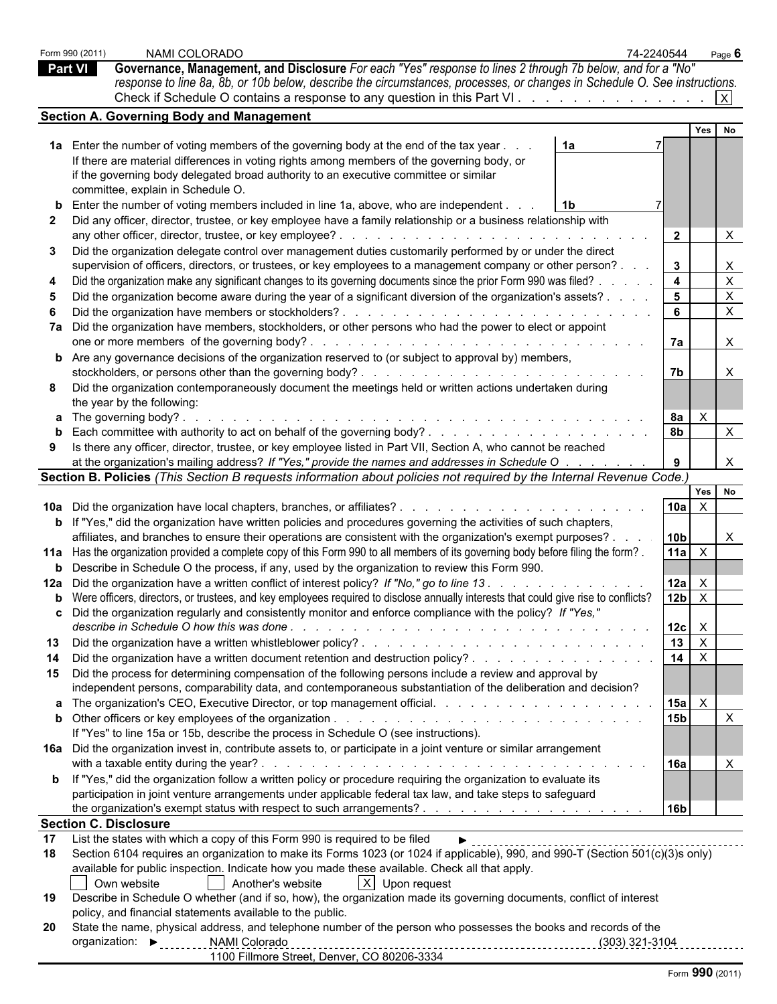|                | NAMI COLORADO<br>Form 990 (2011)                                                                                                                                                                                                     | 74-2240544 |                                    | Page $6$                            |
|----------------|--------------------------------------------------------------------------------------------------------------------------------------------------------------------------------------------------------------------------------------|------------|------------------------------------|-------------------------------------|
| <b>Part VI</b> | Governance, Management, and Disclosure For each "Yes" response to lines 2 through 7b below, and for a "No"                                                                                                                           |            |                                    |                                     |
|                | response to line 8a, 8b, or 10b below, describe the circumstances, processes, or changes in Schedule O. See instructions.                                                                                                            |            |                                    |                                     |
|                | Check if Schedule O contains a response to any question in this Part VI.                                                                                                                                                             |            |                                    |                                     |
|                | <b>Section A. Governing Body and Management</b>                                                                                                                                                                                      |            |                                    |                                     |
|                |                                                                                                                                                                                                                                      |            |                                    | Yes No                              |
|                | 1a Enter the number of voting members of the governing body at the end of the tax year.<br>1a<br>If there are material differences in voting rights among members of the governing body, or                                          |            |                                    |                                     |
|                | if the governing body delegated broad authority to an executive committee or similar                                                                                                                                                 |            |                                    |                                     |
|                | committee, explain in Schedule O.                                                                                                                                                                                                    |            |                                    |                                     |
|                | <b>b</b> Enter the number of voting members included in line 1a, above, who are independent.<br>1b                                                                                                                                   |            |                                    |                                     |
|                | 2 Did any officer, director, trustee, or key employee have a family relationship or a business relationship with                                                                                                                     |            |                                    |                                     |
|                |                                                                                                                                                                                                                                      |            | $\overline{2}$                     | X                                   |
| 3              | Did the organization delegate control over management duties customarily performed by or under the direct<br>supervision of officers, directors, or trustees, or key employees to a management company or other person?.             |            | $\mathbf{3}$                       |                                     |
|                | Did the organization make any significant changes to its governing documents since the prior Form 990 was filed?                                                                                                                     |            | 4                                  | X                                   |
|                | Did the organization become aware during the year of a significant diversion of the organization's assets? .                                                                                                                         |            | $5\phantom{.0}$                    | X                                   |
|                |                                                                                                                                                                                                                                      |            | 6                                  | $\times$                            |
|                | 7a Did the organization have members, stockholders, or other persons who had the power to elect or appoint                                                                                                                           |            | 7а                                 | $\times$                            |
|                | <b>b</b> Are any governance decisions of the organization reserved to (or subject to approval by) members,                                                                                                                           |            |                                    |                                     |
|                |                                                                                                                                                                                                                                      |            | 7b                                 |                                     |
| 8              | Did the organization contemporaneously document the meetings held or written actions undertaken during<br>the year by the following:                                                                                                 |            |                                    |                                     |
|                | <b>a</b> The governing body?.                                                                                                                                                                                                        |            | 8a                                 | $\times$                            |
|                | <b>b</b> Each committee with authority to act on behalf of the governing body?                                                                                                                                                       |            | 8 <sub>b</sub>                     | X                                   |
| 9              | Is there any officer, director, trustee, or key employee listed in Part VII, Section A, who cannot be reached                                                                                                                        |            |                                    |                                     |
|                | at the organization's mailing address? If "Yes," provide the names and addresses in Schedule O                                                                                                                                       |            |                                    | $\times$                            |
|                | Section B. Policies (This Section B requests information about policies not required by the Internal Revenue Code.)                                                                                                                  |            |                                    |                                     |
|                |                                                                                                                                                                                                                                      |            | <b>10a</b>                         | Yes No<br>$\boldsymbol{\mathsf{X}}$ |
|                | 10a Did the organization have local chapters, branches, or affiliates?<br>.<br><b>b</b> If "Yes," did the organization have written policies and procedures governing the activities of such chapters,                               |            |                                    |                                     |
|                | affiliates, and branches to ensure their operations are consistent with the organization's exempt purposes?.                                                                                                                         |            | 10 <sub>b</sub>                    | X                                   |
|                | 11a Has the organization provided a complete copy of this Form 990 to all members of its governing body before filing the form?.                                                                                                     |            | 11a                                | $\mathsf{X}$                        |
|                | <b>b</b> Describe in Schedule O the process, if any, used by the organization to review this Form 990.                                                                                                                               |            |                                    |                                     |
|                | 12a Did the organization have a written conflict of interest policy? If "No," go to line 13.                                                                                                                                         |            | 12a                                | $\mathsf{X}$                        |
|                | b Were officers, directors, or trustees, and key employees required to disclose annually interests that could give rise to conflicts?                                                                                                |            | 12 <sub>b</sub>                    | $\boldsymbol{\mathsf{X}}$           |
|                | c Did the organization regularly and consistently monitor and enforce compliance with the policy? If "Yes,"                                                                                                                          |            | $12c \times$                       |                                     |
| 13             |                                                                                                                                                                                                                                      |            | $13 \overline{\phantom{0} \times}$ |                                     |
| 14             | Did the organization have a written document retention and destruction policy?                                                                                                                                                       |            | 14 $\overline{X}$                  |                                     |
|                | 15 Did the process for determining compensation of the following persons include a review and approval by                                                                                                                            |            |                                    |                                     |
|                | independent persons, comparability data, and contemporaneous substantiation of the deliberation and decision?                                                                                                                        |            |                                    |                                     |
|                |                                                                                                                                                                                                                                      |            | $ 15a  \times$<br>15b              | $\times$                            |
|                | If "Yes" to line 15a or 15b, describe the process in Schedule O (see instructions).                                                                                                                                                  |            |                                    |                                     |
|                | 16a Did the organization invest in, contribute assets to, or participate in a joint venture or similar arrangement                                                                                                                   |            |                                    |                                     |
|                | with a taxable entity during the year? $\ldots$ $\ldots$ $\ldots$ $\ldots$ $\ldots$ $\ldots$ $\ldots$ $\ldots$ $\ldots$ $\ldots$ $\ldots$ $\ldots$ $\ldots$                                                                          |            | 16a                                | $\times$                            |
|                | <b>b</b> If "Yes," did the organization follow a written policy or procedure requiring the organization to evaluate its<br>participation in joint venture arrangements under applicable federal tax law, and take steps to safeguard |            |                                    |                                     |
|                |                                                                                                                                                                                                                                      |            | 16b                                |                                     |
|                | <b>Section C. Disclosure</b>                                                                                                                                                                                                         |            |                                    |                                     |
| 17             | List the states with which a copy of this Form 990 is required to be filed                                                                                                                                                           |            |                                    |                                     |
| 18             | Section 6104 requires an organization to make its Forms 1023 (or 1024 if applicable), 990, and 990-T (Section 501(c)(3)s only)                                                                                                       |            |                                    |                                     |
|                | available for public inspection. Indicate how you made these available. Check all that apply.                                                                                                                                        |            |                                    |                                     |
| 19             | Own website<br>Another's website<br>$ X $ Upon request<br>Describe in Schedule O whether (and if so, how), the organization made its governing documents, conflict of interest                                                       |            |                                    |                                     |
|                | policy, and financial statements available to the public.                                                                                                                                                                            |            |                                    |                                     |
|                | 20 State the name, physical address, and telephone number of the person who possesses the books and records of the                                                                                                                   |            |                                    |                                     |
|                | organization: Decreed NAMI Colorado                                                                                                                                                                                                  |            |                                    |                                     |
|                | 1100 Fillmore Street, Denver, CO 80206-3334                                                                                                                                                                                          |            |                                    |                                     |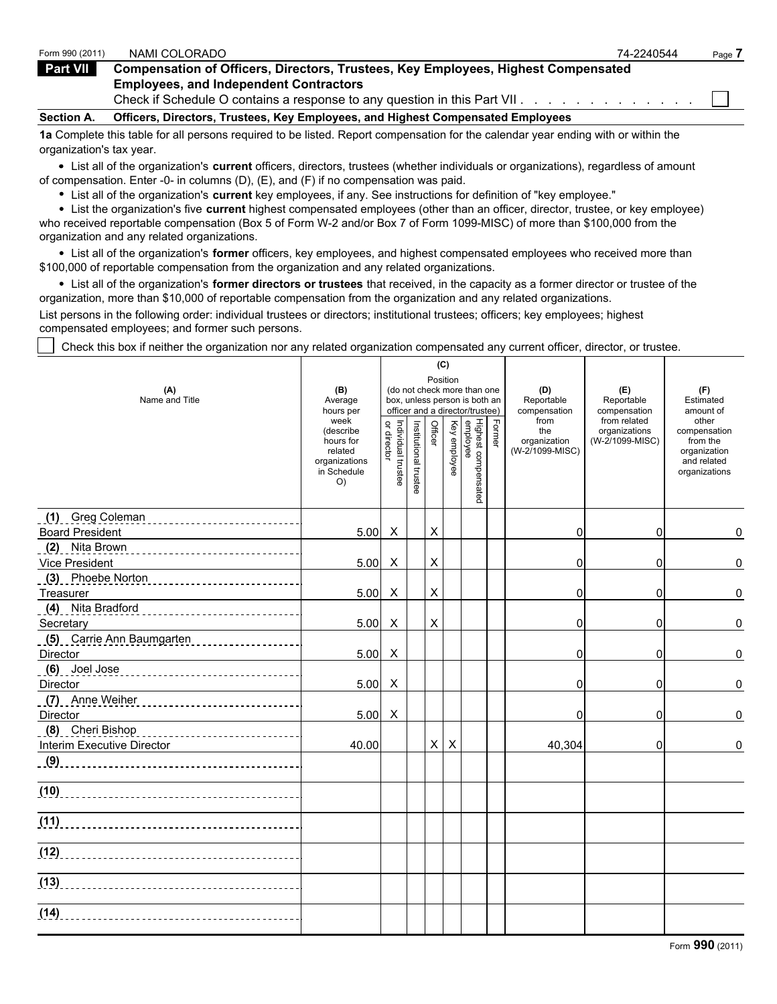| Form 990 (2011)   | NAMI COLORADO                                                                            | 74-2240544 | Page |
|-------------------|------------------------------------------------------------------------------------------|------------|------|
| Part VII          | <b>Compensation of Officers, Directors, Trustees, Key Employees, Highest Compensated</b> |            |      |
|                   | <b>Employees, and Independent Contractors</b>                                            |            |      |
|                   | Check if Schedule O contains a response to any question in this Part VII.                |            |      |
| <b>Section A.</b> | Officers, Directors, Trustees, Key Employees, and Highest Compensated Employees          |            |      |

**1a** Complete this table for all persons required to be listed. Report compensation for the calendar year ending with or within the organization's tax year.

List all of the organization's **current** officers, directors, trustees (whether individuals or organizations), regardless of amount of compensation. Enter -0- in columns (D), (E), and (F) if no compensation was paid.

List all of the organization's **current** key employees, if any. See instructions for definition of "key employee."

List the organization's five **current** highest compensated employees (other than an officer, director, trustee, or key employee) who received reportable compensation (Box 5 of Form W-2 and/or Box 7 of Form 1099-MISC) of more than \$100,000 from the organization and any related organizations.

List all of the organization's **former** officers, key employees, and highest compensated employees who received more than \$100,000 of reportable compensation from the organization and any related organizations.

List all of the organization's **former directors or trustees** that received, in the capacity as a former director or trustee of the organization, more than \$10,000 of reportable compensation from the organization and any related organizations.

List persons in the following order: individual trustees or directors; institutional trustees; officers; key employees; highest compensated employees; and former such persons.

Check this box if neither the organization nor any related organization compensated any current officer, director, or trustee.

|                                                                                                                             |                                                                                  |                                   |                       | (C)            |                           |                                                                                                 |        |                                                |                                                  |                                                                                   |
|-----------------------------------------------------------------------------------------------------------------------------|----------------------------------------------------------------------------------|-----------------------------------|-----------------------|----------------|---------------------------|-------------------------------------------------------------------------------------------------|--------|------------------------------------------------|--------------------------------------------------|-----------------------------------------------------------------------------------|
| (A)<br>Name and Title                                                                                                       | (B)<br>Average<br>hours per                                                      |                                   |                       | Position       |                           | (do not check more than one<br>box, unless person is both an<br>officer and a director/trustee) |        | (D)<br>Reportable<br>compensation              | (E)<br>Reportable<br>compensation                | (F)<br>Estimated<br>amount of                                                     |
|                                                                                                                             | week<br>(describe<br>hours for<br>related<br>organizations<br>in Schedule<br>O() | Individual trustee<br>or director | Institutional trustee | Officer        | Key employee              | Highest compensated<br>employee                                                                 | Former | from<br>the<br>organization<br>(W-2/1099-MISC) | from related<br>organizations<br>(W-2/1099-MISC) | other<br>compensation<br>from the<br>organization<br>and related<br>organizations |
| (1) Greg Coleman (1)<br><b>Board President</b>                                                                              | $5.00\text{ X}$                                                                  |                                   |                       | $\pmb{\times}$ |                           |                                                                                                 |        | 0                                              | 0                                                | 0                                                                                 |
| (2) Nita Brown<br>Vice President                                                                                            | 5.00                                                                             | $\mathsf{X}$                      |                       | $\mathsf X$    |                           |                                                                                                 |        | 0                                              | 0                                                | 0                                                                                 |
|                                                                                                                             |                                                                                  |                                   |                       |                |                           |                                                                                                 |        |                                                |                                                  |                                                                                   |
| Treasurer<br>(4) Nita Bradford                                                                                              | $5.00 \quad X$                                                                   |                                   |                       | $\pmb{\times}$ |                           |                                                                                                 |        | 0                                              | $\Omega$                                         | 0                                                                                 |
| Secretary                                                                                                                   | $5.00 \times$                                                                    |                                   |                       | $\pmb{\times}$ |                           |                                                                                                 |        | 0                                              | 0                                                | 0                                                                                 |
| (5) Carrie Ann Baumgarten<br>Director                                                                                       | 5.00                                                                             | $\mathsf{X}$                      |                       |                |                           |                                                                                                 |        | 0                                              | 0                                                | 0                                                                                 |
| (6) Joel Jose (2008) 300 Million (6) Joel Jose (2008) 2010 10:00 10:00 10:00 10:00 10:00 10:00 10:00 10:00 10:0<br>Director | 5.00                                                                             | $\mathsf{X}$                      |                       |                |                           |                                                                                                 |        | $\Omega$                                       | 0                                                | 0                                                                                 |
| (7) Anne Weiher (2008) 2014 2021 12:00 Anne Weiher (7) 2021<br>Director                                                     | $5.00\text{ X}$                                                                  |                                   |                       |                |                           |                                                                                                 |        | $\Omega$                                       | $\Omega$                                         | 0                                                                                 |
| (8) Cheri Bishop<br><b>Interim Executive Director</b>                                                                       | 40.00                                                                            |                                   |                       | $\mathsf{X}$   | $\boldsymbol{\mathsf{X}}$ |                                                                                                 |        | 40,304                                         | $\Omega$                                         | 0                                                                                 |
|                                                                                                                             |                                                                                  |                                   |                       |                |                           |                                                                                                 |        |                                                |                                                  |                                                                                   |
|                                                                                                                             |                                                                                  |                                   |                       |                |                           |                                                                                                 |        |                                                |                                                  |                                                                                   |
|                                                                                                                             |                                                                                  |                                   |                       |                |                           |                                                                                                 |        |                                                |                                                  |                                                                                   |
|                                                                                                                             |                                                                                  |                                   |                       |                |                           |                                                                                                 |        |                                                |                                                  |                                                                                   |
|                                                                                                                             |                                                                                  |                                   |                       |                |                           |                                                                                                 |        |                                                |                                                  |                                                                                   |
| (14)                                                                                                                        |                                                                                  |                                   |                       |                |                           |                                                                                                 |        |                                                |                                                  |                                                                                   |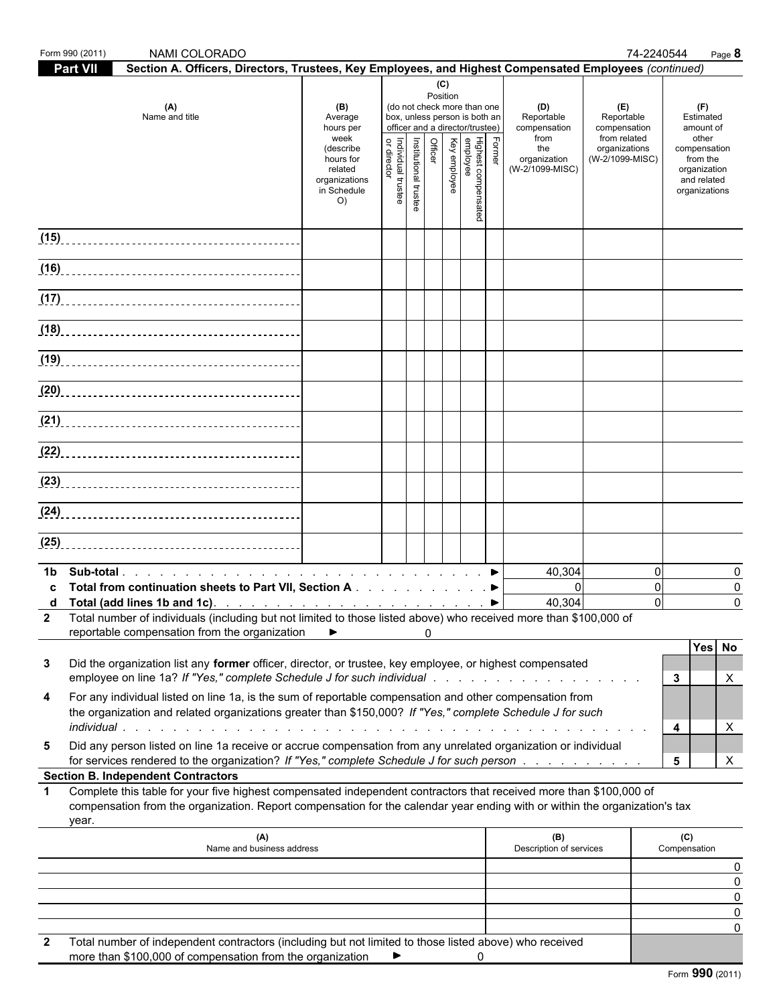|             | Form 990 (2011) | NAMI COLORADO                                                                                                                                                                                                                                    |                                                                                                                 |                                                                    |                       |                            |              |                                                                                                   |        |                                                                                     |                                                                                       | 74-2240544<br>Page 8                                                                                               |
|-------------|-----------------|--------------------------------------------------------------------------------------------------------------------------------------------------------------------------------------------------------------------------------------------------|-----------------------------------------------------------------------------------------------------------------|--------------------------------------------------------------------|-----------------------|----------------------------|--------------|---------------------------------------------------------------------------------------------------|--------|-------------------------------------------------------------------------------------|---------------------------------------------------------------------------------------|--------------------------------------------------------------------------------------------------------------------|
|             | Part VII        | Section A. Officers, Directors, Trustees, Key Employees, and Highest Compensated Employees (continued)                                                                                                                                           |                                                                                                                 |                                                                    |                       |                            |              |                                                                                                   |        |                                                                                     |                                                                                       |                                                                                                                    |
|             |                 | (A)<br>Name and title                                                                                                                                                                                                                            | (B)<br>Average<br>hours per<br>week<br>(describe<br>hours for<br>related<br>organizations<br>in Schedule<br>O() | box, unless person is both an<br>Individual trustee<br>or director | Institutional trustee | (C)<br>Position<br>Officer | Key employee | (do not check more than one<br>officer and a director/trustee)<br>Highest compensated<br>employee | Former | (D)<br>Reportable<br>compensation<br>from<br>the<br>organization<br>(W-2/1099-MISC) | (E)<br>Reportable<br>compensation<br>from related<br>organizations<br>(W-2/1099-MISC) | (F)<br>Estimated<br>amount of<br>other<br>compensation<br>from the<br>organization<br>and related<br>organizations |
|             |                 |                                                                                                                                                                                                                                                  |                                                                                                                 |                                                                    |                       |                            |              |                                                                                                   |        |                                                                                     |                                                                                       |                                                                                                                    |
|             |                 |                                                                                                                                                                                                                                                  |                                                                                                                 |                                                                    |                       |                            |              |                                                                                                   |        |                                                                                     |                                                                                       |                                                                                                                    |
|             |                 |                                                                                                                                                                                                                                                  |                                                                                                                 |                                                                    |                       |                            |              |                                                                                                   |        |                                                                                     |                                                                                       |                                                                                                                    |
|             |                 |                                                                                                                                                                                                                                                  |                                                                                                                 |                                                                    |                       |                            |              |                                                                                                   |        |                                                                                     |                                                                                       |                                                                                                                    |
|             |                 |                                                                                                                                                                                                                                                  |                                                                                                                 |                                                                    |                       |                            |              |                                                                                                   |        |                                                                                     |                                                                                       |                                                                                                                    |
|             |                 |                                                                                                                                                                                                                                                  |                                                                                                                 |                                                                    |                       |                            |              |                                                                                                   |        |                                                                                     |                                                                                       |                                                                                                                    |
|             |                 |                                                                                                                                                                                                                                                  |                                                                                                                 |                                                                    |                       |                            |              |                                                                                                   |        |                                                                                     |                                                                                       |                                                                                                                    |
|             |                 |                                                                                                                                                                                                                                                  |                                                                                                                 |                                                                    |                       |                            |              |                                                                                                   |        |                                                                                     |                                                                                       |                                                                                                                    |
|             |                 |                                                                                                                                                                                                                                                  |                                                                                                                 |                                                                    |                       |                            |              |                                                                                                   |        |                                                                                     |                                                                                       |                                                                                                                    |
|             |                 |                                                                                                                                                                                                                                                  |                                                                                                                 |                                                                    |                       |                            |              |                                                                                                   |        |                                                                                     |                                                                                       |                                                                                                                    |
|             |                 |                                                                                                                                                                                                                                                  |                                                                                                                 |                                                                    |                       |                            |              |                                                                                                   |        |                                                                                     |                                                                                       |                                                                                                                    |
|             |                 | (25)                                                                                                                                                                                                                                             |                                                                                                                 |                                                                    |                       |                            |              |                                                                                                   |        |                                                                                     |                                                                                       | $\mathbf{0}$<br>$\Omega$                                                                                           |
| 1b.<br>C    |                 | Total from continuation sheets to Part VII, Section A ▶                                                                                                                                                                                          |                                                                                                                 |                                                                    |                       |                            |              |                                                                                                   |        | 40,304<br>$\Omega$                                                                  |                                                                                       | 0<br>0                                                                                                             |
|             |                 | 2 Total number of individuals (including but not limited to those listed above) who received more than \$100,000 of<br>reportable compensation from the organization                                                                             | ▶                                                                                                               |                                                                    |                       | $\Omega$                   |              |                                                                                                   |        | 40,304                                                                              |                                                                                       | $\mathbf 0$<br>$\Omega$                                                                                            |
| 3           |                 | Did the organization list any former officer, director, or trustee, key employee, or highest compensated<br>employee on line 1a? If "Yes," complete Schedule J for such individual response to the content of the content of                     |                                                                                                                 |                                                                    |                       |                            |              |                                                                                                   |        |                                                                                     |                                                                                       | Yes No<br>$3^{\circ}$<br>Χ                                                                                         |
| 4           |                 | For any individual listed on line 1a, is the sum of reportable compensation and other compensation from<br>the organization and related organizations greater than \$150,000? If "Yes," complete Schedule J for such                             |                                                                                                                 |                                                                    |                       |                            |              |                                                                                                   |        |                                                                                     |                                                                                       | 4<br>X                                                                                                             |
| 5           |                 | Did any person listed on line 1a receive or accrue compensation from any unrelated organization or individual<br>for services rendered to the organization? If "Yes," complete Schedule J for such person                                        |                                                                                                                 |                                                                    |                       |                            |              |                                                                                                   |        |                                                                                     |                                                                                       | $5\overline{)}$<br>X                                                                                               |
|             |                 | <b>Section B. Independent Contractors</b>                                                                                                                                                                                                        |                                                                                                                 |                                                                    |                       |                            |              |                                                                                                   |        |                                                                                     |                                                                                       |                                                                                                                    |
| $\mathbf 1$ | year.           | Complete this table for your five highest compensated independent contractors that received more than \$100,000 of<br>compensation from the organization. Report compensation for the calendar year ending with or within the organization's tax |                                                                                                                 |                                                                    |                       |                            |              |                                                                                                   |        |                                                                                     |                                                                                       |                                                                                                                    |
|             |                 | (A)<br>Name and business address                                                                                                                                                                                                                 |                                                                                                                 |                                                                    |                       |                            |              |                                                                                                   |        | (B)<br>Description of services                                                      |                                                                                       | (C)<br>Compensation                                                                                                |
|             |                 |                                                                                                                                                                                                                                                  |                                                                                                                 |                                                                    |                       |                            |              |                                                                                                   |        |                                                                                     |                                                                                       |                                                                                                                    |
|             |                 |                                                                                                                                                                                                                                                  |                                                                                                                 |                                                                    |                       |                            |              |                                                                                                   |        |                                                                                     |                                                                                       |                                                                                                                    |
| 2           |                 | Total number of independent contractors (including but not limited to those listed above) who received                                                                                                                                           |                                                                                                                 |                                                                    |                       |                            |              |                                                                                                   |        |                                                                                     |                                                                                       |                                                                                                                    |
|             |                 | more than \$100,000 of compensation from the organization                                                                                                                                                                                        |                                                                                                                 |                                                                    |                       |                            |              | 0                                                                                                 |        |                                                                                     |                                                                                       | Form 990 (2011)                                                                                                    |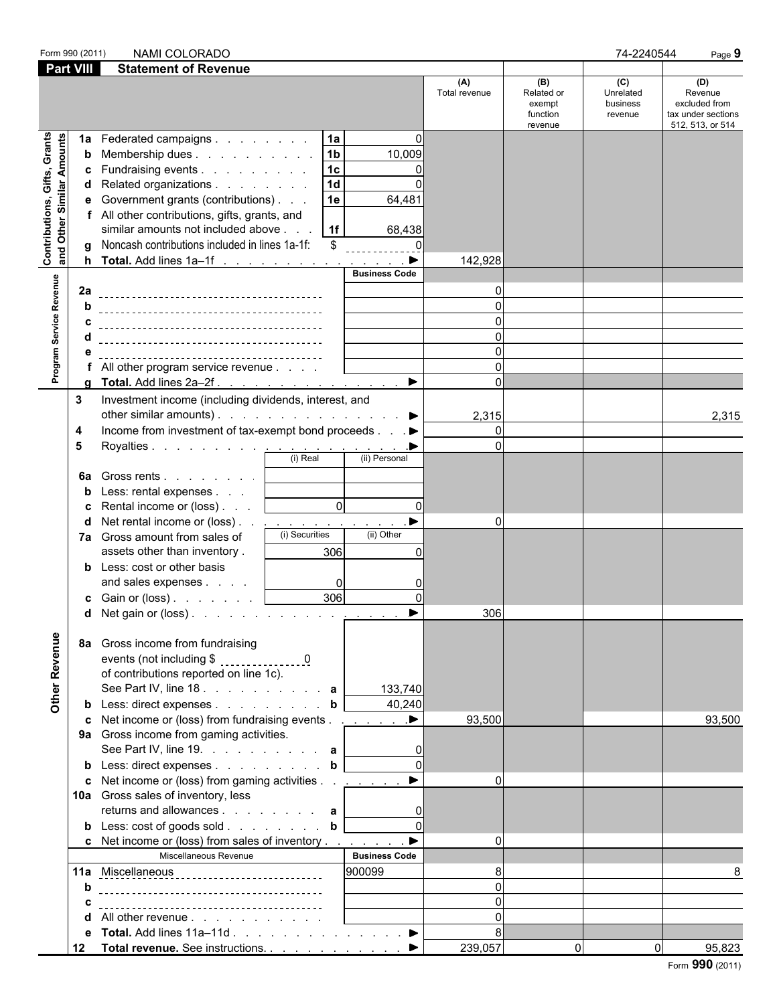| Form 990 (2011)                                           |                        | NAMI COLORADO                                                                                                                                                                                                                                                                                                                                                                                                                          |                               |                                                    | 74-2240544                              | Page 9                                                                    |
|-----------------------------------------------------------|------------------------|----------------------------------------------------------------------------------------------------------------------------------------------------------------------------------------------------------------------------------------------------------------------------------------------------------------------------------------------------------------------------------------------------------------------------------------|-------------------------------|----------------------------------------------------|-----------------------------------------|---------------------------------------------------------------------------|
| <b>Part VIII</b>                                          |                        | <b>Statement of Revenue</b>                                                                                                                                                                                                                                                                                                                                                                                                            |                               |                                                    |                                         |                                                                           |
|                                                           |                        |                                                                                                                                                                                                                                                                                                                                                                                                                                        | (A)<br>Total revenue          | (B)<br>Related or<br>exempt<br>function<br>revenue | (C)<br>Unrelated<br>business<br>revenue | (D)<br>Revenue<br>excluded from<br>tax under sections<br>512, 513, or 514 |
| Contributions, Gifts, Grants<br>and Other Similar Amounts | 1a<br>b<br>c<br>е<br>a | 1a<br>$\Omega$<br>Federated campaigns<br>1 <sub>b</sub><br>10,009<br>Membership dues  <br>1 <sub>c</sub><br>Fundraising events<br>$\Omega$<br>1 <sub>d</sub><br>$\Omega$<br>d Related organizations<br>1e<br>Government grants (contributions)<br>64,481<br>f All other contributions, gifts, grants, and<br>similar amounts not included above<br>1f<br>68,438<br>Noncash contributions included in lines 1a-1f:<br>\$<br><u>0. 0</u> |                               |                                                    |                                         |                                                                           |
|                                                           |                        | <b>Business Code</b>                                                                                                                                                                                                                                                                                                                                                                                                                   | 142,928                       |                                                    |                                         |                                                                           |
| Program Service Revenue                                   | 2a<br>b<br>C<br>е      | f All other program service revenue                                                                                                                                                                                                                                                                                                                                                                                                    | ŋ<br>$\Omega$                 |                                                    |                                         |                                                                           |
|                                                           | a                      | $\blacktriangleright$<br>Total. Add lines 2a-2f.                                                                                                                                                                                                                                                                                                                                                                                       | $\Omega$                      |                                                    |                                         |                                                                           |
|                                                           | 3<br>4<br>5<br>6a<br>b | Investment income (including dividends, interest, and<br>other similar amounts). $\blacktriangleright$<br>Income from investment of tax-exempt bond proceeds ▶<br>Gross rents  <br>Less: rental expenses                                                                                                                                                                                                                               | 2,315<br>$\Omega$<br>$\Omega$ |                                                    |                                         | 2,315                                                                     |
|                                                           | c<br>d                 | $\overline{0}$<br>$\Omega$<br>Rental income or (loss)<br>Net rental income or (loss). <u>.</u><br>(i) Securities<br>(ii) Other<br>7a Gross amount from sales of<br>306<br>assets other than inventory.<br>O<br><b>b</b> Less: cost or other basis<br>and sales expenses<br>0<br>0<br>306<br><b>c</b> Gain or (loss) $\ldots$ $\ldots$<br>$\Omega$                                                                                      | $\Omega$<br>306               |                                                    |                                         |                                                                           |
| Other Revenue                                             | 8a                     | <b>d</b> Net gain or (loss) $\ldots$ $\ldots$ $\ldots$ $\ldots$ $\ldots$<br>Gross income from fundraising<br>of contributions reported on line 1c).<br>See Part IV, line 18. $\ldots$ $\ldots$ $\ldots$ $\ldots$ a<br>133,740<br>40,240<br><b>b</b> Less: direct expenses <b>b</b>                                                                                                                                                     |                               |                                                    |                                         |                                                                           |
|                                                           |                        | c Net income or (loss) from fundraising events ▶<br>9a Gross income from gaming activities.<br>See Part IV, line 19. $\ldots$ $\ldots$ $\ldots$ a<br>b Less: direct expenses b                                                                                                                                                                                                                                                         | 93,500                        |                                                    |                                         | 93,500                                                                    |
|                                                           |                        | <b>c</b> Net income or (loss) from gaming activities<br>$\blacktriangleright$<br>10a Gross sales of inventory, less<br>returns and allowances $\mathbf{a}$                                                                                                                                                                                                                                                                             | $\Omega$                      |                                                    |                                         |                                                                           |
|                                                           |                        | c Net income or (loss) from sales of inventory $\dots$ $\dots$<br>Miscellaneous Revenue<br><b>Business Code</b>                                                                                                                                                                                                                                                                                                                        | $\Omega$                      |                                                    |                                         |                                                                           |
|                                                           | b                      | 900099<br>11a Miscellaneous                                                                                                                                                                                                                                                                                                                                                                                                            | 8<br>$\Omega$                 |                                                    |                                         |                                                                           |
|                                                           | c                      |                                                                                                                                                                                                                                                                                                                                                                                                                                        | $\Omega$                      |                                                    |                                         |                                                                           |
|                                                           | d                      | All other revenue                                                                                                                                                                                                                                                                                                                                                                                                                      | $\Omega$                      |                                                    |                                         |                                                                           |
|                                                           | е                      | Total. Add lines $11a-11d$ $\blacktriangleright$                                                                                                                                                                                                                                                                                                                                                                                       | 8                             |                                                    |                                         |                                                                           |
|                                                           | 12                     | Total revenue. See instructions. ▶                                                                                                                                                                                                                                                                                                                                                                                                     | 239,057                       | $\overline{0}$                                     | $\Omega$                                | 95,823                                                                    |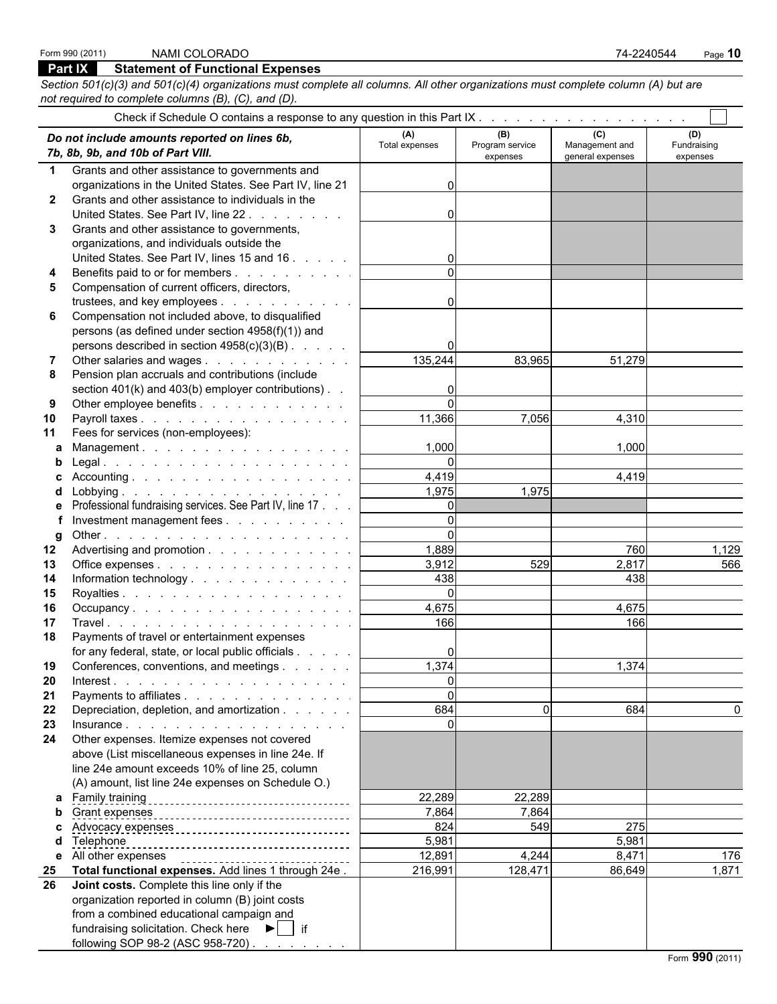### **Part IX Statement of Functional Expenses**

*Section 501(c)(3) and 501(c)(4) organizations must complete all columns. All other organizations must complete column (A) but are not required to complete columns (B), (C), and (D).*

|              | Do not include amounts reported on lines 6b,<br>7b, 8b, 9b, and 10b of Part VIII. | (A)<br>Total expenses | (B)<br>Program service<br>expenses | (C)<br>Management and<br>general expenses | (D)<br>Fundraising<br>expenses |
|--------------|-----------------------------------------------------------------------------------|-----------------------|------------------------------------|-------------------------------------------|--------------------------------|
| $\mathbf 1$  | Grants and other assistance to governments and                                    |                       |                                    |                                           |                                |
|              | organizations in the United States. See Part IV, line 21                          |                       |                                    |                                           |                                |
| $\mathbf{2}$ | Grants and other assistance to individuals in the                                 |                       |                                    |                                           |                                |
|              | United States. See Part IV, line 22.                                              |                       |                                    |                                           |                                |
| 3            | Grants and other assistance to governments,                                       |                       |                                    |                                           |                                |
|              | organizations, and individuals outside the                                        |                       |                                    |                                           |                                |
|              | United States. See Part IV, lines 15 and 16                                       |                       |                                    |                                           |                                |
|              | Benefits paid to or for members                                                   | $\Omega$              |                                    |                                           |                                |
|              | Compensation of current officers, directors,                                      |                       |                                    |                                           |                                |
|              | trustees, and key employees                                                       |                       |                                    |                                           |                                |
| 6            | Compensation not included above, to disqualified                                  |                       |                                    |                                           |                                |
|              | persons (as defined under section 4958(f)(1)) and                                 |                       |                                    |                                           |                                |
|              | persons described in section 4958(c)(3)(B)                                        |                       |                                    |                                           |                                |
|              | Other salaries and wages                                                          | 135,244               | 83,965                             | 51,279                                    |                                |
| 8            | Pension plan accruals and contributions (include                                  |                       |                                    |                                           |                                |
|              | section 401(k) and 403(b) employer contributions). .                              |                       |                                    |                                           |                                |
| 9            | Other employee benefits                                                           | $\Omega$              |                                    |                                           |                                |
| 10           | Payroll taxes                                                                     | 11,366                | 7,056                              | 4,310                                     |                                |
| 11           | Fees for services (non-employees):                                                |                       |                                    |                                           |                                |
| a            | Management.                                                                       | 1,000                 |                                    | 1,000                                     |                                |
|              |                                                                                   | $\Omega$              |                                    |                                           |                                |
|              |                                                                                   | 4,419                 |                                    | 4,419                                     |                                |
| d            |                                                                                   | 1,975                 | 1,975                              |                                           |                                |
| e            | Professional fundraising services. See Part IV, line 17                           | $\Omega$              |                                    |                                           |                                |
|              | Investment management fees                                                        | $\Omega$              |                                    |                                           |                                |
| g            |                                                                                   | $\Omega$              |                                    |                                           |                                |
| $12 \,$      | Advertising and promotion                                                         | 1,889                 |                                    | 760                                       | 1,129                          |
| 13           | Office expenses                                                                   | 3,912                 | 529                                | 2,817                                     | 566                            |
| 14           | Information technology                                                            | 438                   |                                    | 438                                       |                                |
| 15           |                                                                                   | $\Omega$              |                                    |                                           |                                |
| 16           | Occupancy.                                                                        | 4,675                 |                                    | 4,675                                     |                                |
| 17           |                                                                                   | 166                   |                                    | 166                                       |                                |
| 18           | Payments of travel or entertainment expenses                                      |                       |                                    |                                           |                                |
|              | for any federal, state, or local public officials                                 |                       |                                    |                                           |                                |
| 19           | Conferences, conventions, and meetings                                            | 1,374                 |                                    | 1,374                                     |                                |
|              | 20 Interest.                                                                      | $\sim$                |                                    |                                           |                                |
| 21           | Payments to affiliates                                                            | υı                    |                                    |                                           |                                |
| 22           | Depreciation, depletion, and amortization                                         | 684                   | $\Omega$                           | 684                                       | 0                              |
| 23           |                                                                                   | $\Omega$              |                                    |                                           |                                |
| 24           | Other expenses. Itemize expenses not covered                                      |                       |                                    |                                           |                                |
|              |                                                                                   |                       |                                    |                                           |                                |
|              | above (List miscellaneous expenses in line 24e. If                                |                       |                                    |                                           |                                |
|              | line 24e amount exceeds 10% of line 25, column                                    |                       |                                    |                                           |                                |
|              | (A) amount, list line 24e expenses on Schedule O.)                                |                       |                                    |                                           |                                |
|              | a Family training                                                                 | 22,289                | 22,289                             |                                           |                                |
|              |                                                                                   | 7,864                 | 7,864                              |                                           |                                |
|              | Advocacy expenses _________________________________                               | 824                   | 549                                | 275                                       |                                |
| d            | Telephone                                                                         | 5,981                 |                                    | 5,981                                     |                                |
|              | e All other expenses                                                              | 12,891                | 4,244                              | 8,471                                     | 176                            |
| 25           | Total functional expenses. Add lines 1 through 24e.                               | 216,991               | 128,471                            | 86,649                                    | 1,871                          |
| 26           | Joint costs. Complete this line only if the                                       |                       |                                    |                                           |                                |
|              | organization reported in column (B) joint costs                                   |                       |                                    |                                           |                                |
|              | from a combined educational campaign and                                          |                       |                                    |                                           |                                |
|              | fundraising solicitation. Check here $\blacktriangleright$   if                   |                       |                                    |                                           |                                |
|              | following SOP 98-2 (ASC 958-720)                                                  |                       |                                    |                                           |                                |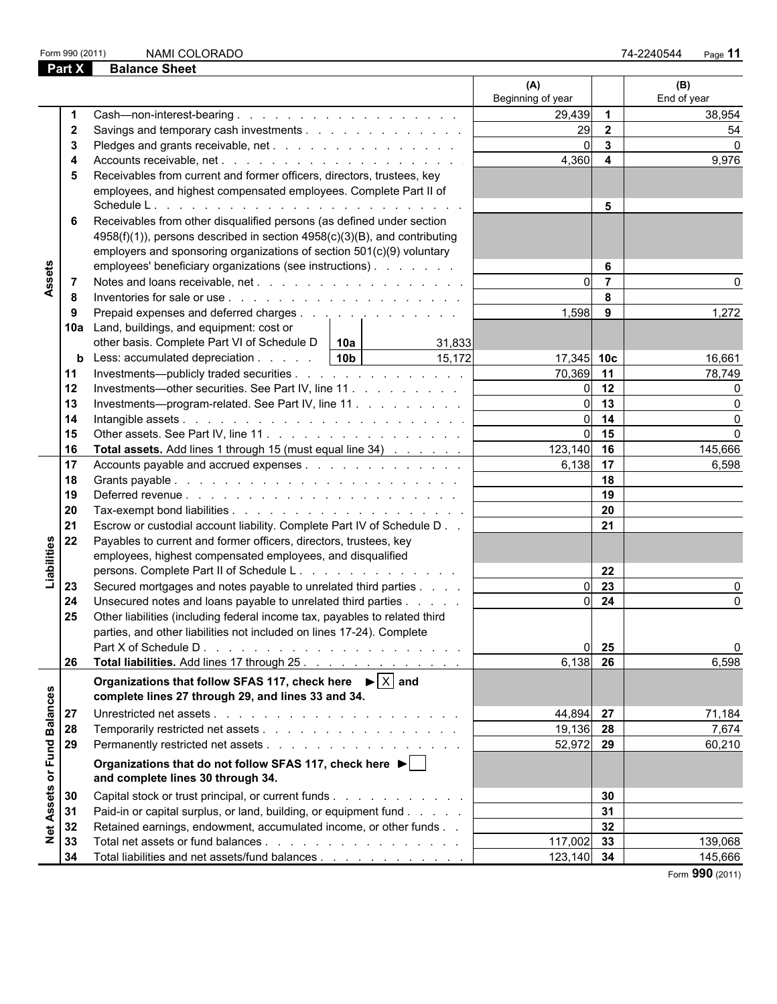| Form 990 (2011 |
|----------------|
|----------------|

| Part X                | <b>Balance Sheet</b>                                                                                                                                                                                                                                    |                          |                     |                    |
|-----------------------|---------------------------------------------------------------------------------------------------------------------------------------------------------------------------------------------------------------------------------------------------------|--------------------------|---------------------|--------------------|
|                       |                                                                                                                                                                                                                                                         | (A)<br>Beginning of year |                     | (B)<br>End of year |
| -1                    |                                                                                                                                                                                                                                                         | 29,439                   | $\overline{1}$      | 38,954             |
| $\mathbf{2}$          | Savings and temporary cash investments                                                                                                                                                                                                                  | 29                       | $\overline{2}$      | 54                 |
| 3                     |                                                                                                                                                                                                                                                         | $\Omega$                 | $\mathbf{3}$        | $\Omega$           |
|                       |                                                                                                                                                                                                                                                         | 4,360                    | 4                   | 9,976              |
| 5                     | Receivables from current and former officers, directors, trustees, key                                                                                                                                                                                  |                          |                     |                    |
|                       | employees, and highest compensated employees. Complete Part II of                                                                                                                                                                                       |                          | 5                   |                    |
|                       |                                                                                                                                                                                                                                                         |                          |                     |                    |
| 6                     | Receivables from other disqualified persons (as defined under section                                                                                                                                                                                   |                          |                     |                    |
|                       | 4958(f)(1)), persons described in section 4958(c)(3)(B), and contributing                                                                                                                                                                               |                          |                     |                    |
|                       | employers and sponsoring organizations of section 501(c)(9) voluntary                                                                                                                                                                                   |                          |                     |                    |
| Assets                | employees' beneficiary organizations (see instructions)                                                                                                                                                                                                 | U                        | 6<br>$\overline{7}$ |                    |
| -7                    |                                                                                                                                                                                                                                                         |                          | 8                   |                    |
| 8                     |                                                                                                                                                                                                                                                         |                          |                     |                    |
| 9                     | Prepaid expenses and deferred charges                                                                                                                                                                                                                   | 1,598                    | 9                   | 1,272              |
|                       | 10a Land, buildings, and equipment: cost or                                                                                                                                                                                                             |                          |                     |                    |
|                       | other basis. Complete Part VI of Schedule $D \parallel 10a$<br>31,833<br>15.172<br>10 <sub>b</sub><br>Less: accumulated depreciation                                                                                                                    | $17,345$ 10c             |                     |                    |
| b<br>11               | Investments—publicly traded securities                                                                                                                                                                                                                  | 70,369                   | 11                  | 16,661<br>78,749   |
| 12                    | Investments—other securities. See Part IV, line 11                                                                                                                                                                                                      | 0l                       | 12                  |                    |
| 13                    | Investments-program-related. See Part IV, line 11.                                                                                                                                                                                                      | U                        | 13                  | $\Omega$           |
| 14                    |                                                                                                                                                                                                                                                         |                          | 14                  | $\Omega$           |
| 15                    |                                                                                                                                                                                                                                                         | U                        | 15                  | $\Omega$           |
| 16                    | <b>Total assets.</b> Add lines 1 through 15 (must equal line 34)                                                                                                                                                                                        | 123,140                  | 16                  | 145,666            |
| 17                    | Accounts payable and accrued expenses                                                                                                                                                                                                                   | 6,138                    | 17                  | 6,598              |
| 18                    |                                                                                                                                                                                                                                                         |                          | 18                  |                    |
| 19                    |                                                                                                                                                                                                                                                         |                          | 19                  |                    |
| 20                    |                                                                                                                                                                                                                                                         |                          | 20                  |                    |
| 21                    | Escrow or custodial account liability. Complete Part IV of Schedule D                                                                                                                                                                                   |                          | 21                  |                    |
| 22                    | Payables to current and former officers, directors, trustees, key                                                                                                                                                                                       |                          |                     |                    |
| Liabilities           | employees, highest compensated employees, and disqualified                                                                                                                                                                                              |                          |                     |                    |
|                       | persons. Complete Part II of Schedule L.                                                                                                                                                                                                                |                          | 22                  |                    |
| 23                    | Secured mortgages and notes payable to unrelated third parties                                                                                                                                                                                          |                          | 23                  |                    |
| 24                    | Unsecured notes and loans payable to unrelated third parties                                                                                                                                                                                            |                          | 24                  | ∩                  |
| 25                    | Other liabilities (including federal income tax, payables to related third                                                                                                                                                                              |                          |                     |                    |
|                       | parties, and other liabilities not included on lines 17-24). Complete                                                                                                                                                                                   |                          |                     |                    |
|                       | Part X of Schedule D.<br>and the company of the company of the company of the company of the company of the company of the company of the company of the company of the company of the company of the company of the company of the company of the comp | 01                       | 25                  | $\Omega$           |
| 26                    | Total liabilities. Add lines 17 through 25.                                                                                                                                                                                                             | 6,138                    | 26                  | 6,598              |
|                       | Organizations that follow SFAS 117, check here $\mathbf{P}   X  $ and<br>complete lines 27 through 29, and lines 33 and 34.                                                                                                                             |                          |                     |                    |
| <b>Balances</b><br>27 |                                                                                                                                                                                                                                                         | 44,894 27                |                     | 71,184             |
| 28                    |                                                                                                                                                                                                                                                         | 19,136 28                |                     | 7,674              |
| 29                    |                                                                                                                                                                                                                                                         | 52,972 29                |                     | 60,210             |
| or Fund               | Organizations that do not follow SFAS 117, check here $\blacktriangleright$  <br>and complete lines 30 through 34.                                                                                                                                      |                          |                     |                    |
| Assets<br>30          | Capital stock or trust principal, or current funds                                                                                                                                                                                                      |                          | 30                  |                    |
| 31                    | Paid-in or capital surplus, or land, building, or equipment fund                                                                                                                                                                                        |                          | 31                  |                    |
| 32                    | Retained earnings, endowment, accumulated income, or other funds                                                                                                                                                                                        |                          | 32                  |                    |
| $\frac{1}{2}$<br>33   |                                                                                                                                                                                                                                                         | 117,002                  | 33                  | 139,068            |
| 34                    | Total liabilities and net assets/fund balances                                                                                                                                                                                                          | $123,140$ 34             |                     | 145,666            |
|                       |                                                                                                                                                                                                                                                         |                          |                     | Form 990 (2011)    |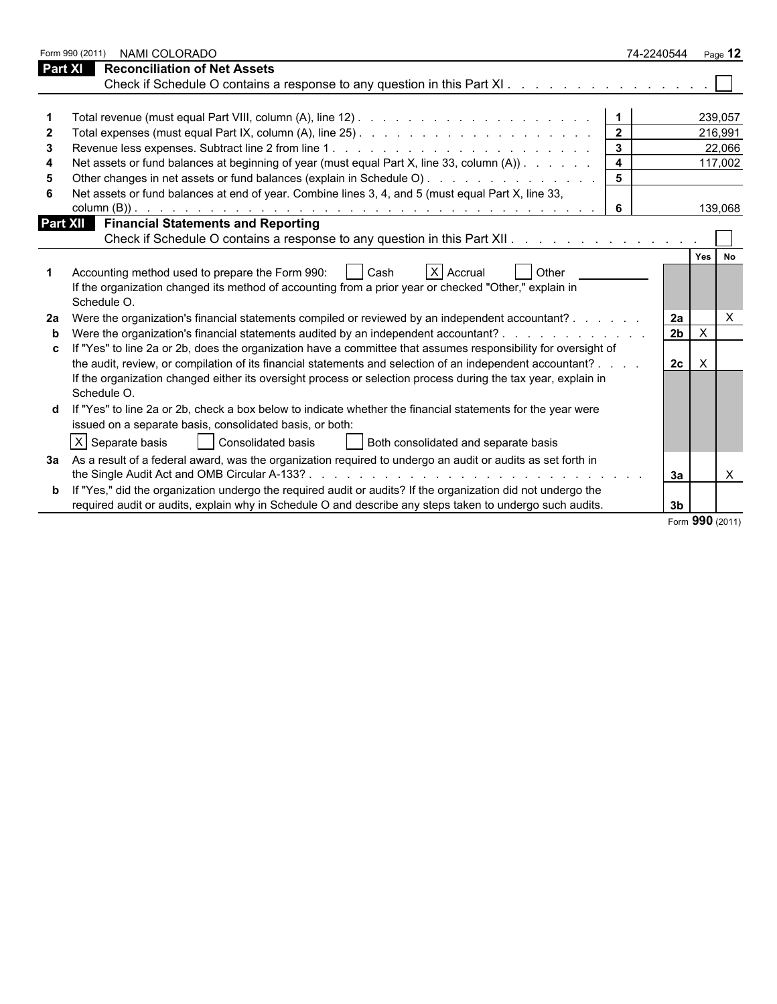|    | Form 990 (2011)<br>NAMI COLORADO                                                                                                                                                                        | 74-2240544     |              | Page $12$       |
|----|---------------------------------------------------------------------------------------------------------------------------------------------------------------------------------------------------------|----------------|--------------|-----------------|
|    | <b>Reconciliation of Net Assets</b><br>Part XI                                                                                                                                                          |                |              |                 |
|    |                                                                                                                                                                                                         |                |              |                 |
|    |                                                                                                                                                                                                         |                |              |                 |
|    |                                                                                                                                                                                                         |                |              | 239.057         |
| 2  |                                                                                                                                                                                                         | $\overline{2}$ |              | 216,991         |
| 3  |                                                                                                                                                                                                         |                |              | 22,066          |
|    | Net assets or fund balances at beginning of year (must equal Part X, line 33, column (A))                                                                                                               | $\overline{4}$ |              | 117,002         |
|    |                                                                                                                                                                                                         |                |              |                 |
|    | Net assets or fund balances at end of year. Combine lines 3, 4, and 5 (must equal Part X, line 33,                                                                                                      |                |              |                 |
|    |                                                                                                                                                                                                         | -6             |              | 139,068         |
|    | <b>Part XII</b> Financial Statements and Reporting                                                                                                                                                      |                |              |                 |
|    | Check if Schedule O contains a response to any question in this Part XII.                                                                                                                               |                |              |                 |
|    | Accounting method used to prepare the Form 990:<br>X Accrual<br>Other<br>  Cash<br>If the organization changed its method of accounting from a prior year or checked "Other," explain in<br>Schedule O. |                | Yes          | No              |
| 2a | Were the organization's financial statements compiled or reviewed by an independent accountant?                                                                                                         | 2a             |              | $\times$        |
| b  | Were the organization's financial statements audited by an independent accountant?                                                                                                                      | 2 <sub>b</sub> | $\sf X$      |                 |
|    | If "Yes" to line 2a or 2b, does the organization have a committee that assumes responsibility for oversight of                                                                                          |                |              |                 |
|    | the audit, review, or compilation of its financial statements and selection of an independent accountant?                                                                                               | 2c             | $\mathsf{X}$ |                 |
|    | If the organization changed either its oversight process or selection process during the tax year, explain in<br>Schedule O.                                                                            |                |              |                 |
|    | If "Yes" to line 2a or 2b, check a box below to indicate whether the financial statements for the year were                                                                                             |                |              |                 |
|    | issued on a separate basis, consolidated basis, or both:                                                                                                                                                |                |              |                 |
|    | $ X $ Separate basis<br>  Consolidated basis<br>  Both consolidated and separate basis                                                                                                                  |                |              |                 |
|    | 3a As a result of a federal award, was the organization required to undergo an audit or audits as set forth in                                                                                          |                |              |                 |
|    |                                                                                                                                                                                                         | 3a             |              | X               |
|    | <b>b</b> If "Yes," did the organization undergo the required audit or audits? If the organization did not undergo the                                                                                   |                |              |                 |
|    | required audit or audits, explain why in Schedule O and describe any steps taken to undergo such audits.                                                                                                | 3 <sub>b</sub> |              |                 |
|    |                                                                                                                                                                                                         |                |              | Form 990 (2011) |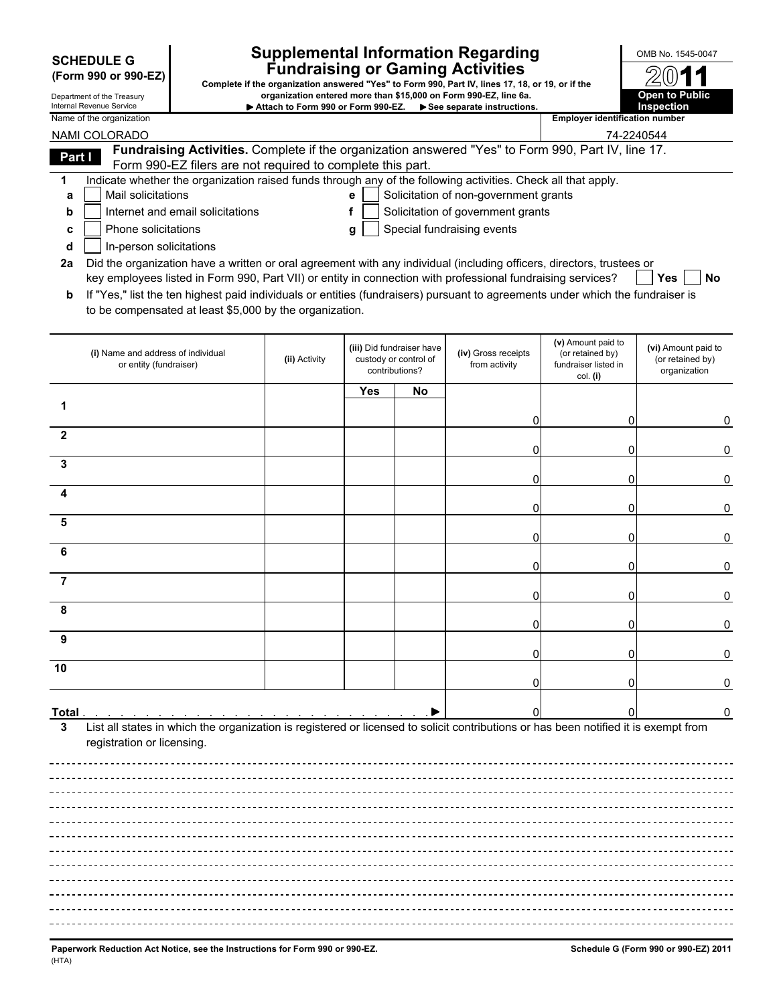|  |  | December - - 1 - 1 1 - Terms - - - - - |  |
|--|--|----------------------------------------|--|

## **Supplemental Information Regarding Supplemental Information Regarding Supplemental Information Regarding Fundraising or Gaming Activities SCHEDULE G**

**(Form 990 or 990-EZ) Complete if the organization answered "Yes" to Form 990, Part IV, lines 17, 18, or 19, or if the** Department of the Treasury **organization entered more than \$15,000 on Form 990-EZ, line 6a.**<br>Internal Revenue Service **COLOGY CONTINGUARY CONSUMER**<br>Internal Revenue Service Internal Revenue Service **Altach to Form 990 or Form 990-EZ.** ▶ See separate instructions.<br>Name of the organization

| 9, or if the                          | 2011                  |
|---------------------------------------|-----------------------|
|                                       | <b>Open to Public</b> |
|                                       | Inspection            |
| <b>Employer identification number</b> |                       |

I

|                | NAMI COLORADO                                                                                                                                                                                                                        |               |            |                                                                      |                                       | 74-2240544                                                                 |                                                         |
|----------------|--------------------------------------------------------------------------------------------------------------------------------------------------------------------------------------------------------------------------------------|---------------|------------|----------------------------------------------------------------------|---------------------------------------|----------------------------------------------------------------------------|---------------------------------------------------------|
| Part I         | Fundraising Activities. Complete if the organization answered "Yes" to Form 990, Part IV, line 17.                                                                                                                                   |               |            |                                                                      |                                       |                                                                            |                                                         |
|                | Form 990-EZ filers are not required to complete this part.                                                                                                                                                                           |               |            |                                                                      |                                       |                                                                            |                                                         |
| 1              | Indicate whether the organization raised funds through any of the following activities. Check all that apply.                                                                                                                        |               |            |                                                                      |                                       |                                                                            |                                                         |
| a              | Mail solicitations                                                                                                                                                                                                                   |               | е          |                                                                      | Solicitation of non-government grants |                                                                            |                                                         |
| b              | Internet and email solicitations                                                                                                                                                                                                     |               |            |                                                                      | Solicitation of government grants     |                                                                            |                                                         |
| c              | Phone solicitations                                                                                                                                                                                                                  |               | g          |                                                                      | Special fundraising events            |                                                                            |                                                         |
| d              | In-person solicitations                                                                                                                                                                                                              |               |            |                                                                      |                                       |                                                                            |                                                         |
| 2a             | Did the organization have a written or oral agreement with any individual (including officers, directors, trustees or<br>key employees listed in Form 990, Part VII) or entity in connection with professional fundraising services? |               |            |                                                                      |                                       |                                                                            | <b>Yes</b><br>No                                        |
| b              | If "Yes," list the ten highest paid individuals or entities (fundraisers) pursuant to agreements under which the fundraiser is                                                                                                       |               |            |                                                                      |                                       |                                                                            |                                                         |
|                | to be compensated at least \$5,000 by the organization.                                                                                                                                                                              |               |            |                                                                      |                                       |                                                                            |                                                         |
|                |                                                                                                                                                                                                                                      |               |            |                                                                      |                                       |                                                                            |                                                         |
|                | (i) Name and address of individual<br>or entity (fundraiser)                                                                                                                                                                         | (ii) Activity |            | (iii) Did fundraiser have<br>custody or control of<br>contributions? | (iv) Gross receipts<br>from activity  | (v) Amount paid to<br>(or retained by)<br>fundraiser listed in<br>col. (i) | (vi) Amount paid to<br>(or retained by)<br>organization |
|                |                                                                                                                                                                                                                                      |               | <b>Yes</b> | No                                                                   |                                       |                                                                            |                                                         |
|                |                                                                                                                                                                                                                                      |               |            |                                                                      |                                       |                                                                            |                                                         |
|                |                                                                                                                                                                                                                                      |               |            |                                                                      |                                       | 0                                                                          | 0                                                       |
| $\mathbf{2}$   |                                                                                                                                                                                                                                      |               |            |                                                                      |                                       |                                                                            |                                                         |
|                |                                                                                                                                                                                                                                      |               |            |                                                                      | 0                                     | $\Omega$                                                                   | 0                                                       |
| 3              |                                                                                                                                                                                                                                      |               |            |                                                                      |                                       | 0                                                                          | 0                                                       |
| 4              |                                                                                                                                                                                                                                      |               |            |                                                                      |                                       |                                                                            |                                                         |
|                |                                                                                                                                                                                                                                      |               |            |                                                                      |                                       | 0                                                                          | 0                                                       |
| 5              |                                                                                                                                                                                                                                      |               |            |                                                                      |                                       |                                                                            |                                                         |
| 6              |                                                                                                                                                                                                                                      |               |            |                                                                      |                                       | 0                                                                          | 0                                                       |
|                |                                                                                                                                                                                                                                      |               |            |                                                                      |                                       | 0                                                                          | 0                                                       |
| $\overline{7}$ |                                                                                                                                                                                                                                      |               |            |                                                                      |                                       |                                                                            |                                                         |
|                |                                                                                                                                                                                                                                      |               |            |                                                                      |                                       | 0                                                                          | 0                                                       |
| 8              |                                                                                                                                                                                                                                      |               |            |                                                                      |                                       |                                                                            |                                                         |
|                |                                                                                                                                                                                                                                      |               |            |                                                                      | 0                                     | 0                                                                          | 0                                                       |
| 9              |                                                                                                                                                                                                                                      |               |            |                                                                      |                                       |                                                                            |                                                         |
|                |                                                                                                                                                                                                                                      |               |            |                                                                      |                                       | Ω                                                                          | 0                                                       |
| 10             |                                                                                                                                                                                                                                      |               |            |                                                                      |                                       |                                                                            |                                                         |
|                |                                                                                                                                                                                                                                      |               |            |                                                                      |                                       |                                                                            | 0                                                       |
|                |                                                                                                                                                                                                                                      |               |            |                                                                      |                                       |                                                                            |                                                         |
| Total          | a carrier and a carrier and a carrier and a carrier                                                                                                                                                                                  |               |            |                                                                      |                                       |                                                                            | 0                                                       |
| 3              | List all states in which the organization is registered or licensed to solicit contributions or has been notified it is exempt from<br>registration or licensing.                                                                    |               |            |                                                                      |                                       |                                                                            |                                                         |
|                |                                                                                                                                                                                                                                      |               |            |                                                                      |                                       |                                                                            |                                                         |
|                |                                                                                                                                                                                                                                      |               |            |                                                                      |                                       |                                                                            |                                                         |
|                |                                                                                                                                                                                                                                      |               |            |                                                                      |                                       |                                                                            |                                                         |
|                |                                                                                                                                                                                                                                      |               |            |                                                                      |                                       |                                                                            |                                                         |
|                |                                                                                                                                                                                                                                      |               |            |                                                                      |                                       |                                                                            |                                                         |
|                |                                                                                                                                                                                                                                      |               |            |                                                                      |                                       |                                                                            |                                                         |
|                |                                                                                                                                                                                                                                      |               |            |                                                                      |                                       |                                                                            |                                                         |
|                |                                                                                                                                                                                                                                      |               |            |                                                                      |                                       |                                                                            |                                                         |
|                |                                                                                                                                                                                                                                      |               |            |                                                                      |                                       |                                                                            |                                                         |
|                |                                                                                                                                                                                                                                      |               |            |                                                                      |                                       |                                                                            |                                                         |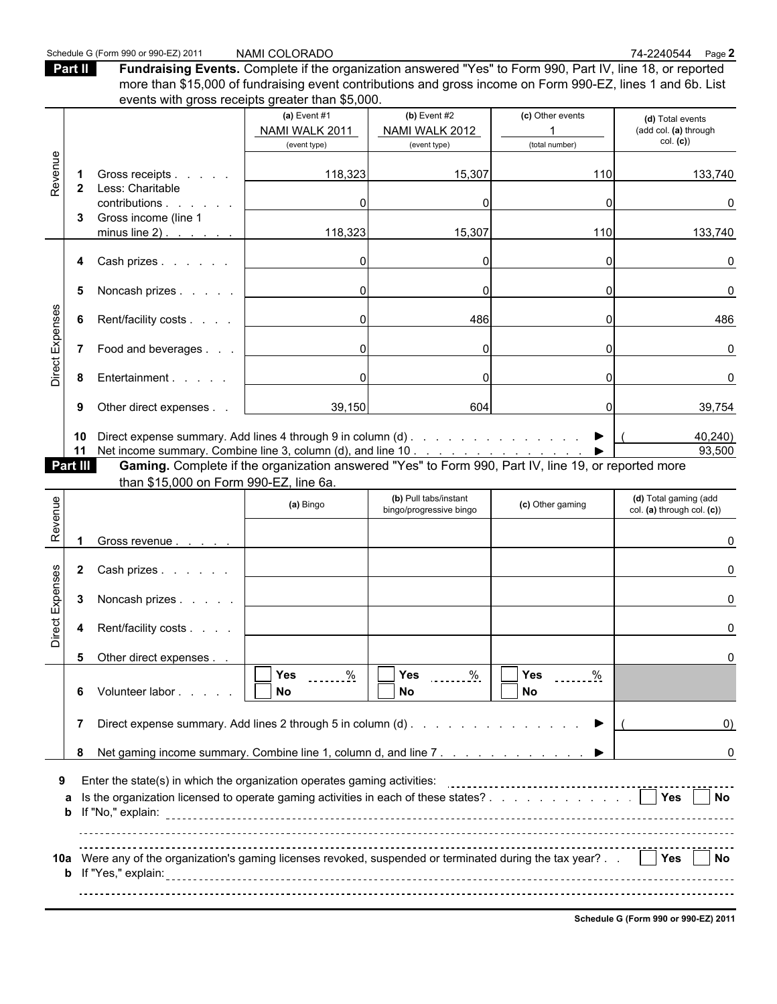Schedule G (Form 990 or 990-EZ) 2011 NAMI COLORADO<br>**Part II** Fundraising Events. Complete if the organization answered "Yes" to Form 990, Part IV, line 18, or reported **Part II Fundraising Events.** Complete if the organization answered "Yes" to Form 990, Part IV, line 18, or reported more than \$15,000 of fundraising event contributions and gross income on Form 990-EZ, lines 1 and 6b. List events with gross receipts greater than \$5,000

|                 |              | Creins with gross receipts greater than \$0,000.                                                                                              |                               |                               |                  |                                      |
|-----------------|--------------|-----------------------------------------------------------------------------------------------------------------------------------------------|-------------------------------|-------------------------------|------------------|--------------------------------------|
|                 |              |                                                                                                                                               | (a) Event $#1$                | (b) Event $#2$                | (c) Other events | (d) Total events                     |
|                 |              |                                                                                                                                               | NAMI WALK 2011                | NAMI WALK 2012                | (total number)   | (add col. (a) through<br>col. (c)    |
|                 |              |                                                                                                                                               | (event type)                  | (event type)                  |                  |                                      |
| Revenue         | -1           | Gross receipts                                                                                                                                | 118,323                       | 15,307                        | 110              | 133,740                              |
|                 | $\mathbf{2}$ | Less: Charitable                                                                                                                              |                               |                               |                  |                                      |
|                 |              | contributions.<br><b>Contract Contract</b>                                                                                                    | $\Omega$                      |                               |                  |                                      |
|                 | 3            | Gross income (line 1<br>minus line 2) $\ldots$ $\ldots$ $\ldots$                                                                              | 118,323                       | 15,307                        | 110              | 133,740                              |
|                 |              |                                                                                                                                               |                               |                               |                  |                                      |
|                 | 4            | Cash prizes                                                                                                                                   | $\overline{0}$                | $\Omega$                      |                  | 0                                    |
|                 |              |                                                                                                                                               |                               |                               |                  |                                      |
|                 | 5            | Noncash prizes                                                                                                                                | $\overline{0}$                | $\Omega$                      |                  | $\Omega$                             |
|                 | 6            | Rent/facility costs                                                                                                                           | 0                             | 486                           |                  | 486                                  |
| Direct Expenses |              |                                                                                                                                               |                               |                               |                  |                                      |
|                 | 7            | Food and beverages                                                                                                                            | $\mathbf 0$                   | $\Omega$                      |                  | 0                                    |
|                 |              |                                                                                                                                               | $\overline{0}$                | $\Omega$                      |                  |                                      |
|                 | 8            | Entertainment                                                                                                                                 |                               |                               |                  | 0                                    |
|                 | 9            | Other direct expenses                                                                                                                         | 39,150                        | 604                           |                  | 39,754                               |
|                 |              |                                                                                                                                               |                               |                               |                  |                                      |
|                 | 10           |                                                                                                                                               |                               |                               |                  | 40,240)                              |
|                 | 11           | Net income summary. Combine line 3, column (d), and line $10 \cdot 1000000000000000000000000$                                                 |                               |                               |                  | 93,500                               |
|                 | Part III     | Gaming. Complete if the organization answered "Yes" to Form 990, Part IV, line 19, or reported more<br>than \$15,000 on Form 990-EZ, line 6a. |                               |                               |                  |                                      |
|                 |              |                                                                                                                                               |                               | (b) Pull tabs/instant         |                  | (d) Total gaming (add                |
|                 |              |                                                                                                                                               | (a) Bingo                     | bingo/progressive bingo       | (c) Other gaming | $col.$ (a) through $col.$ (c))       |
| Revenue         |              |                                                                                                                                               |                               |                               |                  |                                      |
|                 |              | Gross revenue                                                                                                                                 |                               |                               |                  |                                      |
|                 |              |                                                                                                                                               |                               |                               |                  |                                      |
|                 | $\mathbf{2}$ | Cash prizes                                                                                                                                   |                               |                               |                  |                                      |
|                 | 3            | Noncash prizes                                                                                                                                |                               |                               |                  |                                      |
| Direct Expenses |              |                                                                                                                                               |                               |                               |                  |                                      |
|                 | 4            | Rent/facility costs                                                                                                                           |                               |                               |                  |                                      |
|                 |              |                                                                                                                                               |                               |                               |                  |                                      |
|                 |              | 5 Other direct expenses                                                                                                                       |                               |                               | $\Box$           |                                      |
|                 |              |                                                                                                                                               | $\sqrt{Y}$ es $\frac{\%}{\%}$ | $\sqrt{Y}$ es $\frac{\%}{\%}$ | Yes              |                                      |
|                 | 6            | Volunteer labor                                                                                                                               | No                            | No                            | <b>No</b>        |                                      |
|                 | 7            |                                                                                                                                               |                               |                               |                  |                                      |
|                 |              |                                                                                                                                               |                               |                               |                  | $\left( 0\right)$                    |
|                 | 8            | Net gaming income summary. Combine line 1, column d, and line 7. ▶                                                                            |                               |                               |                  | 0                                    |
|                 |              |                                                                                                                                               |                               |                               |                  |                                      |
|                 |              |                                                                                                                                               |                               |                               |                  |                                      |
|                 | a            | Is the organization licensed to operate gaming activities in each of these states?   7 Yes $\Box$ No                                          |                               |                               |                  |                                      |
|                 |              |                                                                                                                                               |                               |                               |                  |                                      |
|                 |              |                                                                                                                                               |                               |                               |                  |                                      |
|                 |              | 10a Were any of the organization's gaming licenses revoked, suspended or terminated during the tax year? Tras                                 |                               |                               |                  |                                      |
|                 |              |                                                                                                                                               |                               |                               |                  |                                      |
|                 |              |                                                                                                                                               |                               |                               |                  |                                      |
|                 |              |                                                                                                                                               |                               |                               |                  |                                      |
|                 |              |                                                                                                                                               |                               |                               |                  | Schedule G (Form 990 or 990-EZ) 2011 |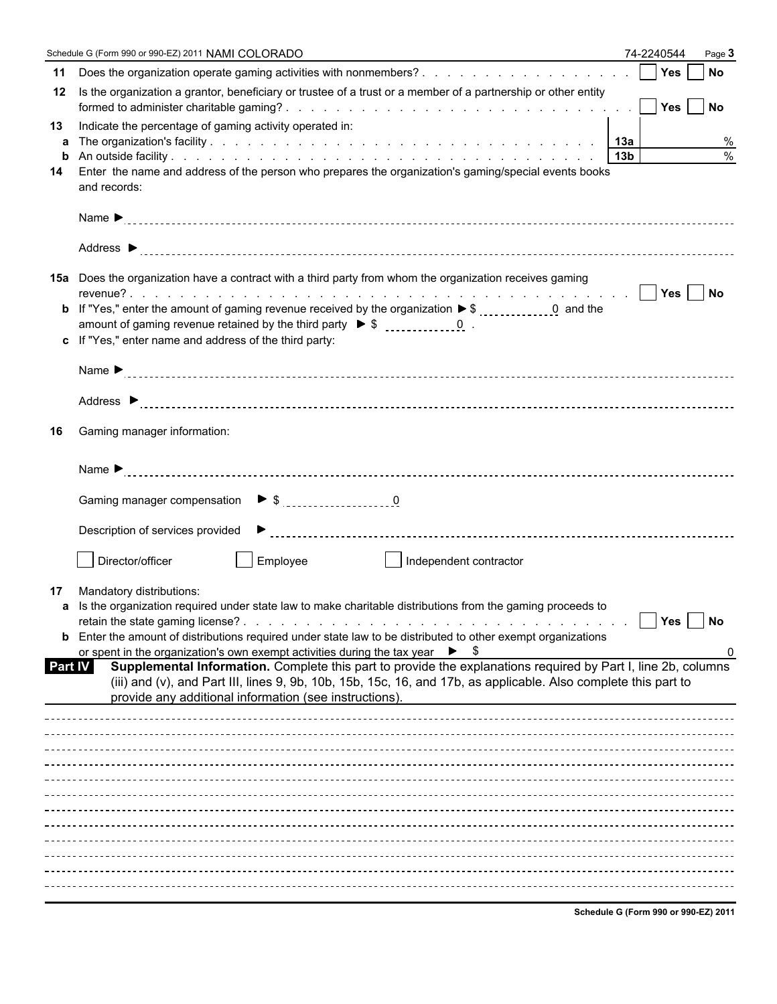|         | Schedule G (Form 990 or 990-EZ) 2011 NAMI COLORADO                                                                                                                                                                                                                                         | 74-2240544       | Page 3                      |
|---------|--------------------------------------------------------------------------------------------------------------------------------------------------------------------------------------------------------------------------------------------------------------------------------------------|------------------|-----------------------------|
| 11      |                                                                                                                                                                                                                                                                                            | Yes <sup>1</sup> | <b>No</b>                   |
| 12      | Is the organization a grantor, beneficiary or trustee of a trust or a member of a partnership or other entity                                                                                                                                                                              |                  | Yes No                      |
| 13      | Indicate the percentage of gaming activity operated in:                                                                                                                                                                                                                                    |                  |                             |
|         |                                                                                                                                                                                                                                                                                            |                  | $\%$                        |
| b<br>14 | Enter the name and address of the person who prepares the organization's gaming/special events books                                                                                                                                                                                       |                  | $\%$                        |
|         | and records:                                                                                                                                                                                                                                                                               |                  |                             |
|         |                                                                                                                                                                                                                                                                                            |                  |                             |
|         |                                                                                                                                                                                                                                                                                            |                  |                             |
|         | 15a Does the organization have a contract with a third party from whom the organization receives gaming                                                                                                                                                                                    |                  |                             |
|         |                                                                                                                                                                                                                                                                                            |                  |                             |
|         |                                                                                                                                                                                                                                                                                            |                  |                             |
|         | c If "Yes," enter name and address of the third party:                                                                                                                                                                                                                                     |                  |                             |
|         |                                                                                                                                                                                                                                                                                            |                  |                             |
|         |                                                                                                                                                                                                                                                                                            |                  |                             |
| 16      | Gaming manager information:                                                                                                                                                                                                                                                                |                  |                             |
|         |                                                                                                                                                                                                                                                                                            |                  |                             |
|         |                                                                                                                                                                                                                                                                                            |                  |                             |
|         |                                                                                                                                                                                                                                                                                            |                  |                             |
|         | Director/officer<br>Employee<br>Independent contractor                                                                                                                                                                                                                                     |                  |                             |
| 17      | Mandatory distributions:                                                                                                                                                                                                                                                                   |                  |                             |
|         | a Is the organization required under state law to make charitable distributions from the gaming proceeds to                                                                                                                                                                                | Yes              | $\overline{\phantom{a}}$ No |
|         | <b>b</b> Enter the amount of distributions required under state law to be distributed to other exempt organizations                                                                                                                                                                        |                  |                             |
|         | or spent in the organization's own exempt activities during the tax year $\triangleright$ \$                                                                                                                                                                                               |                  | 0                           |
| Part IV | Supplemental Information. Complete this part to provide the explanations required by Part I, line 2b, columns<br>(iii) and (v), and Part III, lines 9, 9b, 10b, 15b, 15c, 16, and 17b, as applicable. Also complete this part to<br>provide any additional information (see instructions). |                  |                             |
|         |                                                                                                                                                                                                                                                                                            |                  |                             |
|         |                                                                                                                                                                                                                                                                                            |                  |                             |
|         |                                                                                                                                                                                                                                                                                            |                  |                             |
|         |                                                                                                                                                                                                                                                                                            |                  |                             |
|         |                                                                                                                                                                                                                                                                                            |                  |                             |
|         |                                                                                                                                                                                                                                                                                            |                  |                             |
|         |                                                                                                                                                                                                                                                                                            |                  |                             |
|         |                                                                                                                                                                                                                                                                                            |                  |                             |
|         |                                                                                                                                                                                                                                                                                            |                  |                             |
|         |                                                                                                                                                                                                                                                                                            |                  |                             |
|         |                                                                                                                                                                                                                                                                                            |                  |                             |

**Schedule G (Form 990 or 990-EZ) 2011**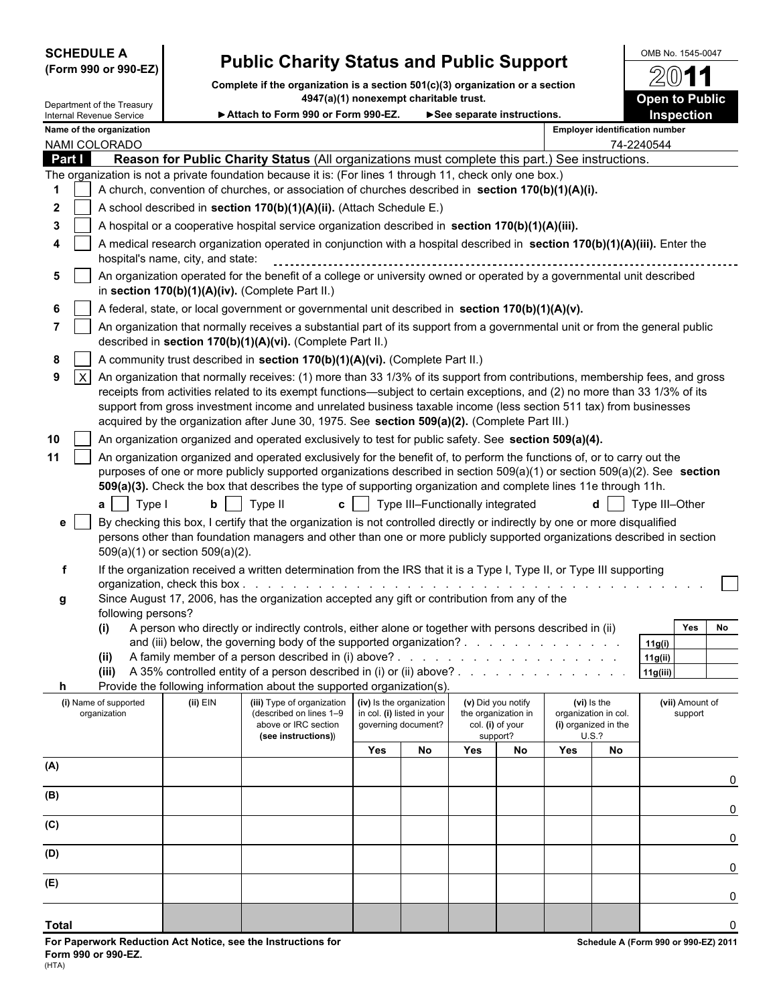| <b>SCHEDULE A</b> |      |  |
|-------------------|------|--|
|                   | ---- |  |

# **SCHEDULE A** OMB No. 1545-0047 **(Form 990 or 990-EZ) Public Charity Status and Public Support**

**Complete if the organization is a section 501(c)(3) organization or a section 4947(a)(1) nonexempt charitable trust. Open to Public** 

|                   | Department of the Treasury<br>Internal Revenue Service |                                                                                                                                                                                                                                                                                                                                                                                                                                                                                  | <b>HUTILER IN THE AGILIPS CHAILEDIG HUSL</b><br>Attach to Form 990 or Form 990-EZ.                                                                                                                                                           |     |                                                                               | See separate instructions. |                                                               |                                                             |             | OPEN IO FUDIIU<br><b>Inspection</b>   |  |  |
|-------------------|--------------------------------------------------------|----------------------------------------------------------------------------------------------------------------------------------------------------------------------------------------------------------------------------------------------------------------------------------------------------------------------------------------------------------------------------------------------------------------------------------------------------------------------------------|----------------------------------------------------------------------------------------------------------------------------------------------------------------------------------------------------------------------------------------------|-----|-------------------------------------------------------------------------------|----------------------------|---------------------------------------------------------------|-------------------------------------------------------------|-------------|---------------------------------------|--|--|
|                   | Name of the organization                               |                                                                                                                                                                                                                                                                                                                                                                                                                                                                                  |                                                                                                                                                                                                                                              |     |                                                                               |                            |                                                               |                                                             |             | <b>Employer identification number</b> |  |  |
| NAMI COLORADO     |                                                        |                                                                                                                                                                                                                                                                                                                                                                                                                                                                                  |                                                                                                                                                                                                                                              |     |                                                                               |                            |                                                               |                                                             |             | 74-2240544                            |  |  |
| Part I            |                                                        |                                                                                                                                                                                                                                                                                                                                                                                                                                                                                  | Reason for Public Charity Status (All organizations must complete this part.) See instructions.                                                                                                                                              |     |                                                                               |                            |                                                               |                                                             |             |                                       |  |  |
|                   |                                                        |                                                                                                                                                                                                                                                                                                                                                                                                                                                                                  | The organization is not a private foundation because it is: (For lines 1 through 11, check only one box.)                                                                                                                                    |     |                                                                               |                            |                                                               |                                                             |             |                                       |  |  |
| 1                 |                                                        |                                                                                                                                                                                                                                                                                                                                                                                                                                                                                  | A church, convention of churches, or association of churches described in section 170(b)(1)(A)(i).                                                                                                                                           |     |                                                                               |                            |                                                               |                                                             |             |                                       |  |  |
| $\mathbf{2}$      |                                                        | A school described in section 170(b)(1)(A)(ii). (Attach Schedule E.)                                                                                                                                                                                                                                                                                                                                                                                                             |                                                                                                                                                                                                                                              |     |                                                                               |                            |                                                               |                                                             |             |                                       |  |  |
| 3                 |                                                        | A hospital or a cooperative hospital service organization described in section 170(b)(1)(A)(iii).                                                                                                                                                                                                                                                                                                                                                                                |                                                                                                                                                                                                                                              |     |                                                                               |                            |                                                               |                                                             |             |                                       |  |  |
|                   |                                                        | A medical research organization operated in conjunction with a hospital described in section 170(b)(1)(A)(iii). Enter the<br>hospital's name, city, and state:                                                                                                                                                                                                                                                                                                                   |                                                                                                                                                                                                                                              |     |                                                                               |                            |                                                               |                                                             |             |                                       |  |  |
|                   |                                                        | An organization operated for the benefit of a college or university owned or operated by a governmental unit described<br>in section 170(b)(1)(A)(iv). (Complete Part II.)                                                                                                                                                                                                                                                                                                       |                                                                                                                                                                                                                                              |     |                                                                               |                            |                                                               |                                                             |             |                                       |  |  |
|                   |                                                        |                                                                                                                                                                                                                                                                                                                                                                                                                                                                                  | A federal, state, or local government or governmental unit described in section 170(b)(1)(A)(v).                                                                                                                                             |     |                                                                               |                            |                                                               |                                                             |             |                                       |  |  |
|                   |                                                        |                                                                                                                                                                                                                                                                                                                                                                                                                                                                                  | An organization that normally receives a substantial part of its support from a governmental unit or from the general public<br>described in section 170(b)(1)(A)(vi). (Complete Part II.)                                                   |     |                                                                               |                            |                                                               |                                                             |             |                                       |  |  |
| 8                 |                                                        |                                                                                                                                                                                                                                                                                                                                                                                                                                                                                  | A community trust described in section 170(b)(1)(A)(vi). (Complete Part II.)                                                                                                                                                                 |     |                                                                               |                            |                                                               |                                                             |             |                                       |  |  |
| $\mathsf{X}$<br>9 |                                                        |                                                                                                                                                                                                                                                                                                                                                                                                                                                                                  |                                                                                                                                                                                                                                              |     |                                                                               |                            |                                                               |                                                             |             |                                       |  |  |
|                   |                                                        | An organization that normally receives: (1) more than 33 1/3% of its support from contributions, membership fees, and gross<br>receipts from activities related to its exempt functions—subject to certain exceptions, and (2) no more than 33 1/3% of its<br>support from gross investment income and unrelated business taxable income (less section 511 tax) from businesses<br>acquired by the organization after June 30, 1975. See section 509(a)(2). (Complete Part III.) |                                                                                                                                                                                                                                              |     |                                                                               |                            |                                                               |                                                             |             |                                       |  |  |
| 10                |                                                        |                                                                                                                                                                                                                                                                                                                                                                                                                                                                                  | An organization organized and operated exclusively to test for public safety. See section 509(a)(4).                                                                                                                                         |     |                                                                               |                            |                                                               |                                                             |             |                                       |  |  |
| 11                |                                                        |                                                                                                                                                                                                                                                                                                                                                                                                                                                                                  | An organization organized and operated exclusively for the benefit of, to perform the functions of, or to carry out the                                                                                                                      |     |                                                                               |                            |                                                               |                                                             |             |                                       |  |  |
|                   |                                                        |                                                                                                                                                                                                                                                                                                                                                                                                                                                                                  | purposes of one or more publicly supported organizations described in section 509(a)(1) or section 509(a)(2). See section<br>509(a)(3). Check the box that describes the type of supporting organization and complete lines 11e through 11h. |     |                                                                               |                            |                                                               |                                                             |             |                                       |  |  |
|                   | Type I<br>a l                                          |                                                                                                                                                                                                                                                                                                                                                                                                                                                                                  | $b$   Type II                                                                                                                                                                                                                                |     | c   Type III-Functionally integrated                                          |                            |                                                               |                                                             |             | Type III-Other                        |  |  |
| е                 |                                                        |                                                                                                                                                                                                                                                                                                                                                                                                                                                                                  | By checking this box, I certify that the organization is not controlled directly or indirectly by one or more disqualified                                                                                                                   |     |                                                                               |                            |                                                               |                                                             |             |                                       |  |  |
|                   |                                                        | $509(a)(1)$ or section $509(a)(2)$ .                                                                                                                                                                                                                                                                                                                                                                                                                                             | persons other than foundation managers and other than one or more publicly supported organizations described in section                                                                                                                      |     |                                                                               |                            |                                                               |                                                             |             |                                       |  |  |
| f                 |                                                        |                                                                                                                                                                                                                                                                                                                                                                                                                                                                                  | If the organization received a written determination from the IRS that it is a Type I, Type II, or Type III supporting                                                                                                                       |     |                                                                               |                            |                                                               |                                                             |             |                                       |  |  |
| g                 | following persons?                                     |                                                                                                                                                                                                                                                                                                                                                                                                                                                                                  | Since August 17, 2006, has the organization accepted any gift or contribution from any of the                                                                                                                                                |     |                                                                               |                            |                                                               |                                                             |             |                                       |  |  |
|                   | (i)                                                    |                                                                                                                                                                                                                                                                                                                                                                                                                                                                                  | A person who directly or indirectly controls, either alone or together with persons described in (ii)                                                                                                                                        |     |                                                                               |                            |                                                               |                                                             |             | Yes<br>No                             |  |  |
|                   |                                                        |                                                                                                                                                                                                                                                                                                                                                                                                                                                                                  | and (iii) below, the governing body of the supported organization?                                                                                                                                                                           |     |                                                                               |                            |                                                               |                                                             |             | 11g(i)                                |  |  |
|                   | (ii)                                                   |                                                                                                                                                                                                                                                                                                                                                                                                                                                                                  |                                                                                                                                                                                                                                              |     |                                                                               |                            |                                                               |                                                             |             | 11g(ii)                               |  |  |
|                   |                                                        |                                                                                                                                                                                                                                                                                                                                                                                                                                                                                  | (iii) A 35% controlled entity of a person described in (i) or (ii) above? $\ldots$                                                                                                                                                           |     |                                                                               |                            |                                                               |                                                             |             | 11g(iii) $ $                          |  |  |
| h                 |                                                        |                                                                                                                                                                                                                                                                                                                                                                                                                                                                                  | Provide the following information about the supported organization(s).                                                                                                                                                                       |     |                                                                               |                            |                                                               |                                                             |             |                                       |  |  |
|                   | (i) Name of supported<br>organization                  | (ii) EIN                                                                                                                                                                                                                                                                                                                                                                                                                                                                         | (iii) Type of organization<br>(described on lines 1-9<br>above or IRC section                                                                                                                                                                |     | (iv) Is the organization<br>in col. (i) listed in your<br>governing document? |                            | (v) Did you notify<br>the organization in<br>col. (i) of your | (vi) Is the<br>organization in col.<br>(i) organized in the |             | (vii) Amount of<br>support            |  |  |
|                   |                                                        |                                                                                                                                                                                                                                                                                                                                                                                                                                                                                  | (see instructions))                                                                                                                                                                                                                          | Yes | No                                                                            | Yes                        | support?<br>No                                                | Yes                                                         | U.S.?<br>No |                                       |  |  |
| (A)               |                                                        |                                                                                                                                                                                                                                                                                                                                                                                                                                                                                  |                                                                                                                                                                                                                                              |     |                                                                               |                            |                                                               |                                                             |             | 0                                     |  |  |
| (B)               |                                                        |                                                                                                                                                                                                                                                                                                                                                                                                                                                                                  |                                                                                                                                                                                                                                              |     |                                                                               |                            |                                                               |                                                             |             |                                       |  |  |
| (C)               |                                                        |                                                                                                                                                                                                                                                                                                                                                                                                                                                                                  |                                                                                                                                                                                                                                              |     |                                                                               |                            |                                                               |                                                             |             | 0                                     |  |  |
|                   |                                                        |                                                                                                                                                                                                                                                                                                                                                                                                                                                                                  |                                                                                                                                                                                                                                              |     |                                                                               |                            |                                                               |                                                             |             | 0                                     |  |  |
| (D)               |                                                        |                                                                                                                                                                                                                                                                                                                                                                                                                                                                                  |                                                                                                                                                                                                                                              |     |                                                                               |                            |                                                               |                                                             |             | 0                                     |  |  |
| (E)               |                                                        |                                                                                                                                                                                                                                                                                                                                                                                                                                                                                  |                                                                                                                                                                                                                                              |     |                                                                               |                            |                                                               |                                                             |             | 0                                     |  |  |
| <b>Total</b>      |                                                        |                                                                                                                                                                                                                                                                                                                                                                                                                                                                                  |                                                                                                                                                                                                                                              |     |                                                                               |                            |                                                               |                                                             |             | $\mathbf 0$                           |  |  |

G

1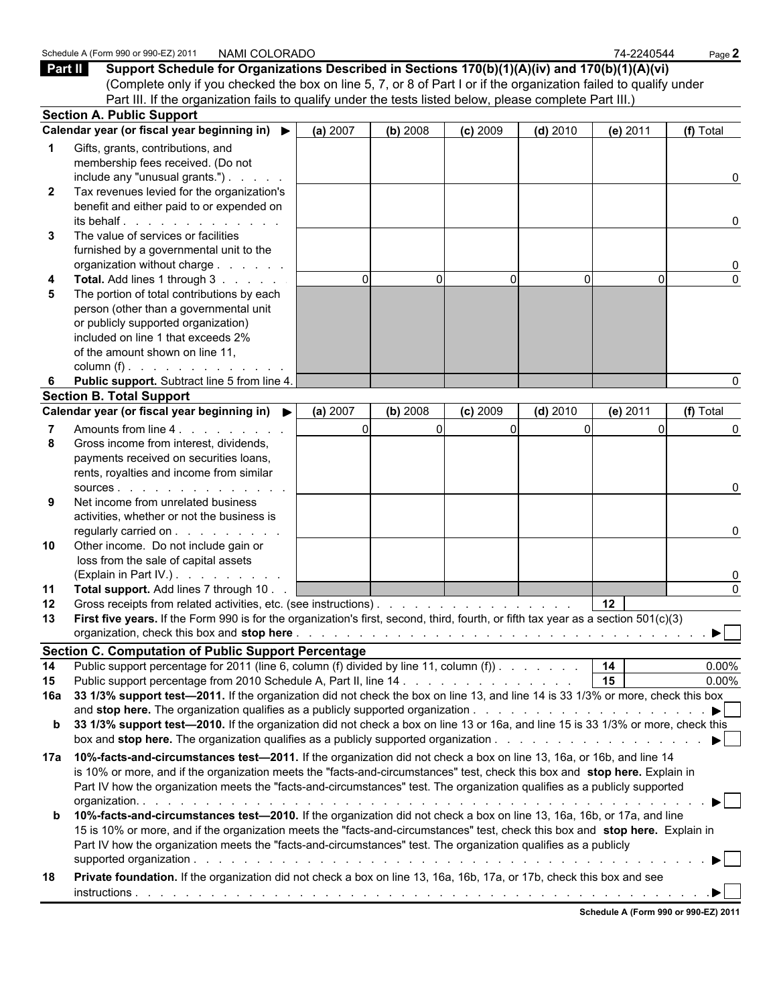| Part II      | Schedule A (Form 990 or 990-EZ) 2011<br>NAMI COLORADO<br>Support Schedule for Organizations Described in Sections 170(b)(1)(A)(iv) and 170(b)(1)(A)(vi)     |          |          |            |            | 74-2240544      | Page 2                                      |
|--------------|-------------------------------------------------------------------------------------------------------------------------------------------------------------|----------|----------|------------|------------|-----------------|---------------------------------------------|
|              | (Complete only if you checked the box on line 5, 7, or 8 of Part I or if the organization failed to qualify under                                           |          |          |            |            |                 |                                             |
|              | Part III. If the organization fails to qualify under the tests listed below, please complete Part III.)<br><b>Section A. Public Support</b>                 |          |          |            |            |                 |                                             |
|              | Calendar year (or fiscal year beginning in) ▶                                                                                                               | (a) 2007 | (b) 2008 | $(c)$ 2009 | $(d)$ 2010 | (e) 2011        | (f) Total                                   |
|              | Gifts, grants, contributions, and                                                                                                                           |          |          |            |            |                 |                                             |
|              | membership fees received. (Do not                                                                                                                           |          |          |            |            |                 |                                             |
|              | include any "unusual grants.") $\ldots$                                                                                                                     |          |          |            |            |                 | 0                                           |
| $\mathbf{2}$ | Tax revenues levied for the organization's                                                                                                                  |          |          |            |            |                 |                                             |
|              | benefit and either paid to or expended on                                                                                                                   |          |          |            |            |                 |                                             |
|              | its behalf.                                                                                                                                                 |          |          |            |            |                 | 0                                           |
| 3            | The value of services or facilities                                                                                                                         |          |          |            |            |                 |                                             |
|              | furnished by a governmental unit to the                                                                                                                     |          |          |            |            |                 |                                             |
|              | organization without charge                                                                                                                                 |          |          |            |            |                 | 0                                           |
|              | Total. Add lines 1 through 3                                                                                                                                | $\Omega$ | $\Omega$ |            | $\Omega$   | $\Omega$        | $\Omega$                                    |
|              | The portion of total contributions by each                                                                                                                  |          |          |            |            |                 |                                             |
|              | person (other than a governmental unit                                                                                                                      |          |          |            |            |                 |                                             |
|              | or publicly supported organization)                                                                                                                         |          |          |            |            |                 |                                             |
|              | included on line 1 that exceeds 2%<br>of the amount shown on line 11,                                                                                       |          |          |            |            |                 |                                             |
|              | column (f) $\ldots$ $\ldots$ $\ldots$ $\ldots$ $\ldots$                                                                                                     |          |          |            |            |                 |                                             |
| 6            | Public support. Subtract line 5 from line 4.                                                                                                                |          |          |            |            |                 | n                                           |
|              | <b>Section B. Total Support</b>                                                                                                                             |          |          |            |            |                 |                                             |
|              | Calendar year (or fiscal year beginning in) ▶                                                                                                               | (a) 2007 | (b) 2008 | $(c)$ 2009 | $(d)$ 2010 | (e) 2011        | (f) Total                                   |
|              | Amounts from line 4.                                                                                                                                        | $\Omega$ | $\Omega$ |            |            | $\Omega$        | $\Omega$                                    |
| 8            | Gross income from interest, dividends,                                                                                                                      |          |          |            |            |                 |                                             |
|              | payments received on securities loans,                                                                                                                      |          |          |            |            |                 |                                             |
|              | rents, royalties and income from similar                                                                                                                    |          |          |            |            |                 |                                             |
|              | SOUICES.                                                                                                                                                    |          |          |            |            |                 | 0                                           |
| 9            | Net income from unrelated business                                                                                                                          |          |          |            |            |                 |                                             |
|              | activities, whether or not the business is                                                                                                                  |          |          |            |            |                 |                                             |
|              | regularly carried on                                                                                                                                        |          |          |            |            |                 | 0                                           |
| 10           | Other income. Do not include gain or                                                                                                                        |          |          |            |            |                 |                                             |
|              | loss from the sale of capital assets                                                                                                                        |          |          |            |            |                 |                                             |
|              | (Explain in Part IV.)                                                                                                                                       |          |          |            |            |                 | 0                                           |
| 11           | Total support. Add lines 7 through 10.                                                                                                                      |          |          |            |            |                 | $\Omega$                                    |
| $12 \,$      | Gross receipts from related activities, etc. (see instructions).                                                                                            |          |          |            |            | 12              |                                             |
| 13           | First five years. If the Form 990 is for the organization's first, second, third, fourth, or fifth tax year as a section 501(c)(3)                          |          |          |            |            |                 |                                             |
|              |                                                                                                                                                             |          |          |            |            |                 |                                             |
|              | <b>Section C. Computation of Public Support Percentage</b>                                                                                                  |          |          |            |            |                 |                                             |
| 14<br>15     | Public support percentage for 2011 (line 6, column (f) divided by line 11, column (f). $\ldots$ , $\ldots$   14                                             |          |          |            |            | $\overline{15}$ | 0.00%<br>0.00%                              |
| 16a          | 33 1/3% support test-2011. If the organization did not check the box on line 13, and line 14 is 33 1/3% or more, check this box                             |          |          |            |            |                 |                                             |
|              | and stop here. The organization qualifies as a publicly supported organization $\ldots$ , $\ldots$ , $\ldots$ , $\ldots$ , $\ldots$ , $\blacktriangleright$ |          |          |            |            |                 |                                             |
| b            | 33 1/3% support test-2010. If the organization did not check a box on line 13 or 16a, and line 15 is 33 1/3% or more, check this                            |          |          |            |            |                 |                                             |
|              |                                                                                                                                                             |          |          |            |            |                 | $\blacktriangleright$ $\blacktriangleright$ |
| 17a          | 10%-facts-and-circumstances test-2011. If the organization did not check a box on line 13, 16a, or 16b, and line 14                                         |          |          |            |            |                 |                                             |
|              | is 10% or more, and if the organization meets the "facts-and-circumstances" test, check this box and stop here. Explain in                                  |          |          |            |            |                 |                                             |
|              | Part IV how the organization meets the "facts-and-circumstances" test. The organization qualifies as a publicly supported                                   |          |          |            |            |                 |                                             |
|              |                                                                                                                                                             |          |          |            |            |                 | $\blacktriangleright$ l                     |
| b            | 10%-facts-and-circumstances test-2010. If the organization did not check a box on line 13, 16a, 16b, or 17a, and line                                       |          |          |            |            |                 |                                             |
|              | 15 is 10% or more, and if the organization meets the "facts-and-circumstances" test, check this box and stop here. Explain in                               |          |          |            |            |                 |                                             |
|              | Part IV how the organization meets the "facts-and-circumstances" test. The organization qualifies as a publicly                                             |          |          |            |            |                 |                                             |
|              |                                                                                                                                                             |          |          |            |            |                 |                                             |
| 18           | Private foundation. If the organization did not check a box on line 13, 16a, 16b, 17a, or 17b, check this box and see                                       |          |          |            |            |                 |                                             |
|              |                                                                                                                                                             |          |          |            |            |                 |                                             |
|              |                                                                                                                                                             |          |          |            |            |                 | Schedule A (Form 990 or 990-EZ) 2011        |
|              |                                                                                                                                                             |          |          |            |            |                 |                                             |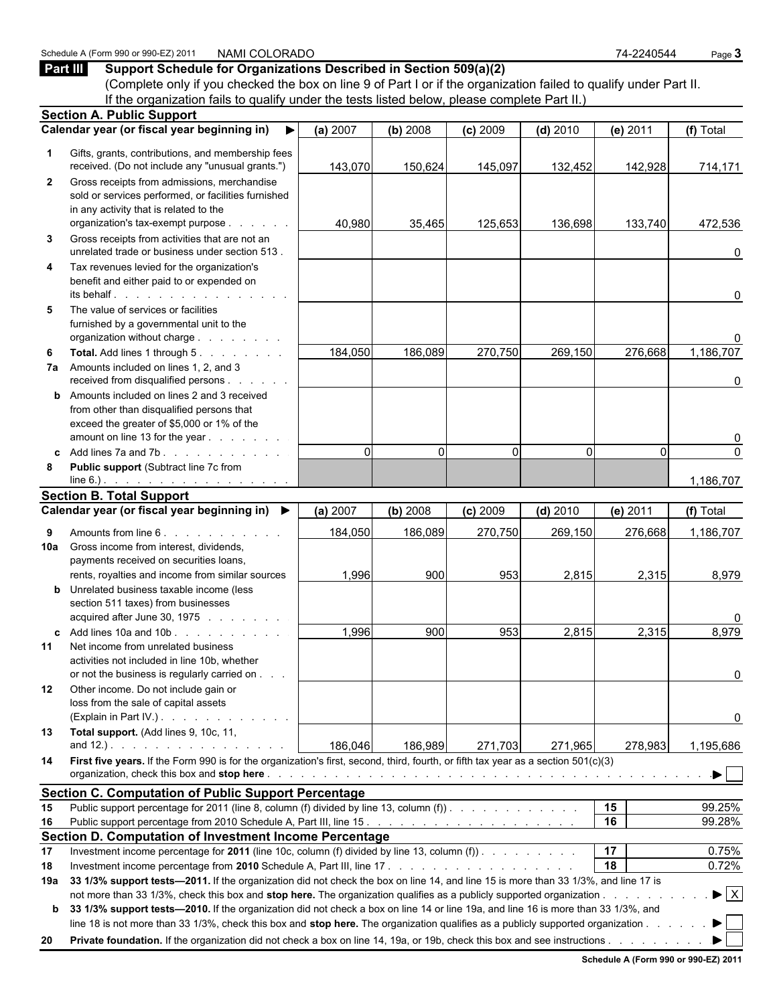#### (Complete only if you checked the box on line 9 of Part I or if the organization failed to qualify under Part II. If the organization fails to qualify under the tests listed below, please complete Part II.) **Section A. Public Support Calendar year (or fiscal year beginning in) (a)** 2007 **(b)** 2008 **(c)** 2009 **(d)** 2010 **(e)** 2011 **(f)** Total  **1** Gifts, grants, contributions, and membership fees received. (Do not include any "unusual grants.") 143,070 150,624 145,097 132,452 142,928 714,171  **2** Gross receipts from admissions, merchandise sold or services performed, or facilities furnished in any activity that is related to the organization's tax-exempt purpose . . . . . . | 40,980 35,465 125,653 136,698 133,740 472,536  **3** Gross receipts from activities that are not an unrelated trade or business under section 513 . . . . . . . . . . . . . . . . . . . . . . . . . . . . . . . . . . . . . . . . . . . . . . . . . . 0  **4** Tax revenues levied for the organization's benefit and either paid to or expended on its behalf . . . . . . . . . . . . . . . . . . . . . . . . . . . . . . . . . . . . . . . . . . . . . . . . . . . . . . . . . . . 0  **5** The value of services or facilities furnished by a governmental unit to the organization without charge . . . . . . . . . . . . . . . . . . . . . . . . . . . . . . . . . . . . . . . . . . . . . . . . . . . . . . . 0 **6 Total.** Add lines 1 through 5 . . . . . . . . | 184,050 | 186,089 | 270,750 | 269,150 | 276,668 1,186,707  **7a** Amounts included on lines 1, 2, and 3 received from disqualified persons . . . . . . . . . . . . . . . . . . . . . . . . . . . . . . . . . . . . . . . . . . . . . . . . . . . . . 0 **b** Amounts included on lines 2 and 3 received from other than disqualified persons that exceed the greater of \$5,000 or 1% of the amount on line 13 for the year . . . . . . . . . . . . . . . . . . . . . . . . . . . . . . . . . . . . . . . . . . . . . . . . . . . . . . 0  **c** Add lines 7a and 7b . . . . . . . . . . . . . . . . . . . . . . . . . . . . . . . . . . . . . . . . . . . . . . . . . . . . . . . 0 0 0 0 0 0  **8 Public support** (Subtract line 7c from line 6.) . . . . . . . . . . . . . . . . . . . . . . . . . . . . . . . . . . . . . . . . . . . . . . . . . . . . . . . . . . . 1,186,707 **Section B. Total Support Calendar year (or fiscal year beginning in) (a)** 2007 **(b)** 2008 **(c)** 2009 **(d)** 2010 **(e)** 2011 **(f)** Total  **9** Amounts from line 6 . . . . . . . . . . . . . . . . . . . . . . . . . . . . . . . . . . . . . . . . . . . . . . . . . . . . . . . . . 184,050 186,089 270,750 269,150 276,668 1,186,707 **10a** Gross income from interest, dividends, payments received on securities loans, rents, royalties and income from similar sources  $\begin{vmatrix} 1,996 \end{vmatrix}$  900 953 2,815 2,815 2,315 8,979 **b** Unrelated business taxable income (less section 511 taxes) from businesses acquired after June 30, 1975 . . . . . . . . . . . . . . . . . . . . . . . . . . . . . . . . . . . . . . . . . . . . . . . . . . . . . . . 0 **c** Add lines 10a and 10b . . . . . . . . . . | 1,996| 900| 953| 2,815| 2,315| 8,979 **11** Net income from unrelated business activities not included in line 10b, whether or not the business is regularly carried on . . . . . . . . . . . . . . . . . . . . . . . . . . . . . . . . . . . . . . . . . . . . . . . . . . . . . . . . . . . 0 **12** Other income. Do not include gain or loss from the sale of capital assets (Explain in Part IV.) . . . . . . . . . . . . . . . . . . . . . . . . . . . . . . . . . . . . . . . . . . . . . . . . . . . . . . . . 0 **13 Total support.** (Add lines 9, 10c, 11, and 12.) . . . . . . . . . . . . . . . . | 186,046| 186,989| 271,703| 271,965| 278,983| 1,195,686 **14 First five years.** If the Form 990 is for the organization's first, second, third, fourth, or fifth tax year as a section 501(c)(3) organization, check this box and **stop here** . . . . . . . . . . . . . . . . . . . . . . . . . . . . . . . . . . . . . . . . . . . . . . . . . . . **Section C. Computation of Public Support Percentage 15** Public support percentage for 2011 (line 8, column (f) divided by line 13, column (f)) . . . . . . . . . . . . . . . . . . . . . . . . . . . . . . . . . . . . . . . . **15** 99.25% **16** Public support percentage from 2010 Schedule A, Part III, line 15 . . . . . . . . . . . . . . . . . . . . . . . . . . . . . . . . . . . . . . . . . . . . . **16** 99.28% **Section D. Computation of Investment Income Percentage 17** Investment income percentage for **2011** (line 10c, column (f) divided by line 13, column (f)) . . . . . . . . . . . . . . . . . . . . . . . . . . . . . . . . . . . . . . . **17** 0.75% **18** Investment income percentage from **2010** Schedule A, Part III, line 17 . . . . . . . . . . . . . . . . . . . . . . . . . . . . . . . . . . . . . . . . . . . . **18** 0.72% **19a 33 1/3% support tests—2011.** If the organization did not check the box on line 14, and line 15 is more than 33 1/3%, and line 17 is not more than 33 1/3%, check this box and **stop here.** The organization qualifies as a publicly supported organization . . . . . . . . . . . . . . . . . . . . . . . . . . . . . . . . X **b** 33 1/3% support tests—2010. If the organization did not check a box on line 14 or line 19a, and line 16 is more than 33 1/3%, and line 18 is not more than 33 1/3%, check this box and **stop here.** The organization qualifies as a publicly supported organization . . . . . . . . . . . . . . . . . . . . . . . . . . . . . . . . **20 Private foundation.** If the organization did not check a box on line 14, 19a, or 19b, check this box and see instructions . . . . .

## **Part III Support Schedule for Organizations Described in Section 509(a)(2)**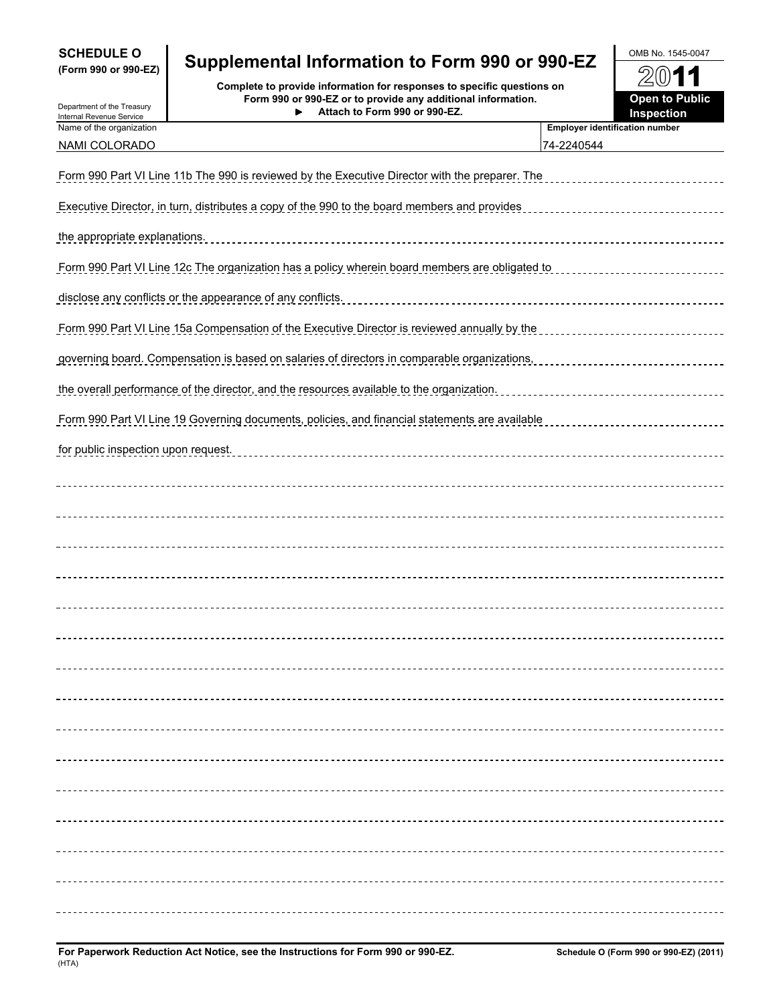| <b>SCHEDULE O</b><br>(Form 990 or 990-EZ)              | Supplemental Information to Form 990 or 990-EZ                                                                                                                          |                                                     | OMB No. 1545-0047                           |
|--------------------------------------------------------|-------------------------------------------------------------------------------------------------------------------------------------------------------------------------|-----------------------------------------------------|---------------------------------------------|
| Department of the Treasury<br>Internal Revenue Service | Complete to provide information for responses to specific questions on<br>Form 990 or 990-EZ or to provide any additional information.<br>Attach to Form 990 or 990-EZ. |                                                     | 2011<br><b>Open to Public</b><br>Inspection |
| Name of the organization<br>NAMI COLORADO              |                                                                                                                                                                         | <b>Employer identification number</b><br>74-2240544 |                                             |
|                                                        | Form 990 Part VI Line 11b The 990 is reviewed by the Executive Director with the preparer. The                                                                          |                                                     |                                             |
|                                                        | Executive Director, in turn, distributes a copy of the 990 to the board members and provides                                                                            |                                                     |                                             |
| the appropriate explanations.                          |                                                                                                                                                                         |                                                     |                                             |
|                                                        | Form 990 Part VI Line 12c The organization has a policy wherein board members are obligated to                                                                          |                                                     |                                             |
|                                                        | disclose any conflicts or the appearance of any conflicts.                                                                                                              |                                                     |                                             |
|                                                        | Form 990 Part VI Line 15a Compensation of the Executive Director is reviewed annually by the                                                                            |                                                     |                                             |
|                                                        | governing board. Compensation is based on salaries of directors in comparable organizations,                                                                            |                                                     |                                             |
|                                                        | the overall performance of the director, and the resources available to the organization.                                                                               |                                                     | --------------------------------------      |
|                                                        | Form 990 Part VI Line 19 Governing documents, policies, and financial statements are available                                                                          |                                                     |                                             |
| for public inspection upon request.                    |                                                                                                                                                                         |                                                     |                                             |
|                                                        |                                                                                                                                                                         |                                                     |                                             |
|                                                        |                                                                                                                                                                         |                                                     |                                             |
|                                                        |                                                                                                                                                                         |                                                     |                                             |
|                                                        |                                                                                                                                                                         |                                                     |                                             |
|                                                        |                                                                                                                                                                         |                                                     |                                             |
|                                                        |                                                                                                                                                                         |                                                     |                                             |
|                                                        |                                                                                                                                                                         |                                                     |                                             |
|                                                        |                                                                                                                                                                         |                                                     |                                             |
|                                                        |                                                                                                                                                                         |                                                     |                                             |
|                                                        |                                                                                                                                                                         |                                                     |                                             |
|                                                        |                                                                                                                                                                         |                                                     |                                             |
|                                                        |                                                                                                                                                                         |                                                     |                                             |
|                                                        |                                                                                                                                                                         |                                                     |                                             |
|                                                        |                                                                                                                                                                         |                                                     |                                             |
|                                                        |                                                                                                                                                                         |                                                     |                                             |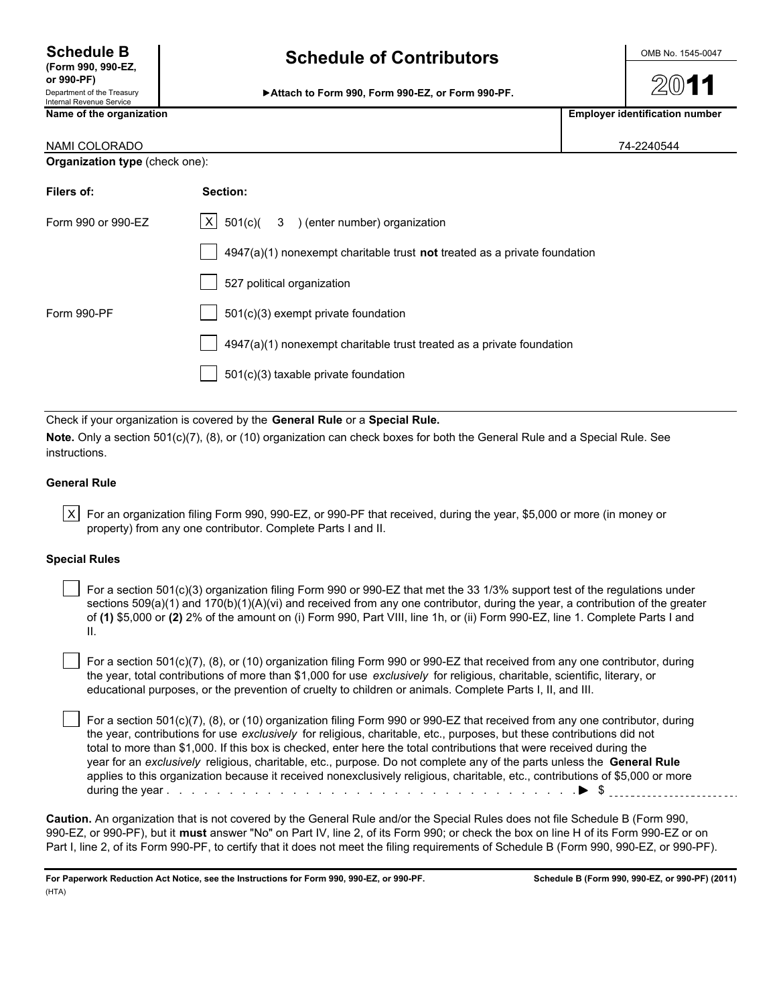**or 990-PF)** Department of the Treasury<br>Internal Revenue Service

**Schedule B** OMB No. 1545-0047 **(Form 990, 990-EZ, Schedule of Contributors**

Attach to Form 990, Form 990-EZ, or Form 990-PF.

| Name of the organization              |          | <b>Employer identification number</b> |
|---------------------------------------|----------|---------------------------------------|
| NAMI COLORADO                         |          | 74-2240544                            |
| <b>Organization type (check one):</b> |          |                                       |
| Filers of:                            | Section: |                                       |

| $ X $ 501(c)( 3 ) (enter number) organization                             |
|---------------------------------------------------------------------------|
| 4947(a)(1) nonexempt charitable trust not treated as a private foundation |
| 527 political organization                                                |
| 501(c)(3) exempt private foundation                                       |
| 4947(a)(1) nonexempt charitable trust treated as a private foundation     |
| 501(c)(3) taxable private foundation                                      |
|                                                                           |

Check if your organization is covered by the **General Rule** or a **Special Rule.**

**Note.** Only a section 501(c)(7), (8), or (10) organization can check boxes for both the General Rule and a Special Rule. See instructions.

#### **General Rule**

| X | For an organization filing Form 990, 990-EZ, or 990-PF that received, during the year, \$5,000 or more (in money or property) from any one contributor. Complete Parts I and II.

#### **Special Rules**

 For a section 501(c)(3) organization filing Form 990 or 990-EZ that met the 33 1/3% support test of the regulations under sections  $509(a)(1)$  and  $170(b)(1)(A)(vi)$  and received from any one contributor, during the year, a contribution of the greater of **(1)** \$5,000 or **(2)** 2% of the amount on (i) Form 990, Part VIII, line 1h, or (ii) Form 990-EZ, line 1. Complete Parts I and II.

 For a section 501(c)(7), (8), or (10) organization filing Form 990 or 990-EZ that received from any one contributor, during the year, total contributions of more than \$1,000 for use *exclusively* for religious, charitable, scientific, literary, or educational purposes, or the prevention of cruelty to children or animals. Complete Parts I, II, and III.

 For a section 501(c)(7), (8), or (10) organization filing Form 990 or 990-EZ that received from any one contributor, during the year, contributions for use *exclusively* for religious, charitable, etc., purposes, but these contributions did not total to more than \$1,000. If this box is checked, enter here the total contributions that were received during the year for an *exclusively* religious, charitable, etc., purpose. Do not complete any of the parts unless the **General Rule** applies to this organization because it received nonexclusively religious, charitable, etc., contributions of \$5,000 or more during the year . . . . . . . . . . . . . . . . . . . . . . . . . . . . . . . . . . . . . . . . . . . . . . . . . . . . . . . . . \$

**Caution.** An organization that is not covered by the General Rule and/or the Special Rules does not file Schedule B (Form 990, 990-EZ, or 990-PF), but it **must** answer "No" on Part IV, line 2, of its Form 990; or check the box on line H of its Form 990-EZ or on Part I, line 2, of its Form 990-PF, to certify that it does not meet the filing requirements of Schedule B (Form 990, 990-EZ, or 990-PF).

**For Paperwork Reduction Act Notice, see the Instructions for Form 990, 990-EZ, or 990-PF. Schedule B (Form 990, 990-EZ, or 990-PF) (2011)** (HTA)

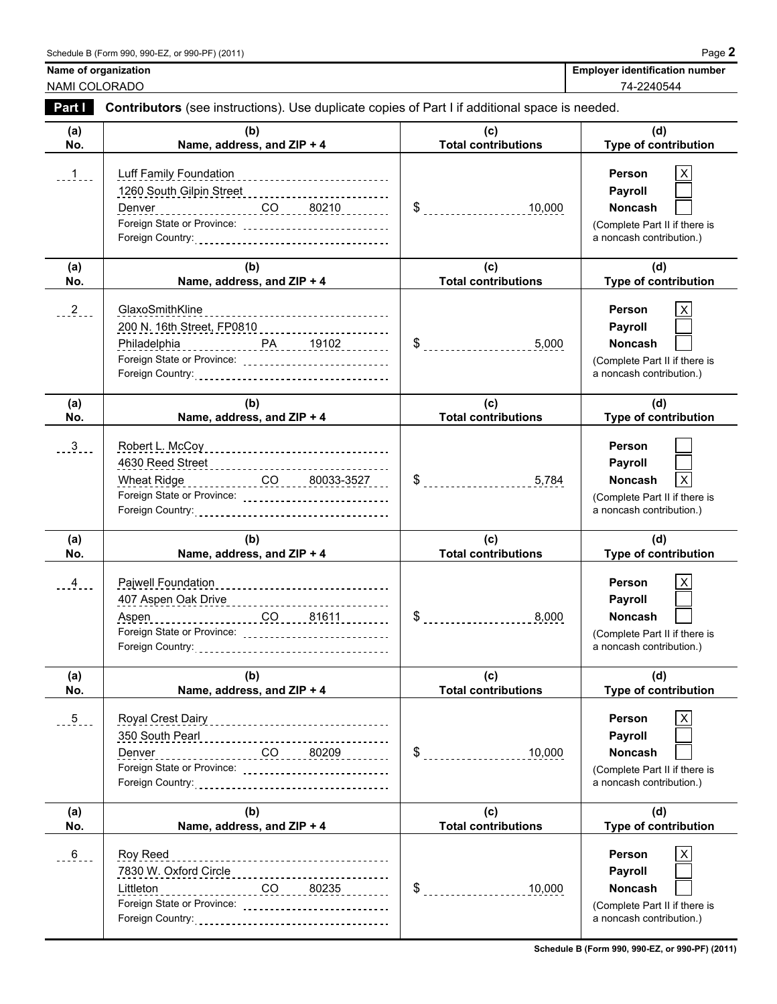| Name of organization | <b>Employer identification number</b> |
|----------------------|---------------------------------------|
| NAMI COLORADO        | 74-2240544                            |

| Part I          | <b>Contributors</b> (see instructions). Use duplicate copies of Part I if additional space is needed.                                                                               |                                     |                                                                                                       |
|-----------------|-------------------------------------------------------------------------------------------------------------------------------------------------------------------------------------|-------------------------------------|-------------------------------------------------------------------------------------------------------|
| (a)<br>No.      | (b)<br>Name, address, and ZIP + 4                                                                                                                                                   | (C)<br><b>Total contributions</b>   | (d)<br>Type of contribution                                                                           |
| $1 - 1 - 1$     | Luff Family Foundation<br>___________________________<br>1260 South Gilpin Street<br>1260 South Gilpin Street<br>Denver<br>Foreign State or Province: _____________________________ | $\frac{10,000}{2}$                  | X<br>Person<br>Payroll<br>Noncash<br>(Complete Part II if there is<br>a noncash contribution.)        |
| (a)<br>No.      | (b)<br>Name, address, and ZIP + 4                                                                                                                                                   | (c)<br><b>Total contributions</b>   | (d)<br><b>Type of contribution</b>                                                                    |
| $\frac{2}{2}$   | GlaxoSmithKline<br>200 N. 16th Street, FP0810 [11] [200 N. 16th Street, FP0810<br>Foreign State or Province:                                                                        |                                     | Person<br>Payroll<br>Noncash<br>(Complete Part II if there is<br>a noncash contribution.)             |
| (a)<br>No.      | (b)<br>Name, address, and ZIP + 4                                                                                                                                                   | (c)<br><b>Total contributions</b>   | (d)<br>Type of contribution                                                                           |
| $\frac{3}{2}$ . | Robert L. McCoy<br>4630 Reed Street __________________________<br>Foreign State or Province: _____________________________                                                          | $\frac{1}{2}$                       | <b>Person</b><br>Payroll<br>Noncash<br>X<br>(Complete Part II if there is<br>a noncash contribution.) |
| (a)<br>No.      | (b)<br>Name, address, and ZIP + 4                                                                                                                                                   | (c)<br><b>Total contributions</b>   | (d)<br>Type of contribution                                                                           |
| $\frac{4}{1}$   | Pajwell Foundation<br>-----------------------------<br>407 Aspen Oak Drive<br>Aspen<br>Foreign State or Province: ____________________________                                      | $\$\$<br>8,000                      | Person<br>Payroll<br>Noncash<br>(Complete Part II if there is<br>a noncash contribution.)             |
| (a)<br>No.      | (b)<br>Name, address, and ZIP + 4                                                                                                                                                   | (c)<br><b>Total contributions</b>   | (d)<br><b>Type of contribution</b>                                                                    |
| $-5$            | Denver                                                                                                                                                                              | $\sim$<br>10,000                    | Person<br>Payroll<br>Noncash<br>(Complete Part II if there is<br>a noncash contribution.)             |
| (a)<br>No.      | (b)<br>Name, address, and ZIP + 4                                                                                                                                                   | (c)<br><b>Total contributions</b>   | (d)<br>Type of contribution                                                                           |
| $\frac{6}{100}$ | Roy Reed<br>__________________________________<br>$\overline{CO}$ 80235<br>Littleton<br>Foreign State or Province: _____________________________                                    | $\boldsymbol{\mathsf{S}}$<br>10,000 | <b>Person</b><br>Payroll<br>Noncash<br>(Complete Part II if there is<br>a noncash contribution.)      |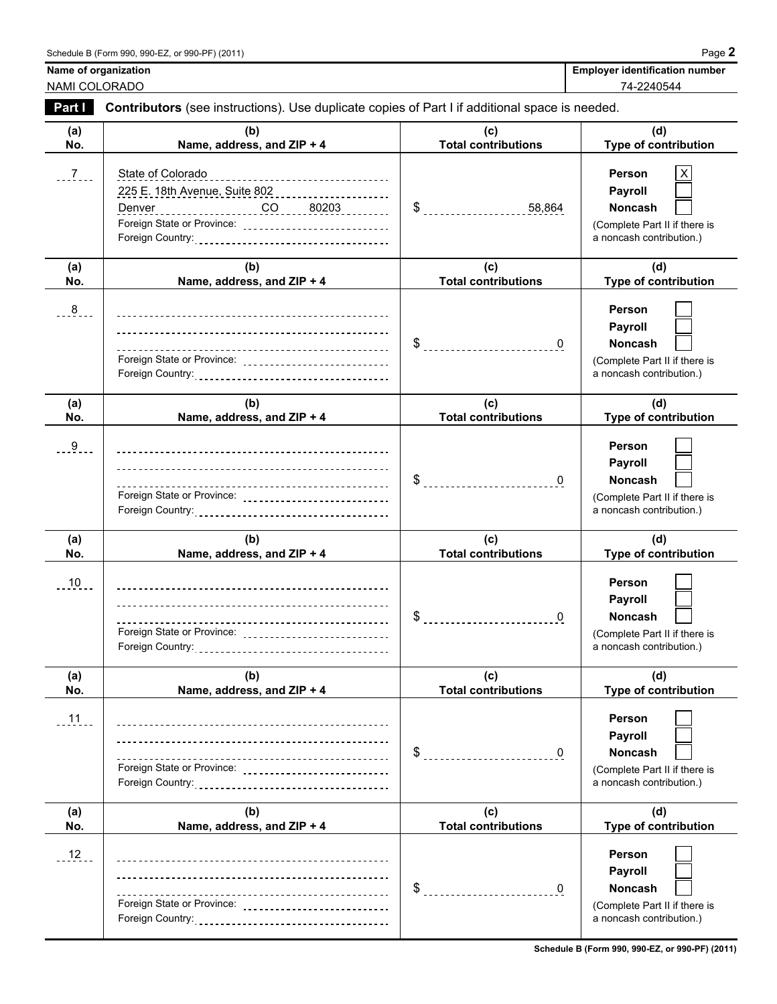| <b>Employer identification number</b> |  |
|---------------------------------------|--|
| 74-2240544                            |  |

### **Name of organization** NAMI COLORADO

| Part I      | Contributors (see instructions). Use duplicate copies of Part I if additional space is needed.                                                                                                  |                                   |                                                                                                  |
|-------------|-------------------------------------------------------------------------------------------------------------------------------------------------------------------------------------------------|-----------------------------------|--------------------------------------------------------------------------------------------------|
| (a)<br>No.  | (b)<br>Name, address, and ZIP + 4                                                                                                                                                               | (c)<br><b>Total contributions</b> | (d)<br>Type of contribution                                                                      |
| $-7$        | State of Colorado<br>-----------------------<br>225 E. 18th Avenue, Suite 802<br>Denver ___________________CO _____80203 ________<br>Foreign State or Province: _______________________________ | $\frac{1}{2}$ 58,864              | Person<br>Payroll<br>Noncash<br>(Complete Part II if there is<br>a noncash contribution.)        |
| (a)<br>No.  | (b)<br>Name, address, and ZIP + 4                                                                                                                                                               | (c)<br><b>Total contributions</b> | (d)<br>Type of contribution                                                                      |
| $-8$        | Foreign State or Province: ____________________________                                                                                                                                         | $\$\$<br>$\overline{\mathbf{0}}$  | Person<br>Payroll<br>Noncash<br>(Complete Part II if there is<br>a noncash contribution.)        |
| (a)<br>No.  | (b)<br>Name, address, and ZIP + 4                                                                                                                                                               | (c)<br><b>Total contributions</b> | (d)<br>Type of contribution                                                                      |
| $-9$        | Foreign State or Province: _____________________________                                                                                                                                        | $\$\quad$<br>$\mathbf 0$          | Person<br>Payroll<br><b>Noncash</b><br>(Complete Part II if there is<br>a noncash contribution.) |
| (a)<br>No.  | (b)<br>Name, address, and ZIP + 4                                                                                                                                                               | (c)<br><b>Total contributions</b> | (d)<br>Type of contribution                                                                      |
| <u>. 10</u> | Foreign State or Province: ____________________________                                                                                                                                         | \$<br>$\mathbf 0$                 | Person<br>Payroll<br>Noncash<br>(Complete Part II if there is<br>a noncash contribution.)        |
| (a)<br>No.  | (b)<br>Name, address, and ZIP + 4                                                                                                                                                               | (c)<br><b>Total contributions</b> | (d)<br>Type of contribution                                                                      |
| $11 -$      | --------------------------------                                                                                                                                                                | \$<br>$\overline{0}$              | Person<br>Payroll<br>Noncash<br>(Complete Part II if there is<br>a noncash contribution.)        |
| (a)<br>No.  | (b)<br>Name, address, and ZIP + 4                                                                                                                                                               | (c)<br><b>Total contributions</b> | (d)<br>Type of contribution                                                                      |
| $12 -$      | -------------------------------<br>Foreign State or Province: ______________________________                                                                                                    | \$<br>$\mathbf{0}$                | Person<br>Payroll<br>Noncash<br>(Complete Part II if there is<br>a noncash contribution.)        |

**Schedule B (Form 990, 990-EZ, or 990-PF) (2011)**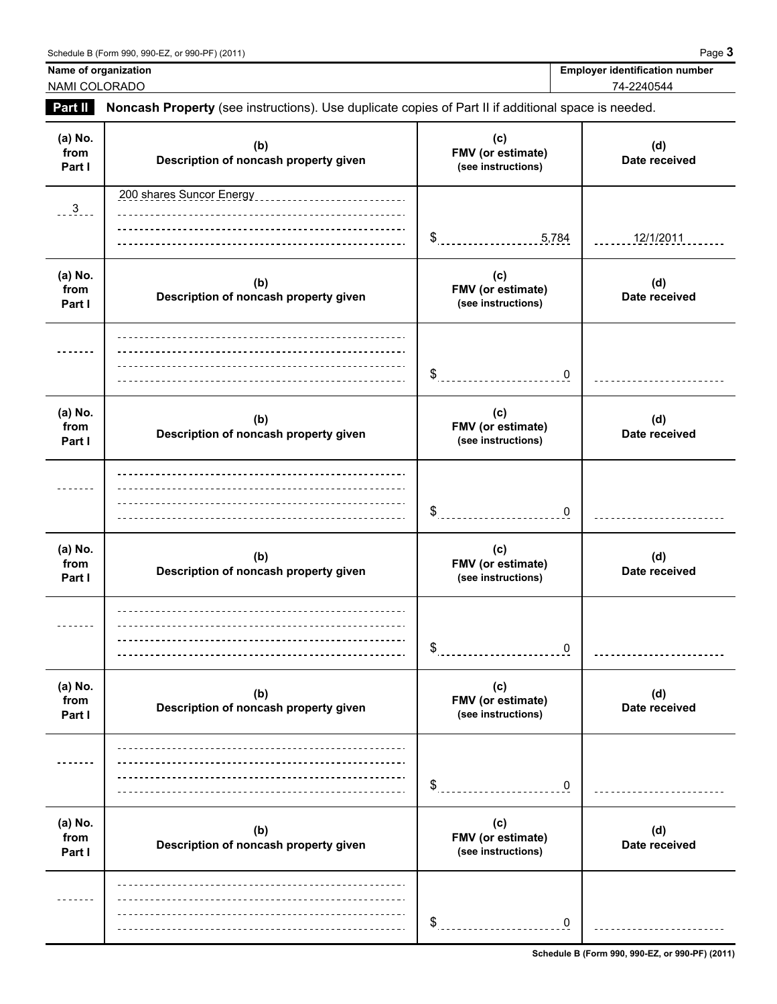Name of organization **Name of organization Employer identification number** 

# NAMI COLORADO 74-2240544

**Part II Noncash Property** (see instructions). Use duplicate copies of Part II if additional space is needed.

| (a) No.<br>from<br>Part I | (b)<br>Description of noncash property given | (c)<br>FMV (or estimate)<br>(see instructions) | (d)<br>Date received |
|---------------------------|----------------------------------------------|------------------------------------------------|----------------------|
| $\frac{3}{2}$             | 200 shares Suncor Energy                     | \$5,784                                        | 12/1/2011            |
| (a) No.<br>from<br>Part I | (b)<br>Description of noncash property given | (c)<br>FMV (or estimate)<br>(see instructions) | (d)<br>Date received |
|                           |                                              | \$<br>0                                        |                      |
| (a) No.<br>from<br>Part I | (b)<br>Description of noncash property given | (c)<br>FMV (or estimate)<br>(see instructions) | (d)<br>Date received |
|                           |                                              | $\sim$<br>0                                    |                      |
| (a) No.<br>from<br>Part I | (b)<br>Description of noncash property given | (c)<br>FMV (or estimate)<br>(see instructions) | (d)<br>Date received |
|                           |                                              | \$<br>0                                        |                      |
| (a) No.<br>from<br>Part I | (b)<br>Description of noncash property given | (c)<br>FMV (or estimate)<br>(see instructions) | (d)<br>Date received |
|                           |                                              | \$<br>0                                        |                      |
| (a) No.<br>from<br>Part I | (b)<br>Description of noncash property given | (c)<br>FMV (or estimate)<br>(see instructions) | (d)<br>Date received |
|                           |                                              | \$<br>$\mathbf 0$                              |                      |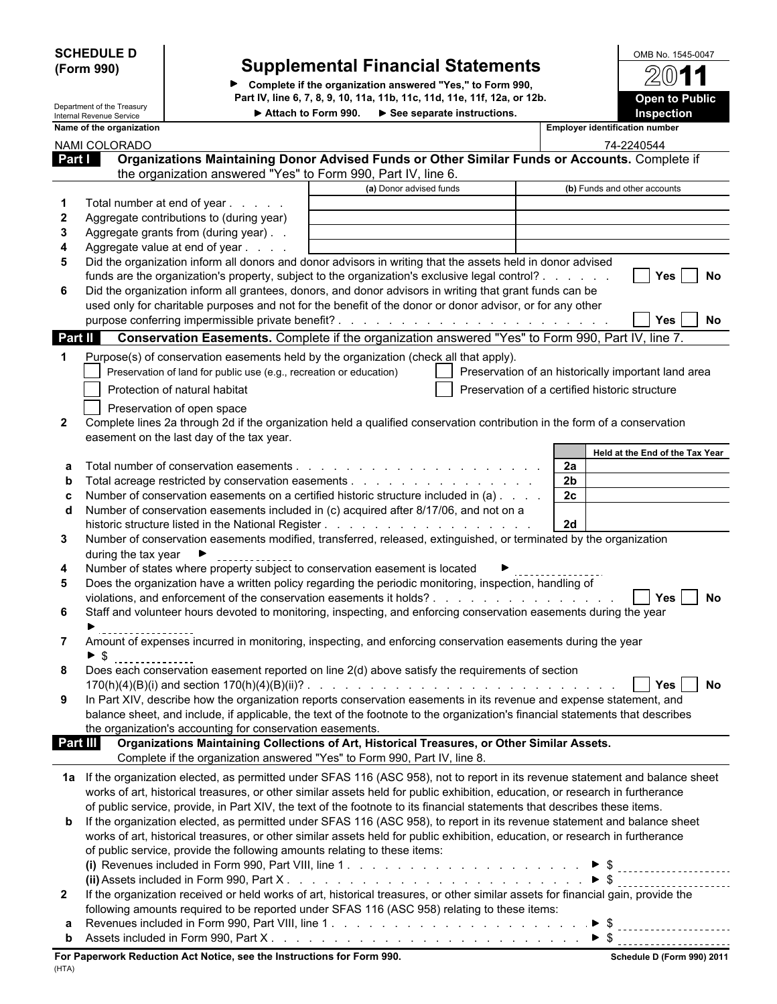| <b>SCHEDULE D</b> |  |
|-------------------|--|
| (Form 990)        |  |

# **SCHEDULE D** OMB No. 1545-0047 **(Form 990) Supplemental Financial Statements**

**Complete if the organization answered "Yes," to Form 990, Part IV, line 6, 7, 8, 9, 10, 11a, 11b, 11c, 11d, 11e, 11f, 12a, or 12b.**

| OMB No. 1545-0047     |  |
|-----------------------|--|
| 2011                  |  |
|                       |  |
| <b>Open to Public</b> |  |
| <b>Inspection</b>     |  |

 $\blacksquare$ 

|              | Department of the Treasury                           |                                                                                                                                  | Part IV, Illie 0, 7, 0, 9, 10, 11d, 110, 110, 110, 11e, 11l, 12d, 01 12D.<br>Attach to Form 990. > See separate instructions. |                                                     | Open to Public                  |
|--------------|------------------------------------------------------|----------------------------------------------------------------------------------------------------------------------------------|-------------------------------------------------------------------------------------------------------------------------------|-----------------------------------------------------|---------------------------------|
|              | Internal Revenue Service<br>Name of the organization |                                                                                                                                  |                                                                                                                               | <b>Employer identification number</b>               | Inspection                      |
|              | NAMI COLORADO                                        |                                                                                                                                  |                                                                                                                               |                                                     | 74-2240544                      |
|              | <b>Part I</b>                                        | Organizations Maintaining Donor Advised Funds or Other Similar Funds or Accounts. Complete if                                    |                                                                                                                               |                                                     |                                 |
|              |                                                      | the organization answered "Yes" to Form 990, Part IV, line 6.                                                                    |                                                                                                                               |                                                     |                                 |
|              |                                                      |                                                                                                                                  | (a) Donor advised funds                                                                                                       | (b) Funds and other accounts                        |                                 |
|              |                                                      | Total number at end of year                                                                                                      |                                                                                                                               |                                                     |                                 |
| 2            |                                                      | Aggregate contributions to (during year)                                                                                         |                                                                                                                               |                                                     |                                 |
| 3            |                                                      | Aggregate grants from (during year)                                                                                              |                                                                                                                               |                                                     |                                 |
| 4            |                                                      | Aggregate value at end of year                                                                                                   |                                                                                                                               |                                                     |                                 |
| 5            |                                                      | Did the organization inform all donors and donor advisors in writing that the assets held in donor advised                       |                                                                                                                               |                                                     |                                 |
|              |                                                      | funds are the organization's property, subject to the organization's exclusive legal control?                                    |                                                                                                                               |                                                     | Yes<br>No                       |
| 6            |                                                      | Did the organization inform all grantees, donors, and donor advisors in writing that grant funds can be                          |                                                                                                                               |                                                     |                                 |
|              |                                                      | used only for charitable purposes and not for the benefit of the donor or donor advisor, or for any other                        |                                                                                                                               |                                                     |                                 |
|              |                                                      |                                                                                                                                  |                                                                                                                               |                                                     | Yes<br>No                       |
|              | <b>Part II</b>                                       | Conservation Easements. Complete if the organization answered "Yes" to Form 990, Part IV, line 7.                                |                                                                                                                               |                                                     |                                 |
| 1            |                                                      | Purpose(s) of conservation easements held by the organization (check all that apply).                                            |                                                                                                                               |                                                     |                                 |
|              |                                                      | Preservation of land for public use (e.g., recreation or education)                                                              |                                                                                                                               | Preservation of an historically important land area |                                 |
|              |                                                      | Protection of natural habitat                                                                                                    |                                                                                                                               | Preservation of a certified historic structure      |                                 |
|              |                                                      | Preservation of open space                                                                                                       |                                                                                                                               |                                                     |                                 |
| $\mathbf{2}$ |                                                      | Complete lines 2a through 2d if the organization held a qualified conservation contribution in the form of a conservation        |                                                                                                                               |                                                     |                                 |
|              |                                                      | easement on the last day of the tax year.                                                                                        |                                                                                                                               |                                                     |                                 |
|              |                                                      |                                                                                                                                  |                                                                                                                               |                                                     | Held at the End of the Tax Year |
|              |                                                      |                                                                                                                                  |                                                                                                                               | 2a                                                  |                                 |
|              |                                                      |                                                                                                                                  |                                                                                                                               | 2 <sub>b</sub>                                      |                                 |
|              |                                                      | Number of conservation easements on a certified historic structure included in (a)                                               |                                                                                                                               | 2c                                                  |                                 |
| d            |                                                      | Number of conservation easements included in (c) acquired after 8/17/06, and not on a                                            |                                                                                                                               |                                                     |                                 |
|              |                                                      |                                                                                                                                  |                                                                                                                               | 2d                                                  |                                 |
| 3            |                                                      | Number of conservation easements modified, transferred, released, extinguished, or terminated by the organization                |                                                                                                                               |                                                     |                                 |
|              | during the tax year $\blacktriangleright$            | Number of states where property subject to conservation easement is located                                                      |                                                                                                                               |                                                     |                                 |
| 4<br>5       |                                                      | Does the organization have a written policy regarding the periodic monitoring, inspection, handling of                           |                                                                                                                               |                                                     |                                 |
|              |                                                      | violations, and enforcement of the conservation easements it holds?                                                              |                                                                                                                               |                                                     | ∣ Yes<br>No                     |
| 6            |                                                      | Staff and volunteer hours devoted to monitoring, inspecting, and enforcing conservation easements during the year                |                                                                                                                               |                                                     |                                 |
|              |                                                      |                                                                                                                                  |                                                                                                                               |                                                     |                                 |
|              |                                                      | Amount of expenses incurred in monitoring, inspecting, and enforcing conservation easements during the year                      |                                                                                                                               |                                                     |                                 |
|              | $\blacktriangleright$ \$<br>                         |                                                                                                                                  |                                                                                                                               |                                                     |                                 |
|              |                                                      | Does each conservation easement reported on line 2(d) above satisfy the requirements of section                                  |                                                                                                                               |                                                     |                                 |
|              |                                                      |                                                                                                                                  |                                                                                                                               |                                                     | Yes<br>No                       |
| 9            |                                                      | In Part XIV, describe how the organization reports conservation easements in its revenue and expense statement, and              |                                                                                                                               |                                                     |                                 |
|              |                                                      | balance sheet, and include, if applicable, the text of the footnote to the organization's financial statements that describes    |                                                                                                                               |                                                     |                                 |
|              |                                                      | the organization's accounting for conservation easements.                                                                        |                                                                                                                               |                                                     |                                 |
|              | Part III                                             | Organizations Maintaining Collections of Art, Historical Treasures, or Other Similar Assets.                                     |                                                                                                                               |                                                     |                                 |
|              |                                                      | Complete if the organization answered "Yes" to Form 990, Part IV, line 8.                                                        |                                                                                                                               |                                                     |                                 |
|              |                                                      | 1a If the organization elected, as permitted under SFAS 116 (ASC 958), not to report in its revenue statement and balance sheet  |                                                                                                                               |                                                     |                                 |
|              |                                                      | works of art, historical treasures, or other similar assets held for public exhibition, education, or research in furtherance    |                                                                                                                               |                                                     |                                 |
|              |                                                      | of public service, provide, in Part XIV, the text of the footnote to its financial statements that describes these items.        |                                                                                                                               |                                                     |                                 |
| b            |                                                      | If the organization elected, as permitted under SFAS 116 (ASC 958), to report in its revenue statement and balance sheet         |                                                                                                                               |                                                     |                                 |
|              |                                                      | works of art, historical treasures, or other similar assets held for public exhibition, education, or research in furtherance    |                                                                                                                               |                                                     |                                 |
|              |                                                      | of public service, provide the following amounts relating to these items:                                                        |                                                                                                                               |                                                     |                                 |
|              |                                                      | (i) Revenues included in Form 990, Part VIII, line 1. $\blacktriangleright$ \$                                                   |                                                                                                                               |                                                     |                                 |
|              |                                                      |                                                                                                                                  |                                                                                                                               |                                                     |                                 |
| $\mathbf{2}$ |                                                      | If the organization received or held works of art, historical treasures, or other similar assets for financial gain, provide the |                                                                                                                               |                                                     |                                 |
|              |                                                      | following amounts required to be reported under SFAS 116 (ASC 958) relating to these items:                                      |                                                                                                                               |                                                     |                                 |

**a** Revenues included in Form 990, Part VIII, line 1 . . . . . . . . . . . . . . . . . . . . . . . . . . . . . . . . . . . . . . . . . . . . . . . . . \$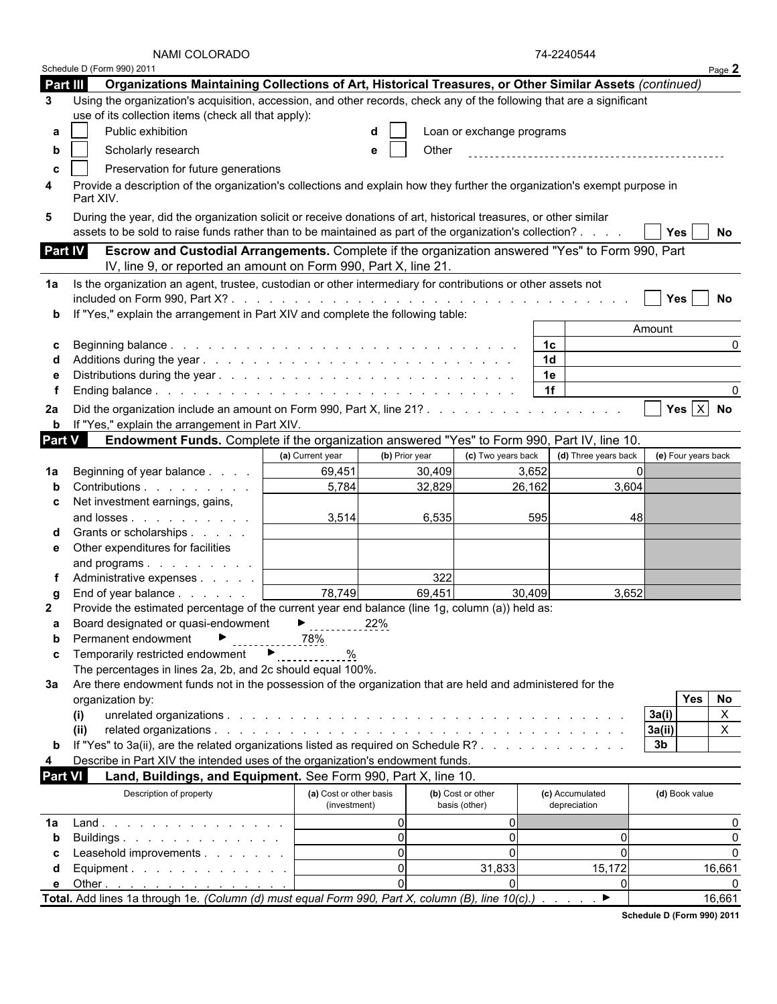|                     | NAMI COLORADO                                                                                                                                                                                                                |                                         |                |                                    | 74-2240544                      |          |                     |                |
|---------------------|------------------------------------------------------------------------------------------------------------------------------------------------------------------------------------------------------------------------------|-----------------------------------------|----------------|------------------------------------|---------------------------------|----------|---------------------|----------------|
|                     | Schedule D (Form 990) 2011                                                                                                                                                                                                   |                                         |                |                                    |                                 |          |                     | Page 2         |
| Part III            | Organizations Maintaining Collections of Art, Historical Treasures, or Other Similar Assets (continued)                                                                                                                      |                                         |                |                                    |                                 |          |                     |                |
| 3                   | Using the organization's acquisition, accession, and other records, check any of the following that are a significant<br>use of its collection items (check all that apply):                                                 |                                         |                |                                    |                                 |          |                     |                |
| a                   | Public exhibition                                                                                                                                                                                                            |                                         |                | Loan or exchange programs          |                                 |          |                     |                |
|                     | Scholarly research                                                                                                                                                                                                           |                                         | Other          |                                    |                                 |          |                     |                |
| b                   |                                                                                                                                                                                                                              |                                         |                |                                    |                                 |          |                     |                |
| C                   | Preservation for future generations                                                                                                                                                                                          |                                         |                |                                    |                                 |          |                     |                |
| 4                   | Provide a description of the organization's collections and explain how they further the organization's exempt purpose in<br>Part XIV.                                                                                       |                                         |                |                                    |                                 |          |                     |                |
| 5                   | During the year, did the organization solicit or receive donations of art, historical treasures, or other similar<br>assets to be sold to raise funds rather than to be maintained as part of the organization's collection? |                                         |                |                                    |                                 |          | Yes                 | No             |
| <b>Part IV</b>      | Escrow and Custodial Arrangements. Complete if the organization answered "Yes" to Form 990, Part<br>IV, line 9, or reported an amount on Form 990, Part X, line 21.                                                          |                                         |                |                                    |                                 |          |                     |                |
| 1a                  | Is the organization an agent, trustee, custodian or other intermediary for contributions or other assets not                                                                                                                 |                                         |                |                                    |                                 |          |                     |                |
|                     |                                                                                                                                                                                                                              |                                         |                |                                    |                                 |          | Yes                 | No             |
| b                   | "Yes," explain the arrangement in Part XIV and complete the following table:                                                                                                                                                 |                                         |                |                                    |                                 |          |                     |                |
|                     |                                                                                                                                                                                                                              |                                         |                |                                    |                                 |          | Amount              |                |
| C                   |                                                                                                                                                                                                                              |                                         |                |                                    | 1c                              |          |                     | 0              |
|                     |                                                                                                                                                                                                                              |                                         |                |                                    | 1 <sub>d</sub>                  |          |                     |                |
|                     |                                                                                                                                                                                                                              |                                         |                |                                    | 1e                              |          |                     |                |
|                     |                                                                                                                                                                                                                              |                                         |                |                                    | 1f                              |          |                     | 0              |
| 2a                  | <b>b</b> If "Yes," explain the arrangement in Part XIV.                                                                                                                                                                      |                                         |                |                                    |                                 |          |                     | Yes $X$ No     |
| Part $\overline{V}$ | Endowment Funds. Complete if the organization answered "Yes" to Form 990, Part IV, line 10.                                                                                                                                  |                                         |                |                                    |                                 |          |                     |                |
|                     |                                                                                                                                                                                                                              | (a) Current year                        | (b) Prior year | (c) Two years back                 | (d) Three years back            |          | (e) Four years back |                |
| 1a                  | Beginning of year balance                                                                                                                                                                                                    | 69,451                                  | 30,409         |                                    | 3,652                           |          |                     |                |
|                     | Contributions                                                                                                                                                                                                                | 5,784                                   | 32,829         |                                    | 26,162                          | 3,604    |                     |                |
| c                   | Net investment earnings, gains,                                                                                                                                                                                              |                                         |                |                                    |                                 |          |                     |                |
|                     | and losses                                                                                                                                                                                                                   | 3,514                                   | 6,535          |                                    | 595                             | 48       |                     |                |
|                     | Grants or scholarships                                                                                                                                                                                                       |                                         |                |                                    |                                 |          |                     |                |
| е                   | Other expenditures for facilities                                                                                                                                                                                            |                                         |                |                                    |                                 |          |                     |                |
|                     | and programs                                                                                                                                                                                                                 |                                         |                |                                    |                                 |          |                     |                |
|                     | Administrative expenses                                                                                                                                                                                                      |                                         | 322            |                                    |                                 |          |                     |                |
|                     | End of year balance                                                                                                                                                                                                          | 78,749                                  | 69,451         |                                    | 30,409                          | 3,652    |                     |                |
| 2                   | Provide the estimated percentage of the current year end balance (line 1g, column (a)) held as:                                                                                                                              |                                         |                |                                    |                                 |          |                     |                |
| а                   | Board designated or quasi-endowment                                                                                                                                                                                          | ▶                                       | 22%            |                                    |                                 |          |                     |                |
| b                   | Permanent endowment                                                                                                                                                                                                          | 78%                                     |                |                                    |                                 |          |                     |                |
| C                   | Temporarily restricted endowment ▶                                                                                                                                                                                           | $\%$                                    |                |                                    |                                 |          |                     |                |
|                     | The percentages in lines 2a, 2b, and 2c should equal 100%.                                                                                                                                                                   |                                         |                |                                    |                                 |          |                     |                |
| За                  | Are there endowment funds not in the possession of the organization that are held and administered for the                                                                                                                   |                                         |                |                                    |                                 |          |                     |                |
|                     | organization by:                                                                                                                                                                                                             |                                         |                |                                    |                                 |          | Yes                 | No             |
|                     | (i)                                                                                                                                                                                                                          |                                         |                |                                    |                                 |          | 3a(i)               | $\pmb{\times}$ |
|                     | (ii)                                                                                                                                                                                                                         |                                         |                |                                    |                                 |          | 3a(ii)              | X              |
|                     | If "Yes" to 3a(ii), are the related organizations listed as required on Schedule R?                                                                                                                                          |                                         |                |                                    |                                 |          | 3 <sub>b</sub>      |                |
| 4                   | Describe in Part XIV the intended uses of the organization's endowment funds.                                                                                                                                                |                                         |                |                                    |                                 |          |                     |                |
| <b>Part VI</b>      | Land, Buildings, and Equipment. See Form 990, Part X, line 10.                                                                                                                                                               |                                         |                |                                    |                                 |          |                     |                |
|                     |                                                                                                                                                                                                                              |                                         |                |                                    |                                 |          |                     |                |
|                     | Description of property                                                                                                                                                                                                      | (a) Cost or other basis<br>(investment) |                | (b) Cost or other<br>basis (other) | (c) Accumulated<br>depreciation |          | (d) Book value      |                |
| 1a                  | Land.                                                                                                                                                                                                                        |                                         | $\Omega$       | $\Omega$                           |                                 |          |                     | 0              |
| b                   | Buildings.                                                                                                                                                                                                                   |                                         | $\overline{0}$ | $\Omega$                           |                                 | $\Omega$ |                     | 0              |
|                     | Leasehold improvements                                                                                                                                                                                                       |                                         | $\mathbf 0$    | $\mathbf{0}$                       |                                 | $\Omega$ |                     | $\mathbf{0}$   |
| d                   | Equipment.                                                                                                                                                                                                                   |                                         | $\mathbf 0$    | 31,833                             |                                 | 15,172   |                     | 16,661         |
| e                   | Other <u>.</u>                                                                                                                                                                                                               |                                         | $\mathbf 0$    | ΩI                                 |                                 | $\Omega$ |                     | 0              |
|                     | Total. Add lines 1a through 1e. (Column (d) must equal Form 990, Part X, column (B), line $10(c)$ .) $\blacktriangleright$                                                                                                   |                                         |                |                                    |                                 |          |                     | 16,661         |

**Schedule D (Form 990) 2011**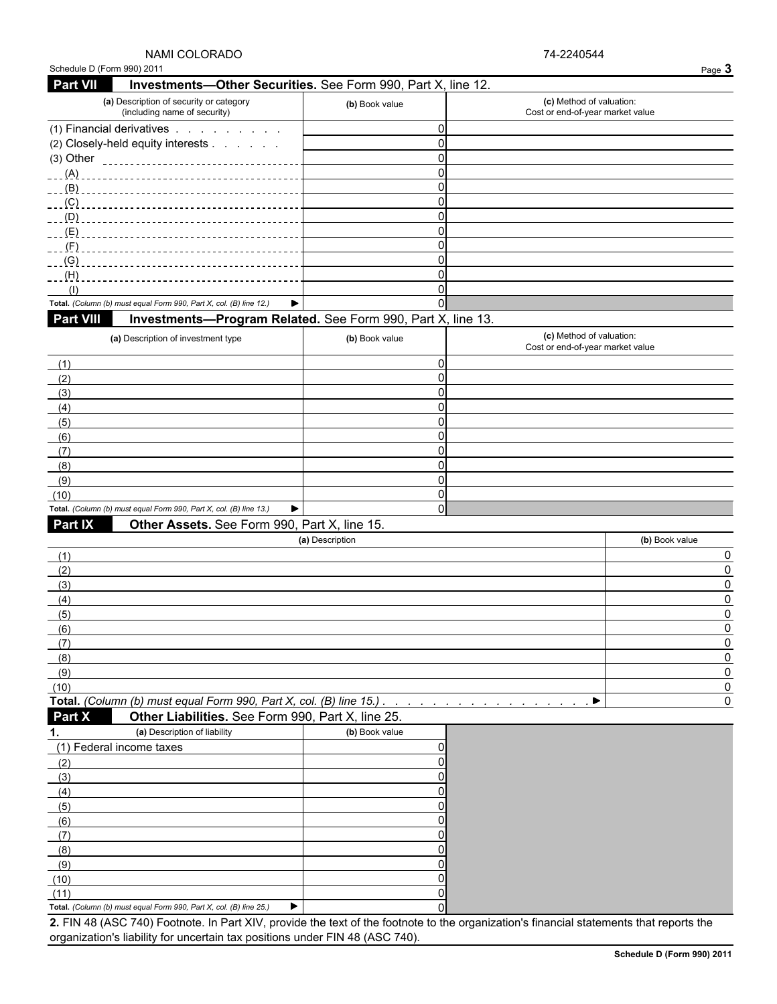| (a) Description of security or category<br>(including name of security) | (b) Book value | (c) Method of valuation:<br>Cost or end-of-year market value |
|-------------------------------------------------------------------------|----------------|--------------------------------------------------------------|
| (1) Financial derivatives                                               |                |                                                              |
| (2) Closely-held equity interests                                       |                |                                                              |
| $(3)$ Other<br>                                                         |                |                                                              |
| (A)                                                                     |                |                                                              |
|                                                                         |                |                                                              |
| $\overline{C}$                                                          |                |                                                              |
| $\overline{\phantom{a}}$ (D)                                            |                |                                                              |
| $-L(E)$                                                                 |                |                                                              |
| (F)                                                                     |                |                                                              |
|                                                                         |                |                                                              |
| $-H)$                                                                   |                |                                                              |
|                                                                         |                |                                                              |
| Total. (Column (b) must equal Form 990, Part X, col. (B) line 12.)      |                |                                                              |

### **Part VIII Investments—Program Related.** See Form 990, Part X, line 13.

| (a) Description of investment type                                      | (b) Book value | (c) Method of valuation:<br>Cost or end-of-year market value |
|-------------------------------------------------------------------------|----------------|--------------------------------------------------------------|
| (1)                                                                     |                |                                                              |
| (2)                                                                     |                |                                                              |
| (3)                                                                     |                |                                                              |
| (4)                                                                     |                |                                                              |
| (5)                                                                     |                |                                                              |
| (6)                                                                     |                |                                                              |
| (7)                                                                     |                |                                                              |
| (8)                                                                     |                |                                                              |
| (9)                                                                     |                |                                                              |
| (10)                                                                    |                |                                                              |
| Total. (Column (b) must equal Form 990, Part X, col. (B) line 13.)<br>▶ |                |                                                              |

### **Part IX Other Assets.** See Form 990, Part X, line 15.

| (a) Description | (b) Book value |
|-----------------|----------------|
| $\sqrt{1}$      |                |
| (2)             |                |
| (3)             |                |
| (4)             |                |
| (5)             |                |
| (6)             |                |
|                 |                |
| (8)             |                |
| (9)             |                |
| (10)            |                |
|                 |                |

**Total.** *(Column (b) must equal Form 990, Part X, col. (B) line 15.) . . . . . . . . . . . . . . . . . . . . . . . . . . . . . . . . . . . . . . . . . . . .* 0 **Part X Other Liabilities.** See Form 990, Part X, line 25.

|      | (a) Description of liability                                       | (b) Book value |  |
|------|--------------------------------------------------------------------|----------------|--|
|      | (1) Federal income taxes                                           |                |  |
| (2   |                                                                    |                |  |
| (3)  |                                                                    |                |  |
| (4)  |                                                                    |                |  |
| (5)  |                                                                    |                |  |
| (6)  |                                                                    |                |  |
|      |                                                                    |                |  |
| (8)  |                                                                    |                |  |
| (9)  |                                                                    |                |  |
| (10) |                                                                    |                |  |
| (11) |                                                                    |                |  |
|      | Total. (Column (b) must equal Form 990, Part X, col. (B) line 25.) |                |  |

**2.** FIN 48 (ASC 740) Footnote. In Part XIV, provide the text of the footnote to the organization's financial statements that reports the organization's liability for uncertain tax positions under FIN 48 (ASC 740).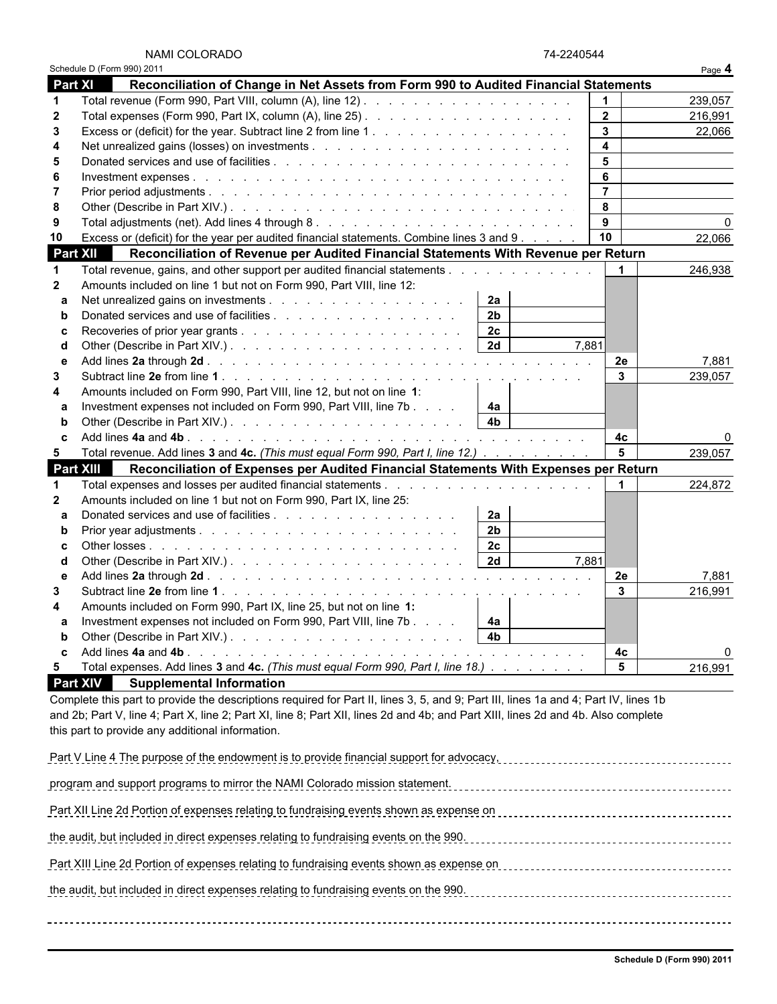|                 | Schedule D (Form 990) 2011                                                                                                          |                |       |                |             | Page 4   |
|-----------------|-------------------------------------------------------------------------------------------------------------------------------------|----------------|-------|----------------|-------------|----------|
| <b>Part XI</b>  | Reconciliation of Change in Net Assets from Form 990 to Audited Financial Statements                                                |                |       |                |             |          |
| $\mathbf 1$     |                                                                                                                                     |                |       |                |             | 239,057  |
| $\mathbf{2}$    |                                                                                                                                     |                |       | $\mathbf{2}$   |             | 216,991  |
| 3               |                                                                                                                                     |                |       | $\mathbf{3}$   |             | 22,066   |
| 4               |                                                                                                                                     |                |       | 4              |             |          |
| 5               |                                                                                                                                     |                |       | 5              |             |          |
| 6               |                                                                                                                                     |                |       | 6              |             |          |
| 7               |                                                                                                                                     |                |       | $\overline{7}$ |             |          |
| 8               |                                                                                                                                     |                |       | 8              |             |          |
| 9               |                                                                                                                                     |                |       | 9              |             | $\Omega$ |
| 10              | Excess or (deficit) for the year per audited financial statements. Combine lines 3 and 9                                            |                |       | 10             |             | 22,066   |
| <b>Part XII</b> | Reconciliation of Revenue per Audited Financial Statements With Revenue per Return                                                  |                |       |                |             |          |
| -1              | Total revenue, gains, and other support per audited financial statements                                                            |                |       |                |             | 246,938  |
| $\mathbf{2}$    | Amounts included on line 1 but not on Form 990, Part VIII, line 12:                                                                 |                |       |                |             |          |
|                 |                                                                                                                                     | 2a             |       |                |             |          |
| a               |                                                                                                                                     | 2 <sub>b</sub> |       |                |             |          |
| b               | Donated services and use of facilities                                                                                              |                |       |                |             |          |
| c               |                                                                                                                                     | 2c             |       |                |             |          |
| d               |                                                                                                                                     | 2d             | 7.881 |                |             |          |
| е               |                                                                                                                                     |                |       | 2e             |             | 7,881    |
| 3               |                                                                                                                                     |                |       | $\mathbf{3}$   |             | 239,057  |
| 4               | Amounts included on Form 990, Part VIII, line 12, but not on line 1:                                                                |                |       |                |             |          |
| a               | Investment expenses not included on Form 990, Part VIII, line 7b                                                                    | 4a             |       |                |             |          |
|                 |                                                                                                                                     |                |       |                |             |          |
|                 |                                                                                                                                     |                |       | 4c             |             | ŋ        |
| 5               | Total revenue. Add lines 3 and 4c. (This must equal Form 990, Part I, line 12.)                                                     |                |       |                | 5           | 239,057  |
|                 | <b>Part XIII</b><br>Reconciliation of Expenses per Audited Financial Statements With Expenses per Return                            |                |       |                |             |          |
| 1               |                                                                                                                                     |                |       |                | $\mathbf 1$ | 224,872  |
| $\mathbf{2}$    | Amounts included on line 1 but not on Form 990, Part IX, line 25:                                                                   |                |       |                |             |          |
| a               | Donated services and use of facilities                                                                                              | 2a             |       |                |             |          |
|                 |                                                                                                                                     | 2 <sub>b</sub> |       |                |             |          |
| c               |                                                                                                                                     | 2c             |       |                |             |          |
| d               |                                                                                                                                     |                | 7.881 |                |             |          |
| е               |                                                                                                                                     |                |       | <b>2e</b>      |             | 7,881    |
| 3               |                                                                                                                                     |                |       | $\mathbf{3}$   |             | 216,991  |
| Δ               | Amounts included on Form 990, Part IX, line 25, but not on line 1:                                                                  |                |       |                |             |          |
| a               | Investment expenses not included on Form 990, Part VIII, line 7b                                                                    | 4a             |       |                |             |          |
|                 | Other (Describe in Part XIV.). $\ldots$ $\ldots$ $\ldots$ $\ldots$ $\ldots$ $\ldots$ $\ldots$ $\downarrow$ 4b                       |                |       |                |             |          |
| c               |                                                                                                                                     |                |       | 4с             |             | 0        |
| 5               | Total expenses. Add lines 3 and 4c. (This must equal Form 990, Part I, line 18.)                                                    |                |       |                | $\sqrt{5}$  |          |
|                 |                                                                                                                                     |                |       |                |             | 216,991  |
|                 | <b>Part XIV</b><br><b>Supplemental Information</b>                                                                                  |                |       |                |             |          |
|                 | Complete this part to provide the descriptions required for Part II, lines 3, 5, and 9; Part III, lines 1a and 4; Part IV, lines 1b |                |       |                |             |          |
|                 | and 2b; Part V, line 4; Part X, line 2; Part XI, line 8; Part XII, lines 2d and 4b; and Part XIII, lines 2d and 4b. Also complete   |                |       |                |             |          |
|                 | this part to provide any additional information.                                                                                    |                |       |                |             |          |
|                 |                                                                                                                                     |                |       |                |             |          |
|                 | Part V Line 4 The purpose of the endowment is to provide financial support for advocacy,                                            |                |       |                |             |          |
|                 | program and support programs to mirror the NAMI Colorado mission statement.                                                         |                |       |                |             |          |
|                 |                                                                                                                                     |                |       |                |             |          |
|                 | Part XII Line 2d Portion of expenses relating to fundraising events shown as expense on                                             |                |       |                |             |          |
|                 |                                                                                                                                     |                |       |                |             |          |
|                 | the audit, but included in direct expenses relating to fundraising events on the 990.                                               |                |       |                |             |          |
|                 |                                                                                                                                     |                |       |                |             |          |
|                 | Part XIII Line 2d Portion of expenses relating to fundraising events shown as expense on                                            |                |       |                |             |          |

the audit, but included in direct expenses relating to fundraising events on the 990.

74-2240544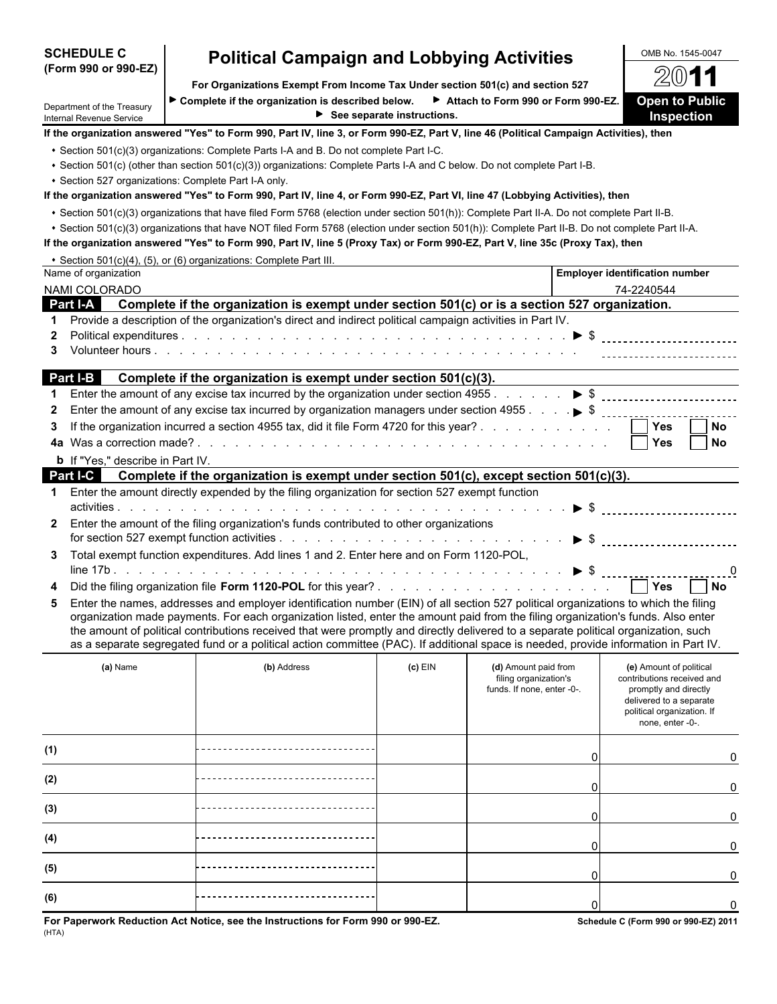| <b>SCHEDULE C</b>                                      | <b>Political Campaign and Lobbying Activities</b>                                                                                                                                                                                                                                 |                                                  |                                                     | OMB No. 1545-0047                                                         |
|--------------------------------------------------------|-----------------------------------------------------------------------------------------------------------------------------------------------------------------------------------------------------------------------------------------------------------------------------------|--------------------------------------------------|-----------------------------------------------------|---------------------------------------------------------------------------|
| (Form 990 or 990-EZ)                                   |                                                                                                                                                                                                                                                                                   |                                                  |                                                     | 2011                                                                      |
|                                                        | For Organizations Exempt From Income Tax Under section 501(c) and section 527                                                                                                                                                                                                     |                                                  |                                                     |                                                                           |
| Department of the Treasury<br>Internal Revenue Service | ► Complete if the organization is described below. ► Attach to Form 990 or Form 990-EZ.                                                                                                                                                                                           | $\blacktriangleright$ See separate instructions. |                                                     | <b>Open to Public</b><br>Inspection                                       |
|                                                        | If the organization answered "Yes" to Form 990, Part IV, line 3, or Form 990-EZ, Part V, line 46 (Political Campaign Activities), then                                                                                                                                            |                                                  |                                                     |                                                                           |
|                                                        | • Section 501(c)(3) organizations: Complete Parts I-A and B. Do not complete Part I-C.                                                                                                                                                                                            |                                                  |                                                     |                                                                           |
|                                                        | • Section 501(c) (other than section 501(c)(3)) organizations: Complete Parts I-A and C below. Do not complete Part I-B.                                                                                                                                                          |                                                  |                                                     |                                                                           |
|                                                        | • Section 527 organizations: Complete Part I-A only.                                                                                                                                                                                                                              |                                                  |                                                     |                                                                           |
|                                                        | If the organization answered "Yes" to Form 990, Part IV, line 4, or Form 990-EZ, Part VI, line 47 (Lobbying Activities), then                                                                                                                                                     |                                                  |                                                     |                                                                           |
|                                                        | . Section 501(c)(3) organizations that have filed Form 5768 (election under section 501(h)): Complete Part II-A. Do not complete Part II-B.                                                                                                                                       |                                                  |                                                     |                                                                           |
|                                                        | . Section 501(c)(3) organizations that have NOT filed Form 5768 (election under section 501(h)): Complete Part II-B. Do not complete Part II-A.<br>If the organization answered "Yes" to Form 990, Part IV, line 5 (Proxy Tax) or Form 990-EZ, Part V, line 35c (Proxy Tax), then |                                                  |                                                     |                                                                           |
|                                                        | • Section 501(c)(4), (5), or (6) organizations: Complete Part III.                                                                                                                                                                                                                |                                                  |                                                     |                                                                           |
| Name of organization                                   |                                                                                                                                                                                                                                                                                   |                                                  |                                                     | <b>Employer identification number</b>                                     |
| NAMI COLORADO                                          |                                                                                                                                                                                                                                                                                   |                                                  |                                                     | 74-2240544                                                                |
|                                                        | Part I-A Complete if the organization is exempt under section 501(c) or is a section 527 organization.                                                                                                                                                                            |                                                  |                                                     |                                                                           |
|                                                        | Provide a description of the organization's direct and indirect political campaign activities in Part IV.                                                                                                                                                                         |                                                  |                                                     |                                                                           |
| $\mathbf{2}$                                           |                                                                                                                                                                                                                                                                                   |                                                  |                                                     |                                                                           |
| 3                                                      |                                                                                                                                                                                                                                                                                   |                                                  |                                                     |                                                                           |
|                                                        | Part I-B Complete if the organization is exempt under section 501(c)(3).                                                                                                                                                                                                          |                                                  |                                                     |                                                                           |
|                                                        |                                                                                                                                                                                                                                                                                   |                                                  |                                                     |                                                                           |
| $\mathbf{2}$                                           |                                                                                                                                                                                                                                                                                   |                                                  |                                                     |                                                                           |
| 3                                                      | If the organization incurred a section 4955 tax, did it file Form 4720 for this year?                                                                                                                                                                                             |                                                  |                                                     | Yes<br><b>No</b>                                                          |
| 4a                                                     |                                                                                                                                                                                                                                                                                   |                                                  |                                                     | <b>Yes</b><br><b>No</b>                                                   |
| <b>b</b> If "Yes," describe in Part IV.                |                                                                                                                                                                                                                                                                                   |                                                  |                                                     |                                                                           |
| Part I-C                                               | Complete if the organization is exempt under section 501(c), except section 501(c)(3).                                                                                                                                                                                            |                                                  |                                                     |                                                                           |
| 1.                                                     | Enter the amount directly expended by the filing organization for section 527 exempt function                                                                                                                                                                                     |                                                  |                                                     |                                                                           |
|                                                        |                                                                                                                                                                                                                                                                                   |                                                  |                                                     |                                                                           |
| $\mathbf{2}$                                           | Enter the amount of the filing organization's funds contributed to other organizations                                                                                                                                                                                            |                                                  |                                                     |                                                                           |
|                                                        |                                                                                                                                                                                                                                                                                   |                                                  |                                                     | $\triangleright$ \$ $\ldots$ $\ldots$ $\ldots$ $\ldots$ $\ldots$ $\ldots$ |
| 3.                                                     | Total exempt function expenditures. Add lines 1 and 2. Enter here and on Form 1120-POL,                                                                                                                                                                                           |                                                  |                                                     |                                                                           |
|                                                        |                                                                                                                                                                                                                                                                                   |                                                  |                                                     | 0                                                                         |
|                                                        |                                                                                                                                                                                                                                                                                   |                                                  |                                                     | l No                                                                      |
| 5.                                                     | Enter the names, addresses and employer identification number (EIN) of all section 527 political organizations to which the filing                                                                                                                                                |                                                  |                                                     |                                                                           |
|                                                        | organization made payments. For each organization listed, enter the amount paid from the filing organization's funds. Also enter                                                                                                                                                  |                                                  |                                                     |                                                                           |
|                                                        | the amount of political contributions received that were promptly and directly delivered to a separate political organization, such<br>as a separate segregated fund or a political action committee (PAC). If additional space is needed, provide information in Part IV.        |                                                  |                                                     |                                                                           |
|                                                        |                                                                                                                                                                                                                                                                                   |                                                  |                                                     |                                                                           |
| (a) Name                                               | (b) Address                                                                                                                                                                                                                                                                       | $(c)$ EIN                                        | (d) Amount paid from                                | (e) Amount of political                                                   |
|                                                        |                                                                                                                                                                                                                                                                                   |                                                  | filing organization's<br>funds. If none, enter -0-. | contributions received and<br>promptly and directly                       |
|                                                        |                                                                                                                                                                                                                                                                                   |                                                  |                                                     | delivered to a separate                                                   |
|                                                        |                                                                                                                                                                                                                                                                                   |                                                  |                                                     | political organization. If<br>none, enter -0-.                            |
|                                                        |                                                                                                                                                                                                                                                                                   |                                                  |                                                     |                                                                           |
| (1)                                                    |                                                                                                                                                                                                                                                                                   |                                                  |                                                     | 0                                                                         |
| (2)                                                    |                                                                                                                                                                                                                                                                                   |                                                  |                                                     | 0                                                                         |
| (3)                                                    |                                                                                                                                                                                                                                                                                   |                                                  |                                                     |                                                                           |
|                                                        |                                                                                                                                                                                                                                                                                   |                                                  |                                                     | 0                                                                         |
| (4)                                                    |                                                                                                                                                                                                                                                                                   |                                                  |                                                     | 0                                                                         |
| (5)                                                    |                                                                                                                                                                                                                                                                                   |                                                  | 0                                                   | 0                                                                         |
| (6)                                                    |                                                                                                                                                                                                                                                                                   |                                                  | ŋ                                                   | 0                                                                         |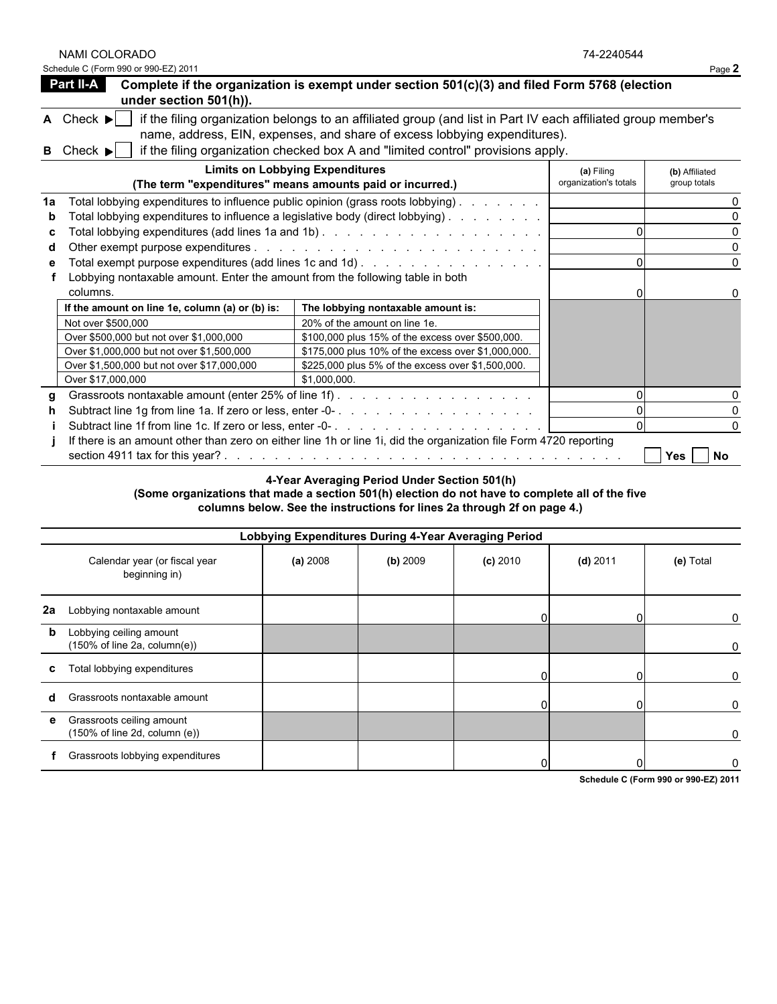NAMI COLORADO 74-2240544

| Schedule<br>(Form 990 or 990-EZ) 2011 | . |
|---------------------------------------|---|
|---------------------------------------|---|

|    | <b>Part II-A</b><br>under section 501(h)).                                                | Complete if the organization is exempt under section 501(c)(3) and filed Form 5768 (election                                                                                                                                                                                   |                                     |                                |
|----|-------------------------------------------------------------------------------------------|--------------------------------------------------------------------------------------------------------------------------------------------------------------------------------------------------------------------------------------------------------------------------------|-------------------------------------|--------------------------------|
|    | A Check $\blacktriangleright$<br><b>B</b> Check $\blacktriangleright$                     | if the filing organization belongs to an affiliated group (and list in Part IV each affiliated group member's<br>name, address, EIN, expenses, and share of excess lobbying expenditures).<br>if the filing organization checked box A and "limited control" provisions apply. |                                     |                                |
|    |                                                                                           | <b>Limits on Lobbying Expenditures</b><br>(The term "expenditures" means amounts paid or incurred.)                                                                                                                                                                            | (a) Filing<br>organization's totals | (b) Affiliated<br>group totals |
| 1a |                                                                                           | Total lobbying expenditures to influence public opinion (grass roots lobbying)                                                                                                                                                                                                 |                                     |                                |
|    |                                                                                           | Total lobbying expenditures to influence a legislative body (direct lobbying)                                                                                                                                                                                                  |                                     |                                |
|    |                                                                                           |                                                                                                                                                                                                                                                                                |                                     |                                |
|    |                                                                                           |                                                                                                                                                                                                                                                                                |                                     |                                |
|    |                                                                                           |                                                                                                                                                                                                                                                                                |                                     |                                |
|    | Lobbying nontaxable amount. Enter the amount from the following table in both<br>columns. |                                                                                                                                                                                                                                                                                |                                     |                                |
|    | If the amount on line 1e, column (a) or (b) is:                                           | The lobbying nontaxable amount is:                                                                                                                                                                                                                                             |                                     |                                |
|    | Not over \$500,000                                                                        | 20% of the amount on line 1e.                                                                                                                                                                                                                                                  |                                     |                                |
|    | Over \$500,000 but not over \$1,000,000                                                   | \$100,000 plus 15% of the excess over \$500,000.                                                                                                                                                                                                                               |                                     |                                |
|    | Over \$1,000,000 but not over \$1,500,000                                                 | \$175,000 plus 10% of the excess over \$1,000,000.                                                                                                                                                                                                                             |                                     |                                |
|    | Over \$1,500,000 but not over \$17,000,000                                                | \$225,000 plus 5% of the excess over \$1,500,000.                                                                                                                                                                                                                              |                                     |                                |
|    | Over \$17,000,000                                                                         | \$1.000.000.                                                                                                                                                                                                                                                                   |                                     |                                |
|    |                                                                                           |                                                                                                                                                                                                                                                                                |                                     |                                |
|    |                                                                                           |                                                                                                                                                                                                                                                                                |                                     |                                |
|    |                                                                                           |                                                                                                                                                                                                                                                                                |                                     |                                |
|    |                                                                                           | If there is an amount other than zero on either line 1h or line 1i, did the organization file Form 4720 reporting                                                                                                                                                              |                                     | l No<br>Yes                    |

**4-Year Averaging Period Under Section 501(h)**

**(Some organizations that made a section 501(h) election do not have to complete all of the five columns below. See the instructions for lines 2a through 2f on page 4.)**

|    |                                                                                 | Lobbying Expenditures During 4-Year Averaging Period |          |            |            |           |
|----|---------------------------------------------------------------------------------|------------------------------------------------------|----------|------------|------------|-----------|
|    | Calendar year (or fiscal year<br>beginning in)                                  | (a) 2008                                             | (b) 2009 | $(c)$ 2010 | $(d)$ 2011 | (e) Total |
| 2a | Lobbying nontaxable amount                                                      |                                                      |          |            |            |           |
| b  | Lobbying ceiling amount<br>$(150\% \text{ of line } 2a, \text{column}(e))$      |                                                      |          |            |            |           |
| c  | Total lobbying expenditures                                                     |                                                      |          |            |            |           |
| d  | Grassroots nontaxable amount                                                    |                                                      |          |            |            |           |
| е  | Grassroots ceiling amount<br>$(150\% \text{ of line } 2d, \text{ column } (e))$ |                                                      |          |            |            |           |
|    | Grassroots lobbying expenditures                                                |                                                      |          |            |            |           |

**Schedule C (Form 990 or 990-EZ) 2011**